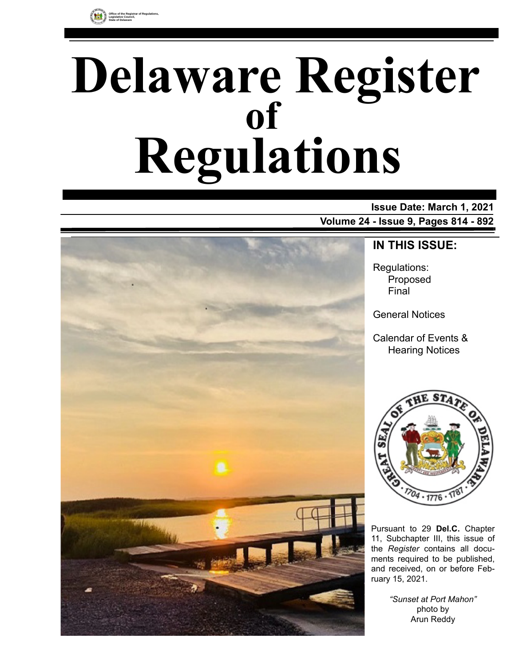

# **Delaware Register Regulations of**

# **Issue Date: March 1, 2021**

**Volume 24 - Issue 9, Pages 814 - 892**



# **IN THIS ISSUE:**

Regulations: Proposed Final

General Notices

Calendar of Events & Hearing Notices



Pursuant to 29 **Del.C.** Chapter 11, Subchapter III, this issue of the *Register* contains all documents required to be published, and received, on or before February 15, 2021.

> *"Sunset at Port Mahon"* photo by Arun Reddy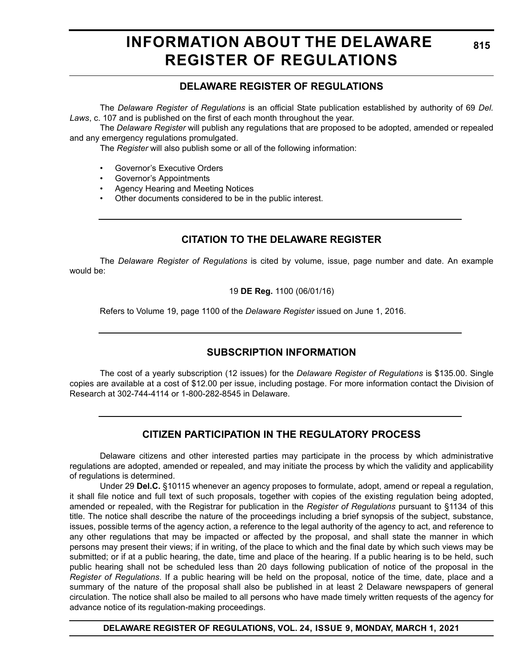# **INFORMATION ABOUT THE DELAWARE REGISTER OF REGULATIONS**

# **DELAWARE REGISTER OF REGULATIONS**

The *Delaware Register of Regulations* is an official State publication established by authority of 69 *Del. Laws*, c. 107 and is published on the first of each month throughout the year.

The *Delaware Register* will publish any regulations that are proposed to be adopted, amended or repealed and any emergency regulations promulgated.

The *Register* will also publish some or all of the following information:

- Governor's Executive Orders
- Governor's Appointments
- Agency Hearing and Meeting Notices
- Other documents considered to be in the public interest.

# **CITATION TO THE DELAWARE REGISTER**

The *Delaware Register of Regulations* is cited by volume, issue, page number and date. An example would be:

19 **DE Reg.** 1100 (06/01/16)

Refers to Volume 19, page 1100 of the *Delaware Register* issued on June 1, 2016.

# **SUBSCRIPTION INFORMATION**

The cost of a yearly subscription (12 issues) for the *Delaware Register of Regulations* is \$135.00. Single copies are available at a cost of \$12.00 per issue, including postage. For more information contact the Division of Research at 302-744-4114 or 1-800-282-8545 in Delaware.

# **CITIZEN PARTICIPATION IN THE REGULATORY PROCESS**

Delaware citizens and other interested parties may participate in the process by which administrative regulations are adopted, amended or repealed, and may initiate the process by which the validity and applicability of regulations is determined.

Under 29 **Del.C.** §10115 whenever an agency proposes to formulate, adopt, amend or repeal a regulation, it shall file notice and full text of such proposals, together with copies of the existing regulation being adopted, amended or repealed, with the Registrar for publication in the *Register of Regulations* pursuant to §1134 of this title. The notice shall describe the nature of the proceedings including a brief synopsis of the subject, substance, issues, possible terms of the agency action, a reference to the legal authority of the agency to act, and reference to any other regulations that may be impacted or affected by the proposal, and shall state the manner in which persons may present their views; if in writing, of the place to which and the final date by which such views may be submitted; or if at a public hearing, the date, time and place of the hearing. If a public hearing is to be held, such public hearing shall not be scheduled less than 20 days following publication of notice of the proposal in the *Register of Regulations*. If a public hearing will be held on the proposal, notice of the time, date, place and a summary of the nature of the proposal shall also be published in at least 2 Delaware newspapers of general circulation. The notice shall also be mailed to all persons who have made timely written requests of the agency for advance notice of its regulation-making proceedings.

**DELAWARE REGISTER OF REGULATIONS, VOL. 24, ISSUE 9, MONDAY, MARCH 1, 2021**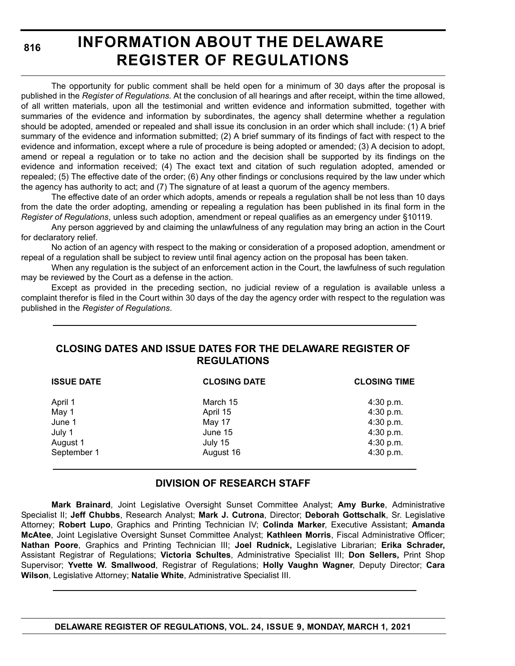**816**

# **INFORMATION ABOUT THE DELAWARE REGISTER OF REGULATIONS**

The opportunity for public comment shall be held open for a minimum of 30 days after the proposal is published in the *Register of Regulations*. At the conclusion of all hearings and after receipt, within the time allowed, of all written materials, upon all the testimonial and written evidence and information submitted, together with summaries of the evidence and information by subordinates, the agency shall determine whether a regulation should be adopted, amended or repealed and shall issue its conclusion in an order which shall include: (1) A brief summary of the evidence and information submitted; (2) A brief summary of its findings of fact with respect to the evidence and information, except where a rule of procedure is being adopted or amended; (3) A decision to adopt, amend or repeal a regulation or to take no action and the decision shall be supported by its findings on the evidence and information received; (4) The exact text and citation of such regulation adopted, amended or repealed; (5) The effective date of the order; (6) Any other findings or conclusions required by the law under which the agency has authority to act; and (7) The signature of at least a quorum of the agency members.

The effective date of an order which adopts, amends or repeals a regulation shall be not less than 10 days from the date the order adopting, amending or repealing a regulation has been published in its final form in the *Register of Regulations*, unless such adoption, amendment or repeal qualifies as an emergency under §10119.

Any person aggrieved by and claiming the unlawfulness of any regulation may bring an action in the Court for declaratory relief.

No action of an agency with respect to the making or consideration of a proposed adoption, amendment or repeal of a regulation shall be subject to review until final agency action on the proposal has been taken.

When any regulation is the subject of an enforcement action in the Court, the lawfulness of such regulation may be reviewed by the Court as a defense in the action.

Except as provided in the preceding section, no judicial review of a regulation is available unless a complaint therefor is filed in the Court within 30 days of the day the agency order with respect to the regulation was published in the *Register of Regulations*.

### **CLOSING DATES AND ISSUE DATES FOR THE DELAWARE REGISTER OF REGULATIONS**

| <b>ISSUE DATE</b> | <b>CLOSING DATE</b> | <b>CLOSING TIME</b> |
|-------------------|---------------------|---------------------|
| April 1           | March 15            | 4:30 p.m.           |
| May 1             | April 15            | 4:30 p.m.           |
| June 1            | May 17              | 4:30 p.m.           |
| July 1            | June 15             | 4:30 p.m.           |
| August 1          | July 15             | 4:30 p.m.           |
| September 1       | August 16           | 4:30 p.m.           |

### **DIVISION OF RESEARCH STAFF**

**Mark Brainard**, Joint Legislative Oversight Sunset Committee Analyst; **Amy Burke**, Administrative Specialist II; **Jeff Chubbs**, Research Analyst; **Mark J. Cutrona**, Director; **Deborah Gottschalk**, Sr. Legislative Attorney; **Robert Lupo**, Graphics and Printing Technician IV; **Colinda Marker**, Executive Assistant; **Amanda McAtee**, Joint Legislative Oversight Sunset Committee Analyst; **Kathleen Morris**, Fiscal Administrative Officer; **Nathan Poore**, Graphics and Printing Technician III; **Joel Rudnick,** Legislative Librarian; **Erika Schrader,** Assistant Registrar of Regulations; **Victoria Schultes**, Administrative Specialist III; **Don Sellers,** Print Shop Supervisor; **Yvette W. Smallwood**, Registrar of Regulations; **Holly Vaughn Wagner**, Deputy Director; **Cara Wilson**, Legislative Attorney; **Natalie White**, Administrative Specialist III.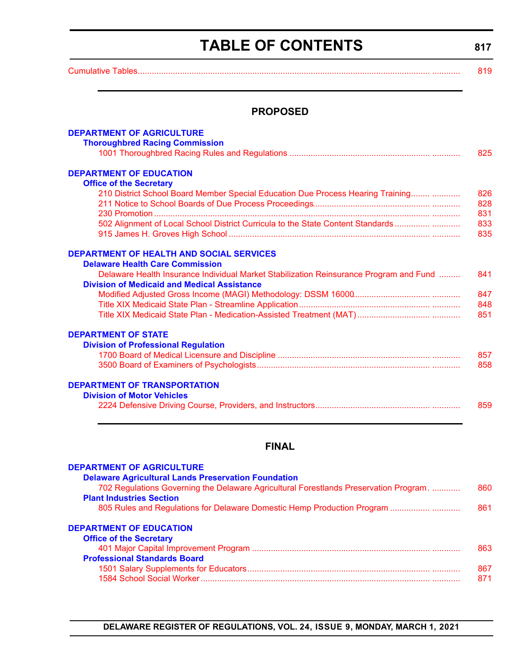# **TABLE OF CONTENTS**

**817**

<span id="page-3-0"></span>[Cumulative Tables............................................................................................................................. ............ 819](#page-5-0)

### **PROPOSED**

| <b>DEPARTMENT OF AGRICULTURE</b>                                                                                                             |     |
|----------------------------------------------------------------------------------------------------------------------------------------------|-----|
| <b>Thoroughbred Racing Commission</b>                                                                                                        |     |
|                                                                                                                                              | 825 |
| <b>DEPARTMENT OF EDUCATION</b>                                                                                                               |     |
| <b>Office of the Secretary</b>                                                                                                               |     |
| 210 District School Board Member Special Education Due Process Hearing Training                                                              | 826 |
|                                                                                                                                              | 828 |
|                                                                                                                                              | 831 |
| 502 Alignment of Local School District Curricula to the State Content Standards                                                              | 833 |
|                                                                                                                                              | 835 |
| <b>DEPARTMENT OF HEALTH AND SOCIAL SERVICES</b>                                                                                              |     |
| <b>Delaware Health Care Commission</b>                                                                                                       |     |
| Delaware Health Insurance Individual Market Stabilization Reinsurance Program and Fund<br><b>Division of Medicaid and Medical Assistance</b> | 841 |
|                                                                                                                                              | 847 |
|                                                                                                                                              | 848 |
|                                                                                                                                              | 851 |
| <b>DEPARTMENT OF STATE</b>                                                                                                                   |     |
| <b>Division of Professional Regulation</b>                                                                                                   |     |
|                                                                                                                                              | 857 |
|                                                                                                                                              | 858 |
| <b>DEPARTMENT OF TRANSPORTATION</b>                                                                                                          |     |
| <b>Division of Motor Vehicles</b>                                                                                                            |     |
|                                                                                                                                              | 859 |

# **FINAL**

| <b>DEPARTMENT OF AGRICULTURE</b>                                                      |     |
|---------------------------------------------------------------------------------------|-----|
| <b>Delaware Agricultural Lands Preservation Foundation</b>                            |     |
| 702 Regulations Governing the Delaware Agricultural Forestlands Preservation Program. | 860 |
| <b>Plant Industries Section</b>                                                       |     |
| 805 Rules and Regulations for Delaware Domestic Hemp Production Program               | 861 |
| <b>DEPARTMENT OF EDUCATION</b>                                                        |     |
| <b>Office of the Secretary</b>                                                        |     |
|                                                                                       | 863 |
| <b>Professional Standards Board</b>                                                   |     |
|                                                                                       | 867 |
|                                                                                       | 871 |

# **DELAWARE REGISTER OF REGULATIONS, VOL. 24, ISSUE 9, MONDAY, MARCH 1, 2021**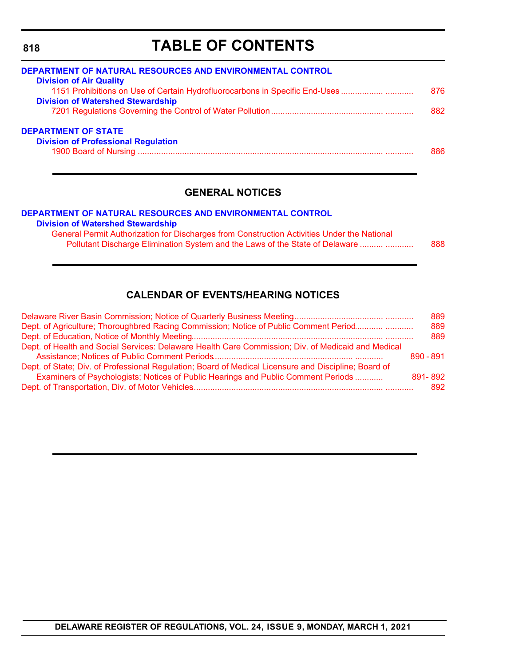# **TABLE OF CONTENTS**

| <b>DEPARTMENT OF NATURAL RESOURCES AND ENVIRONMENTAL CONTROL</b><br><b>Division of Air Quality</b> |      |
|----------------------------------------------------------------------------------------------------|------|
| 1151 Prohibitions on Use of Certain Hydrofluorocarbons in Specific End-Uses                        | 876  |
| <b>Division of Watershed Stewardship</b>                                                           |      |
|                                                                                                    | 882  |
| <b>DEPARTMENT OF STATE</b>                                                                         |      |
| <b>Division of Professional Regulation</b>                                                         |      |
|                                                                                                    | 886. |
|                                                                                                    |      |

### **GENERAL NOTICES**

#### **[DEPARTMENT OF NATURAL RESOURCES AND ENVIRONMENTAL CONTROL](https://dnrec.alpha.delaware.gov/) [Division of Watershed Stewardship](https://dnrec.alpha.delaware.gov/watershed-stewardship/)**

General Permit Authorization for Discharges from Construction Activities Under the National [Pollutant Discharge Elimination System and the Laws of the State of Delaware .......... ............ 888](#page-74-0)

# **CALENDAR OF EVENTS/HEARING NOTICES**

|                                                                                                      | 889       |
|------------------------------------------------------------------------------------------------------|-----------|
| Dept. of Agriculture; Thoroughbred Racing Commission; Notice of Public Comment Period                | 889       |
|                                                                                                      | 889       |
| Dept. of Health and Social Services: Delaware Health Care Commission; Div. of Medicaid and Medical   |           |
|                                                                                                      | 890 - 891 |
| Dept. of State; Div. of Professional Regulation; Board of Medical Licensure and Discipline; Board of |           |
| Examiners of Psychologists; Notices of Public Hearings and Public Comment Periods                    | 891-892   |
|                                                                                                      | 892       |

### **DELAWARE REGISTER OF REGULATIONS, VOL. 24, ISSUE 9, MONDAY, MARCH 1, 2021**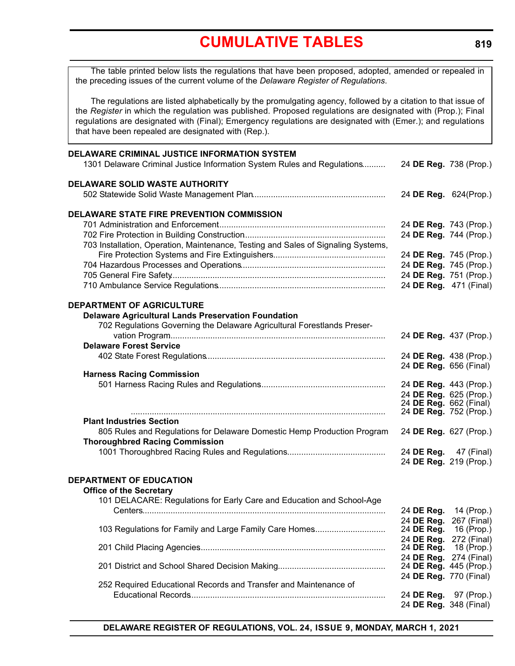<span id="page-5-0"></span>The table printed below lists the regulations that have been proposed, adopted, amended or repealed in the preceding issues of the current volume of the *Delaware Register of Regulations*.

The regulations are listed alphabetically by the promulgating agency, followed by a citation to that issue of the *Register* in which the regulation was published. Proposed regulations are designated with (Prop.); Final regulations are designated with (Final); Emergency regulations are designated with (Emer.); and regulations that have been repealed are designated with (Rep.).

| DELAWARE CRIMINAL JUSTICE INFORMATION SYSTEM<br>1301 Delaware Criminal Justice Information System Rules and Regulations | 24 DE Reg. 738 (Prop.)               |                        |
|-------------------------------------------------------------------------------------------------------------------------|--------------------------------------|------------------------|
| <b>DELAWARE SOLID WASTE AUTHORITY</b>                                                                                   | 24 DE Reg. 624(Prop.)                |                        |
| DELAWARE STATE FIRE PREVENTION COMMISSION                                                                               |                                      |                        |
|                                                                                                                         | 24 DE Reg. 743 (Prop.)               |                        |
|                                                                                                                         | 24 DE Reg. 744 (Prop.)               |                        |
| 703 Installation, Operation, Maintenance, Testing and Sales of Signaling Systems,                                       |                                      |                        |
|                                                                                                                         | 24 DE Reg. 745 (Prop.)               |                        |
|                                                                                                                         | 24 DE Reg. 745 (Prop.)               |                        |
|                                                                                                                         | 24 DE Reg. 751 (Prop.)               |                        |
|                                                                                                                         | 24 DE Reg. 471 (Final)               |                        |
| <b>DEPARTMENT OF AGRICULTURE</b>                                                                                        |                                      |                        |
| <b>Delaware Agricultural Lands Preservation Foundation</b>                                                              |                                      |                        |
| 702 Regulations Governing the Delaware Agricultural Forestlands Preser-                                                 |                                      |                        |
|                                                                                                                         | 24 DE Reg. 437 (Prop.)               |                        |
| <b>Delaware Forest Service</b>                                                                                          |                                      |                        |
|                                                                                                                         | 24 DE Reg. 438 (Prop.)               |                        |
| <b>Harness Racing Commission</b>                                                                                        | 24 DE Reg. 656 (Final)               |                        |
|                                                                                                                         | 24 DE Reg. 443 (Prop.)               |                        |
|                                                                                                                         | 24 DE Reg. 625 (Prop.)               |                        |
|                                                                                                                         | 24 DE Reg. 662 (Final)               |                        |
|                                                                                                                         | 24 DE Reg. 752 (Prop.)               |                        |
| <b>Plant Industries Section</b>                                                                                         |                                      |                        |
| 805 Rules and Regulations for Delaware Domestic Hemp Production Program                                                 | 24 DE Reg. 627 (Prop.)               |                        |
| <b>Thoroughbred Racing Commission</b>                                                                                   |                                      |                        |
|                                                                                                                         | 24 DE Reg. 47 (Final)                |                        |
|                                                                                                                         | 24 DE Reg. 219 (Prop.)               |                        |
| <b>DEPARTMENT OF EDUCATION</b>                                                                                          |                                      |                        |
| <b>Office of the Secretary</b>                                                                                          |                                      |                        |
| 101 DELACARE: Regulations for Early Care and Education and School-Age                                                   |                                      |                        |
|                                                                                                                         | 24 DE Reg. 14 (Prop.)                |                        |
|                                                                                                                         |                                      | 24 DE Reg. 267 (Final) |
| 103 Regulations for Family and Large Family Care Homes                                                                  | 24 DE Reg. 16 (Prop.)                |                        |
|                                                                                                                         | 24 DE Reg. 272 (Final)<br>24 DE Reg. | 18 (Prop.)             |
|                                                                                                                         | 24 DE Reg. 274 (Final)               |                        |
|                                                                                                                         | 24 DE Reg. 445 (Prop.)               |                        |
|                                                                                                                         | 24 DE Reg. 770 (Final)               |                        |
| 252 Required Educational Records and Transfer and Maintenance of                                                        |                                      |                        |
|                                                                                                                         | 24 DE Reg. 97 (Prop.)                |                        |
|                                                                                                                         |                                      | 24 DE Reg. 348 (Final) |

**DELAWARE REGISTER OF REGULATIONS, VOL. 24, ISSUE 9, MONDAY, MARCH 1, 2021**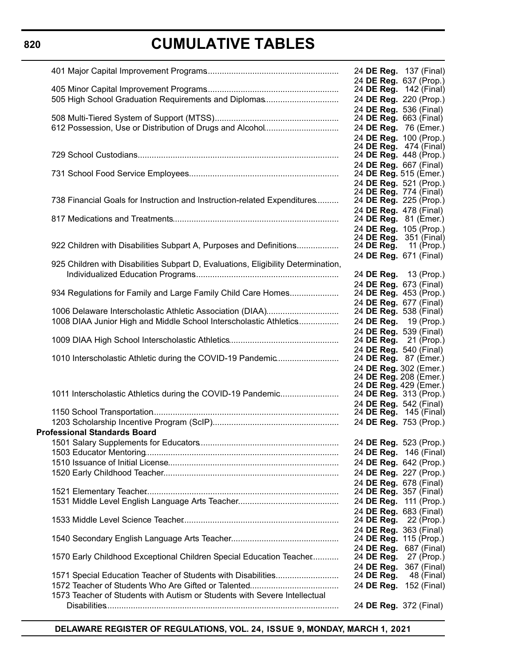# **820**

# **CUMULATIVE TABLES**

|                                                                                   | 24 <b>DE Reg.</b> 137 (Final)                           |
|-----------------------------------------------------------------------------------|---------------------------------------------------------|
|                                                                                   | 24 DE Reg. 637 (Prop.)<br>24 <b>DE Reg.</b> 142 (Final) |
| 505 High School Graduation Requirements and Diplomas                              | 24 DE Reg. 220 (Prop.)                                  |
|                                                                                   | 24 DE Reg. 536 (Final)                                  |
|                                                                                   | 24 DE Reg. 663 (Final)                                  |
| 612 Possession, Use or Distribution of Drugs and Alcohol                          | 24 DE Reg. 76 (Emer.)                                   |
|                                                                                   | 24 DE Reg. 100 (Prop.)                                  |
|                                                                                   | 24 <b>DE Reg.</b> 474 (Final)                           |
|                                                                                   | 24 DE Reg. 448 (Prop.)                                  |
|                                                                                   | 24 DE Reg. 667 (Final)                                  |
|                                                                                   | 24 DE Reg. 515 (Emer.)                                  |
|                                                                                   | 24 DE Reg. 521 (Prop.)                                  |
| 738 Financial Goals for Instruction and Instruction-related Expenditures          | 24 DE Reg. 774 (Final)<br>24 DE Reg. 225 (Prop.)        |
|                                                                                   | 24 DE Reg. 478 (Final)                                  |
|                                                                                   | 24 DE Reg. 81 (Emer.)                                   |
|                                                                                   | 24 DE Reg. 105 (Prop.)                                  |
|                                                                                   | 24 <b>DE Reg.</b> 351 (Final)                           |
| 922 Children with Disabilities Subpart A, Purposes and Definitions                | 24 <b>DE Reg.</b> 11 (Prop.)                            |
|                                                                                   | 24 DE Reg. 671 (Final)                                  |
| 925 Children with Disabilities Subpart D, Evaluations, Eligibility Determination, |                                                         |
|                                                                                   | 24 DE Reg. 13 (Prop.)                                   |
|                                                                                   | 24 DE Reg. 673 (Final)                                  |
| 934 Regulations for Family and Large Family Child Care Homes                      | 24 DE Reg. 453 (Prop.)                                  |
|                                                                                   | 24 DE Reg. 677 (Final)                                  |
| 1006 Delaware Interscholastic Athletic Association (DIAA)                         | 24 DE Reg. 538 (Final)                                  |
| 1008 DIAA Junior High and Middle School Interscholastic Athletics                 | 24 DE Reg. 19 (Prop.)                                   |
|                                                                                   | 24 DE Reg. 539 (Final)<br>24 <b>DE Reg.</b> 21 (Prop.)  |
|                                                                                   | 24 DE Reg. 540 (Final)                                  |
| 1010 Interscholastic Athletic during the COVID-19 Pandemic                        | 24 DE Reg. 87 (Emer.)                                   |
|                                                                                   | 24 DE Reg. 302 (Emer.)                                  |
|                                                                                   | 24 DE Reg. 208 (Emer.)                                  |
|                                                                                   | 24 DE Reg. 429 (Emer.)                                  |
| 1011 Interscholastic Athletics during the COVID-19 Pandemic                       | 24 DE Reg. 313 (Prop.)                                  |
|                                                                                   | 24 DE Reg. 542 (Final)                                  |
|                                                                                   | 24 DE Reg. 145 (Final)                                  |
|                                                                                   | 24 DE Reg. 753 (Prop.)                                  |
| <b>Professional Standards Board</b>                                               |                                                         |
|                                                                                   | 24 DE Reg. 523 (Prop.)                                  |
|                                                                                   | 24 DE Reg. 146 (Final)                                  |
|                                                                                   | 24 DE Reg. 642 (Prop.)                                  |
|                                                                                   | 24 DE Reg. 227 (Prop.)                                  |
|                                                                                   | 24 DE Reg. 678 (Final)                                  |
|                                                                                   | 24 <b>DE Reg.</b> 357 (Final)<br>24 DE Reg. 111 (Prop.) |
|                                                                                   | 24 DE Reg. 683 (Final)                                  |
|                                                                                   | 24 DE Reg. 22 (Prop.)                                   |
|                                                                                   | 24 DE Reg. 363 (Final)                                  |
|                                                                                   | 24 DE Reg. 115 (Prop.)                                  |
|                                                                                   | 24 DE Reg. 687 (Final)                                  |
| 1570 Early Childhood Exceptional Children Special Education Teacher               | 24 DE Reg.<br>27 (Prop.)                                |
|                                                                                   | 24 DE Reg.<br>367 (Final)                               |
| 1571 Special Education Teacher of Students with Disabilities                      | 24 DE Reg.<br>48 (Final)                                |
|                                                                                   | 24 DE Reg.<br>152 (Final)                               |
| 1573 Teacher of Students with Autism or Students with Severe Intellectual         |                                                         |
|                                                                                   | 24 DE Reg. 372 (Final)                                  |
|                                                                                   |                                                         |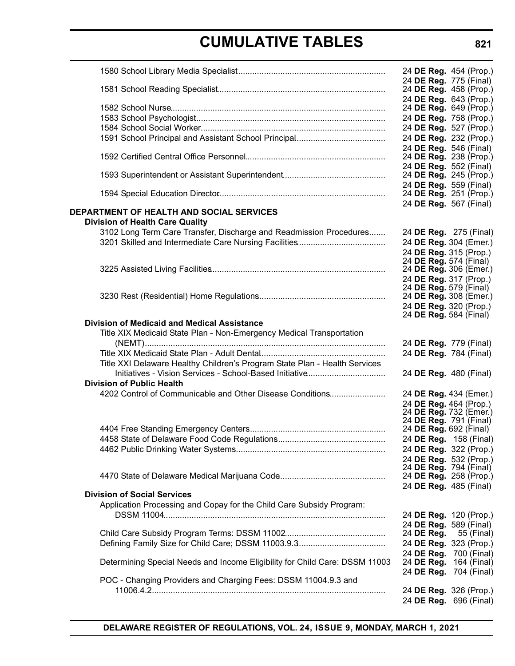|                                                                             |            | 24 DE Reg. 454 (Prop.)                           |
|-----------------------------------------------------------------------------|------------|--------------------------------------------------|
|                                                                             |            | 24 DE Reg. 775 (Final)<br>24 DE Reg. 458 (Prop.) |
|                                                                             |            | 24 DE Reg. 643 (Prop.)<br>24 DE Reg. 649 (Prop.) |
|                                                                             |            | 24 DE Reg. 758 (Prop.)                           |
|                                                                             |            | 24 DE Reg. 527 (Prop.)                           |
|                                                                             |            |                                                  |
|                                                                             |            | 24 DE Reg. 232 (Prop.)<br>24 DE Reg. 546 (Final) |
|                                                                             |            | 24 DE Reg. 238 (Prop.)<br>24 DE Reg. 552 (Final) |
|                                                                             |            | 24 DE Reg. 245 (Prop.)                           |
|                                                                             |            | 24 DE Reg. 559 (Final)<br>24 DE Reg. 251 (Prop.) |
| <b>DEPARTMENT OF HEALTH AND SOCIAL SERVICES</b>                             |            | 24 DE Reg. 567 (Final)                           |
| <b>Division of Health Care Quality</b>                                      |            |                                                  |
| 3102 Long Term Care Transfer, Discharge and Readmission Procedures          |            | 24 DE Reg. 275 (Final)                           |
|                                                                             |            | 24 DE Reg. 304 (Emer.)                           |
|                                                                             |            | 24 DE Reg. 315 (Prop.)                           |
|                                                                             |            | 24 DE Reg. 574 (Final)                           |
|                                                                             |            | 24 DE Reg. 306 (Emer.)                           |
|                                                                             |            | 24 DE Reg. 317 (Prop.)                           |
|                                                                             |            | 24 DE Reg. 579 (Final)                           |
|                                                                             |            | 24 DE Reg. 308 (Emer.)                           |
|                                                                             |            | 24 DE Reg. 320 (Prop.)                           |
|                                                                             |            | 24 DE Reg. 584 (Final)                           |
| <b>Division of Medicaid and Medical Assistance</b>                          |            |                                                  |
| Title XIX Medicaid State Plan - Non-Emergency Medical Transportation        |            |                                                  |
|                                                                             |            | 24 DE Reg. 779 (Final)                           |
|                                                                             |            | 24 DE Reg. 784 (Final)                           |
| Title XXI Delaware Healthy Children's Program State Plan - Health Services  |            |                                                  |
|                                                                             |            | 24 DE Reg. 480 (Final)                           |
| <b>Division of Public Health</b>                                            |            |                                                  |
| 4202 Control of Communicable and Other Disease Conditions                   |            | 24 DE Reg. 434 (Emer.)                           |
|                                                                             |            | 24 DE Reg. 464 (Prop.)                           |
|                                                                             |            | 24 DE Reg. 732 (Emer.)                           |
|                                                                             |            | 24 DE Reg. 791 (Final)                           |
|                                                                             |            | 24 DE Reg. 692 (Final)                           |
|                                                                             |            | 24 DE Reg. 158 (Final)                           |
|                                                                             |            | 24 DE Reg. 322 (Prop.)                           |
|                                                                             |            | 24 DE Reg. 532 (Prop.)                           |
|                                                                             |            | 24 DE Reg. 794 (Final)                           |
|                                                                             |            | 24 DE Reg. 258 (Prop.)                           |
|                                                                             |            | 24 DE Reg. 485 (Final)                           |
| <b>Division of Social Services</b>                                          |            |                                                  |
| Application Processing and Copay for the Child Care Subsidy Program:        |            |                                                  |
|                                                                             |            | 24 DE Reg. 120 (Prop.)                           |
|                                                                             |            | 24 DE Reg. 589 (Final)                           |
|                                                                             | 24 DE Reg. | 55 (Final)                                       |
|                                                                             |            | 24 DE Reg. 323 (Prop.)                           |
|                                                                             |            | 24 DE Reg. 700 (Final)                           |
| Determining Special Needs and Income Eligibility for Child Care: DSSM 11003 |            | 24 DE Reg. 164 (Final)                           |
| POC - Changing Providers and Charging Fees: DSSM 11004.9.3 and              |            | 24 DE Reg. 704 (Final)                           |
|                                                                             |            | 24 DE Reg. 326 (Prop.)                           |
|                                                                             |            | 24 DE Reg. 696 (Final)                           |
|                                                                             |            |                                                  |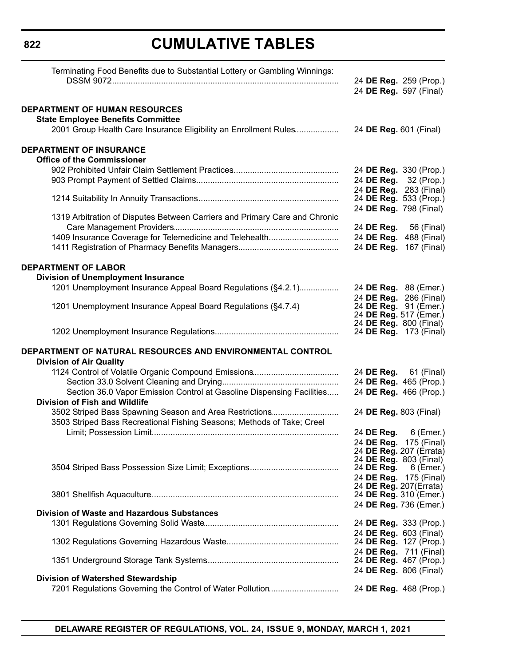| Terminating Food Benefits due to Substantial Lottery or Gambling Winnings:                                                        |                        | 24 DE Reg. 259 (Prop.)                            |
|-----------------------------------------------------------------------------------------------------------------------------------|------------------------|---------------------------------------------------|
|                                                                                                                                   | 24 DE Reg. 597 (Final) |                                                   |
| DEPARTMENT OF HUMAN RESOURCES<br><b>State Employee Benefits Committee</b>                                                         |                        |                                                   |
| 2001 Group Health Care Insurance Eligibility an Enrollment Rules                                                                  | 24 DE Reg. 601 (Final) |                                                   |
| <b>DEPARTMENT OF INSURANCE</b><br><b>Office of the Commissioner</b>                                                               |                        |                                                   |
|                                                                                                                                   |                        | 24 DE Reg. 330 (Prop.)                            |
|                                                                                                                                   |                        | 24 DE Reg. 32 (Prop.)                             |
|                                                                                                                                   |                        | 24 DE Reg. 283 (Final)                            |
|                                                                                                                                   |                        | 24 DE Reg. 533 (Prop.)<br>24 DE Reg. 798 (Final)  |
| 1319 Arbitration of Disputes Between Carriers and Primary Care and Chronic                                                        |                        | 24 DE Reg. 56 (Final)                             |
| 1409 Insurance Coverage for Telemedicine and Telehealth                                                                           |                        | 24 DE Reg. 488 (Final)                            |
|                                                                                                                                   |                        | 24 DE Reg. 167 (Final)                            |
| <b>DEPARTMENT OF LABOR</b>                                                                                                        |                        |                                                   |
| <b>Division of Unemployment Insurance</b><br>1201 Unemployment Insurance Appeal Board Regulations (§4.2.1)                        | 24 DE Reg. 88 (Emer.)  |                                                   |
|                                                                                                                                   |                        | 24 DE Reg. 286 (Final)                            |
| 1201 Unemployment Insurance Appeal Board Regulations (§4.7.4)                                                                     | 24 DE Reg. 91 (Èmer.)  | 24 DE Reg. 517 (Emer.)                            |
|                                                                                                                                   | 24 DE Reg. 800 (Final) | 24 <b>DE Reg.</b> 173 (Final)                     |
| DEPARTMENT OF NATURAL RESOURCES AND ENVIRONMENTAL CONTROL<br><b>Division of Air Quality</b>                                       |                        |                                                   |
|                                                                                                                                   |                        | 24 DE Reg. 61 (Final)                             |
|                                                                                                                                   |                        | 24 DE Reg. 465 (Prop.)                            |
| Section 36.0 Vapor Emission Control at Gasoline Dispensing Facilities                                                             |                        | 24 DE Reg. 466 (Prop.)                            |
| <b>Division of Fish and Wildlife</b>                                                                                              |                        |                                                   |
| 3502 Striped Bass Spawning Season and Area Restrictions<br>3503 Striped Bass Recreational Fishing Seasons; Methods of Take; Creel | 24 DE Reg. 803 (Final) |                                                   |
|                                                                                                                                   |                        | 24 DE Reg. 6 (Emer.)                              |
|                                                                                                                                   |                        | 24 DE Reg. 175 (Final)                            |
|                                                                                                                                   |                        | 24 DE Reg. 207 (Errata)<br>24 DE Reg. 803 (Final) |
|                                                                                                                                   | 24 DE Reg.             | $6$ (Emer.)                                       |
|                                                                                                                                   |                        | 24 DE Reg. 175 (Final)                            |
|                                                                                                                                   | 24 DE Reg. 207(Errata) |                                                   |
|                                                                                                                                   |                        | 24 DE Reg. 310 (Emer.)                            |
| <b>Division of Waste and Hazardous Substances</b>                                                                                 | 24 DE Reg. 736 (Emer.) |                                                   |
|                                                                                                                                   |                        | 24 DE Reg. 333 (Prop.)                            |
|                                                                                                                                   | 24 DE Reg. 603 (Final) | 24 DE Reg. 127 (Prop.)                            |
|                                                                                                                                   |                        | 24 DE Reg. 711 (Final)<br>24 DE Reg. 467 (Prop.)  |
| <b>Division of Watershed Stewardship</b>                                                                                          | 24 DE Reg. 806 (Final) |                                                   |
| 7201 Regulations Governing the Control of Water Pollution                                                                         |                        | 24 DE Reg. 468 (Prop.)                            |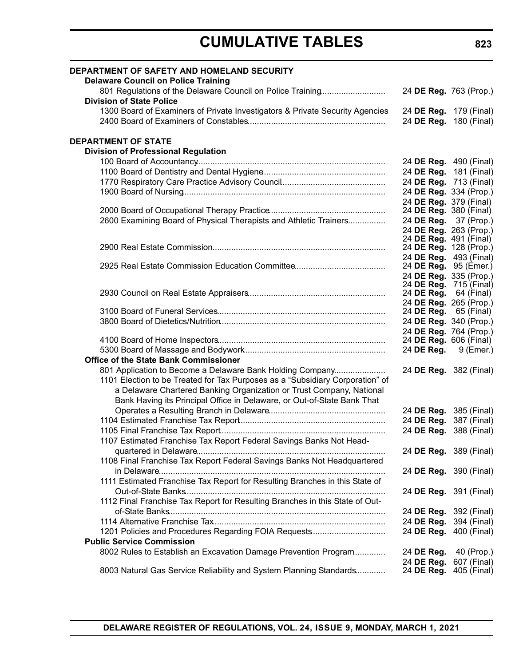| <b>DEPARTMENT OF SAFETY AND HOMELAND SECURITY</b><br><b>Delaware Council on Police Training</b> |                                                        |                            |
|-------------------------------------------------------------------------------------------------|--------------------------------------------------------|----------------------------|
| 801 Regulations of the Delaware Council on Police Training                                      | 24 DE Reg. 763 (Prop.)                                 |                            |
| <b>Division of State Police</b>                                                                 |                                                        |                            |
| 1300 Board of Examiners of Private Investigators & Private Security Agencies                    | 24 DE Reg. 179 (Final)                                 |                            |
|                                                                                                 | 24 DE Reg. 180 (Final)                                 |                            |
| <b>DEPARTMENT OF STATE</b>                                                                      |                                                        |                            |
| <b>Division of Professional Regulation</b>                                                      |                                                        |                            |
|                                                                                                 | 24 DE Reg. 490 (Final)                                 |                            |
|                                                                                                 |                                                        | 24 DE Reg. 181 (Final)     |
|                                                                                                 | 24 DE Reg. 713 (Final)                                 |                            |
|                                                                                                 | 24 DE Reg. 334 (Prop.)                                 |                            |
|                                                                                                 | 24 DE Reg. 379 (Final)                                 |                            |
|                                                                                                 | 24 DE Reg. 380 (Final)                                 |                            |
| 2600 Examining Board of Physical Therapists and Athletic Trainers                               | 24 DE Reg. 37 (Prop.)                                  |                            |
|                                                                                                 | 24 DE Reg. 263 (Prop.)                                 |                            |
|                                                                                                 | 24 DE Reg. 491 (Final)                                 |                            |
|                                                                                                 | 24 DE Reg. 128 (Prop.)                                 |                            |
|                                                                                                 | 24 DE Reg. 493 (Final)<br>24 <b>DE Reg.</b> 95 (Emer.) |                            |
|                                                                                                 | 24 DE Reg. 335 (Prop.)                                 |                            |
|                                                                                                 | 24 <b>DE Reg.</b> 715 (Final)                          |                            |
|                                                                                                 | 24 DE Reg. 64 (Final)                                  |                            |
|                                                                                                 | 24 DE Reg. 265 (Prop.)                                 |                            |
|                                                                                                 | 24 <b>DE Reg.</b> 65 (Final)                           |                            |
|                                                                                                 | 24 DE Reg. 340 (Prop.)                                 |                            |
|                                                                                                 | 24 DE Reg. 764 (Prop.)                                 |                            |
|                                                                                                 | 24 DE Reg. 606 (Final)                                 |                            |
|                                                                                                 | 24 DE Reg.                                             | 9 (Emer.)                  |
| <b>Office of the State Bank Commissioner</b>                                                    |                                                        |                            |
| 801 Application to Become a Delaware Bank Holding Company                                       | 24 DE Reg. 382 (Final)                                 |                            |
| 1101 Election to be Treated for Tax Purposes as a "Subsidiary Corporation" of                   |                                                        |                            |
| a Delaware Chartered Banking Organization or Trust Company, National                            |                                                        |                            |
| Bank Having its Principal Office in Delaware, or Out-of-State Bank That                         |                                                        |                            |
|                                                                                                 | 24 DE Reg. 385 (Final)                                 |                            |
|                                                                                                 | 24 DE Reg. 387 (Final)                                 |                            |
|                                                                                                 | 24 DE Reg. 388 (Final)                                 |                            |
| 1107 Estimated Franchise Tax Report Federal Savings Banks Not Head-                             |                                                        |                            |
| 1108 Final Franchise Tax Report Federal Savings Banks Not Headquartered                         | 24 DE Reg. 389 (Final)                                 |                            |
|                                                                                                 |                                                        |                            |
| 1111 Estimated Franchise Tax Report for Resulting Branches in this State of                     | 24 DE Reg. 390 (Final)                                 |                            |
|                                                                                                 |                                                        |                            |
|                                                                                                 | 24 DE Reg. 391 (Final)                                 |                            |
| 1112 Final Franchise Tax Report for Resulting Branches in this State of Out-                    |                                                        |                            |
|                                                                                                 | 24 DE Reg. 392 (Final)                                 |                            |
|                                                                                                 | 24 DE Reg. 394 (Final)                                 |                            |
| 1201 Policies and Procedures Regarding FOIA Requests                                            | 24 DE Reg. 400 (Final)                                 |                            |
| <b>Public Service Commission</b>                                                                |                                                        |                            |
| 8002 Rules to Establish an Excavation Damage Prevention Program                                 | 24 DE Reg.                                             | 40 (Prop.)                 |
| 8003 Natural Gas Service Reliability and System Planning Standards                              | 24 DE Reg.<br>24 DE Reg.                               | 607 (Final)<br>405 (Final) |
|                                                                                                 |                                                        |                            |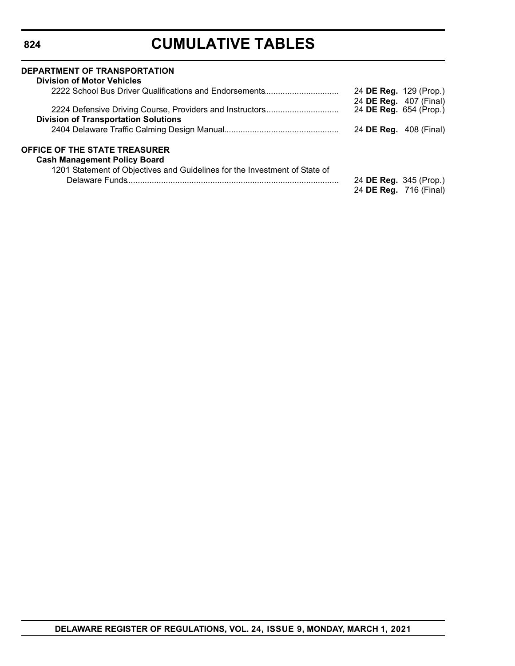| DEPARTMENT OF TRANSPORTATION<br><b>Division of Motor Vehicles</b>          |                                                  |                        |
|----------------------------------------------------------------------------|--------------------------------------------------|------------------------|
| 2222 School Bus Driver Qualifications and Endorsements                     |                                                  | 24 DE Reg. 129 (Prop.) |
| 2224 Defensive Driving Course, Providers and Instructors                   | 24 DE Reg. 407 (Final)<br>24 DE Reg. 654 (Prop.) |                        |
| <b>Division of Transportation Solutions</b>                                |                                                  |                        |
|                                                                            |                                                  | 24 DE Reg. 408 (Final) |
| <b>OFFICE OF THE STATE TREASURER</b>                                       |                                                  |                        |
| <b>Cash Management Policy Board</b>                                        |                                                  |                        |
| 1201 Statement of Objectives and Guidelines for the Investment of State of |                                                  |                        |
|                                                                            |                                                  | 24 DE Reg. 345 (Prop.) |
|                                                                            |                                                  | 24 DE Reg. 716 (Final) |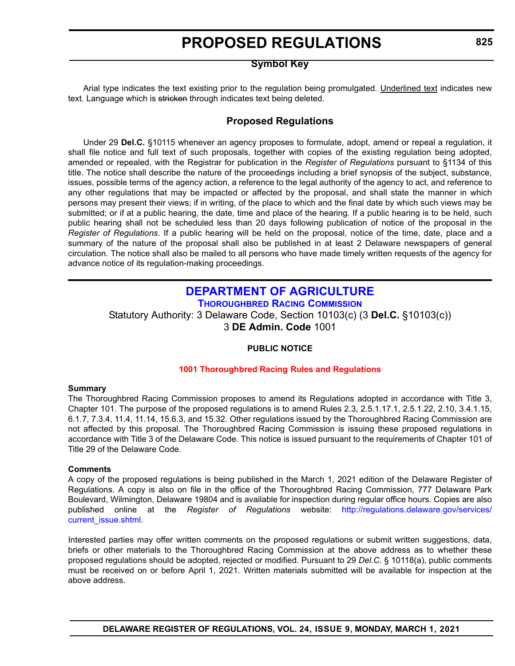### **Symbol Key**

<span id="page-11-0"></span>Arial type indicates the text existing prior to the regulation being promulgated. Underlined text indicates new text. Language which is stricken through indicates text being deleted.

# **Proposed Regulations**

Under 29 **Del.C.** §10115 whenever an agency proposes to formulate, adopt, amend or repeal a regulation, it shall file notice and full text of such proposals, together with copies of the existing regulation being adopted, amended or repealed, with the Registrar for publication in the *Register of Regulations* pursuant to §1134 of this title. The notice shall describe the nature of the proceedings including a brief synopsis of the subject, substance, issues, possible terms of the agency action, a reference to the legal authority of the agency to act, and reference to any other regulations that may be impacted or affected by the proposal, and shall state the manner in which persons may present their views; if in writing, of the place to which and the final date by which such views may be submitted; or if at a public hearing, the date, time and place of the hearing. If a public hearing is to be held, such public hearing shall not be scheduled less than 20 days following publication of notice of the proposal in the *Register of Regulations*. If a public hearing will be held on the proposal, notice of the time, date, place and a summary of the nature of the proposal shall also be published in at least 2 Delaware newspapers of general circulation. The notice shall also be mailed to all persons who have made timely written requests of the agency for advance notice of its regulation-making proceedings.

### **[DEPARTMENT OF AGRICULTURE](https://agriculture.delaware.gov/) [THOROUGHBRED RACING COMMISSION](https://agriculture.delaware.gov/thoroughbred-racing-commission/)**

Statutory Authority: 3 Delaware Code, Section 10103(c) (3 **Del.C.** §10103(c)) 3 **DE Admin. Code** 1001

#### **PUBLIC NOTICE**

#### **[1001 Thoroughbred Racing](#page-3-0) Rules and Regulations**

#### **Summary**

The Thoroughbred Racing Commission proposes to amend its Regulations adopted in accordance with Title 3, Chapter 101. The purpose of the proposed regulations is to amend Rules 2.3, 2.5.1.17.1, 2.5.1.22, 2.10, 3.4.1.15, 6.1.7, 7.3.4, 11.4, 11.14, 15.6.3, and 15.32. Other regulations issued by the Thoroughbred Racing Commission are not affected by this proposal. The Thoroughbred Racing Commission is issuing these proposed regulations in accordance with Title 3 of the Delaware Code. This notice is issued pursuant to the requirements of Chapter 101 of Title 29 of the Delaware Code.

#### **Comments**

A copy of the proposed regulations is being published in the March 1, 2021 edition of the Delaware Register of Regulations. A copy is also on file in the office of the Thoroughbred Racing Commission, 777 Delaware Park Boulevard, Wilmington, Delaware 19804 and is available for inspection during regular office hours. Copies are also published online at the *Register of Regulations* website: [http://regulations.delaware.gov/services/](http://regulations.delaware.gov/services/current_issue.shtml) [current\\_issue.shtml.](http://regulations.delaware.gov/services/current_issue.shtml)

Interested parties may offer written comments on the proposed regulations or submit written suggestions, data, briefs or other materials to the Thoroughbred Racing Commission at the above address as to whether these proposed regulations should be adopted, rejected or modified. Pursuant to 29 *Del.C.* § 10118(a), public comments must be received on or before April 1, 2021. Written materials submitted will be available for inspection at the above address.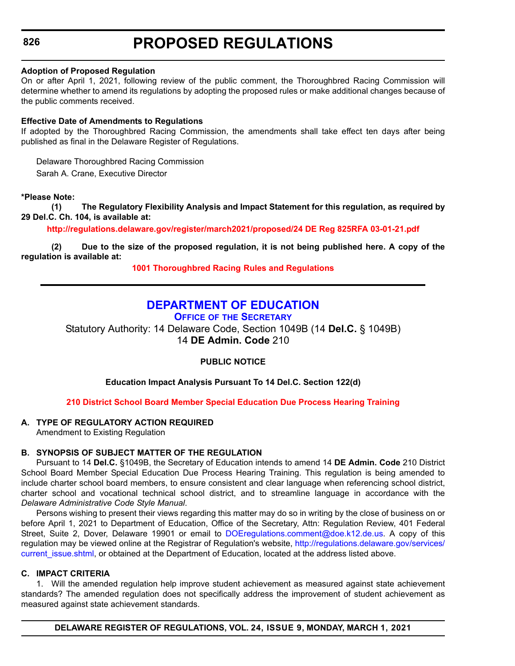### <span id="page-12-0"></span>**826**

# **PROPOSED REGULATIONS**

#### **Adoption of Proposed Regulation**

On or after April 1, 2021, following review of the public comment, the Thoroughbred Racing Commission will determine whether to amend its regulations by adopting the proposed rules or make additional changes because of the public comments received.

#### **Effective Date of Amendments to Regulations**

If adopted by the Thoroughbred Racing Commission, the amendments shall take effect ten days after being published as final in the Delaware Register of Regulations.

Delaware Thoroughbred Racing Commission Sarah A. Crane, Executive Director

#### **\*Please Note:**

**(1) The Regulatory Flexibility Analysis and Impact Statement for this regulation, as required by 29 Del.C. Ch. 104, is available at:**

**<http://regulations.delaware.gov/register/march2021/proposed/24 DE Reg 825RFA 03-01-21.pdf>**

**(2) Due to the size of the proposed regulation, it is not being published here. A copy of the regulation is available at:**

**[1001 Thoroughbred Racing](http://regulations.delaware.gov/register/march2021/proposed/24 DE Reg 825 03-01-21.htm) Rules and Regulations**

# **[DEPARTMENT OF EDUCATION](https://www.doe.k12.de.us/)**

**OFFICE OF [THE SECRETARY](https://www.doe.k12.de.us/Page/11)**

Statutory Authority: 14 Delaware Code, Section 1049B (14 **Del.C.** § 1049B) 14 **DE Admin. Code** 210

**PUBLIC NOTICE**

**Education Impact Analysis Pursuant To 14 Del.C. Section 122(d)**

#### **[210 District School Board Member Special Education Due Process Hearing Training](#page-3-0)**

#### **A. TYPE OF REGULATORY ACTION REQUIRED**

Amendment to Existing Regulation

#### **B. SYNOPSIS OF SUBJECT MATTER OF THE REGULATION**

Pursuant to 14 **Del.C.** §1049B, the Secretary of Education intends to amend 14 **DE Admin. Code** 210 District School Board Member Special Education Due Process Hearing Training. This regulation is being amended to include charter school board members, to ensure consistent and clear language when referencing school district, charter school and vocational technical school district, and to streamline language in accordance with the *Delaware Administrative Code Style Manual*.

Persons wishing to present their views regarding this matter may do so in writing by the close of business on or before April 1, 2021 to Department of Education, Office of the Secretary, Attn: Regulation Review, 401 Federal Street, Suite 2, Dover, Delaware 19901 or email to [DOEregulations.comment@doe.k12.de.us.](mailto:DOEregulations.comment@doe.k12.de.us) A copy of this regulation may be viewed online at the Registrar of Regulation's website, [http://regulations.delaware.gov/services/](http://regulations.delaware.gov/services/current_issue.shtml) current issue.shtml, or obtained at the Department of Education, located at the address listed above.

#### **C. IMPACT CRITERIA**

1. Will the amended regulation help improve student achievement as measured against state achievement standards? The amended regulation does not specifically address the improvement of student achievement as measured against state achievement standards.

**DELAWARE REGISTER OF REGULATIONS, VOL. 24, ISSUE 9, MONDAY, MARCH 1, 2021**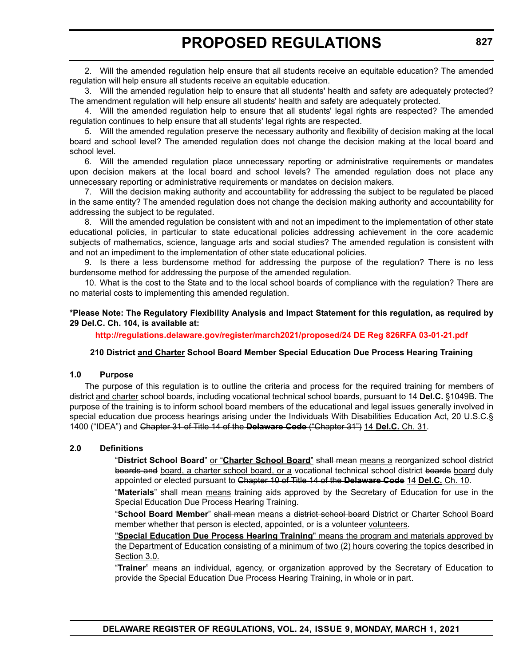2. Will the amended regulation help ensure that all students receive an equitable education? The amended regulation will help ensure all students receive an equitable education.

3. Will the amended regulation help to ensure that all students' health and safety are adequately protected? The amendment regulation will help ensure all students' health and safety are adequately protected.

4. Will the amended regulation help to ensure that all students' legal rights are respected? The amended regulation continues to help ensure that all students' legal rights are respected.

5. Will the amended regulation preserve the necessary authority and flexibility of decision making at the local board and school level? The amended regulation does not change the decision making at the local board and school level.

6. Will the amended regulation place unnecessary reporting or administrative requirements or mandates upon decision makers at the local board and school levels? The amended regulation does not place any unnecessary reporting or administrative requirements or mandates on decision makers.

7. Will the decision making authority and accountability for addressing the subject to be regulated be placed in the same entity? The amended regulation does not change the decision making authority and accountability for addressing the subject to be regulated.

8. Will the amended regulation be consistent with and not an impediment to the implementation of other state educational policies, in particular to state educational policies addressing achievement in the core academic subjects of mathematics, science, language arts and social studies? The amended regulation is consistent with and not an impediment to the implementation of other state educational policies.

9. Is there a less burdensome method for addressing the purpose of the regulation? There is no less burdensome method for addressing the purpose of the amended regulation.

10. What is the cost to the State and to the local school boards of compliance with the regulation? There are no material costs to implementing this amended regulation.

#### **\*Please Note: The Regulatory Flexibility Analysis and Impact Statement for this regulation, as required by 29 Del.C. Ch. 104, is available at:**

**<http://regulations.delaware.gov/register/march2021/proposed/24 DE Reg 826RFA 03-01-21.pdf>**

#### **210 District and Charter School Board Member Special Education Due Process Hearing Training**

#### **1.0 Purpose**

The purpose of this regulation is to outline the criteria and process for the required training for members of district and charter school boards, including vocational technical school boards, pursuant to 14 **Del.C.** §1049B. The purpose of the training is to inform school board members of the educational and legal issues generally involved in special education due process hearings arising under the Individuals With Disabilities Education Act, 20 U.S.C.§ 1400 ("IDEA") and Chapter 31 of Title 14 of the **Delaware Code** ("Chapter 31") 14 **Del.C.** Ch. 31.

#### **2.0 Definitions**

"**District School Board**" or "**Charter School Board**" shall mean means a reorganized school district boards and board, a charter school board, or a vocational technical school district boards board duly appointed or elected pursuant to Chapter 10 of Title 14 of the **Delaware Code** 14 **Del.C.** Ch. 10.

"**Materials**" shall mean means training aids approved by the Secretary of Education for use in the Special Education Due Process Hearing Training.

"**School Board Member**" shall mean means a district school board District or Charter School Board member whether that person is elected, appointed, or is a volunteer volunteers.

"**Special Education Due Process Hearing Training**" means the program and materials approved by the Department of Education consisting of a minimum of two (2) hours covering the topics described in Section 3.0.

"**Trainer**" means an individual, agency, or organization approved by the Secretary of Education to provide the Special Education Due Process Hearing Training, in whole or in part.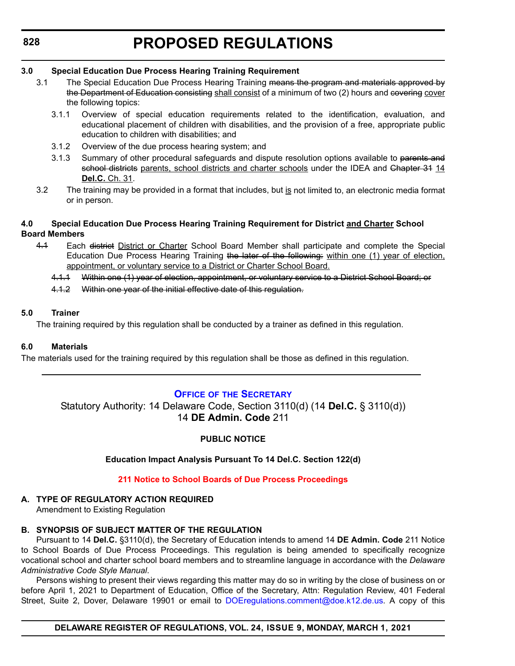# <span id="page-14-0"></span>**828**

# **PROPOSED REGULATIONS**

### **3.0 Special Education Due Process Hearing Training Requirement**

- 3.1 The Special Education Due Process Hearing Training means the program and materials approved by the Department of Education consisting shall consist of a minimum of two (2) hours and covering cover the following topics:
	- 3.1.1 Overview of special education requirements related to the identification, evaluation, and educational placement of children with disabilities, and the provision of a free, appropriate public education to children with disabilities; and
	- 3.1.2 Overview of the due process hearing system; and
	- 3.1.3 Summary of other procedural safeguards and dispute resolution options available to parents and school districts parents, school districts and charter schools under the IDEA and Chapter 34 14 **Del.C.** Ch. 31.
- 3.2 The training may be provided in a format that includes, but is not limited to, an electronic media format or in person.

#### **4.0 Special Education Due Process Hearing Training Requirement for District and Charter School Board Members**

- 4.1 Each district District or Charter School Board Member shall participate and complete the Special Education Due Process Hearing Training the later of the following: within one (1) year of election, appointment, or voluntary service to a District or Charter School Board.
	- 4.1.1 Within one (1) year of election, appointment, or voluntary service to a District School Board; or
	- 4.1.2 Within one year of the initial effective date of this regulation.

#### **5.0 Trainer**

The training required by this regulation shall be conducted by a trainer as defined in this regulation.

#### **6.0 Materials**

The materials used for the training required by this regulation shall be those as defined in this regulation.

### **OFFICE OF [THE SECRETARY](https://www.doe.k12.de.us/Page/11)**

Statutory Authority: 14 Delaware Code, Section 3110(d) (14 **Del.C.** § 3110(d)) 14 **DE Admin. Code** 211

### **PUBLIC NOTICE**

#### **Education Impact Analysis Pursuant To 14 Del.C. Section 122(d)**

#### **[211 Notice to School Boards of Due Process Proceedings](#page-3-0)**

#### **A. TYPE OF REGULATORY ACTION REQUIRED**

Amendment to Existing Regulation

#### **B. SYNOPSIS OF SUBJECT MATTER OF THE REGULATION**

Pursuant to 14 **Del.C.** §3110(d), the Secretary of Education intends to amend 14 **DE Admin. Code** 211 Notice to School Boards of Due Process Proceedings. This regulation is being amended to specifically recognize vocational school and charter school board members and to streamline language in accordance with the *Delaware Administrative Code Style Manual*.

Persons wishing to present their views regarding this matter may do so in writing by the close of business on or before April 1, 2021 to Department of Education, Office of the Secretary, Attn: Regulation Review, 401 Federal Street, Suite 2, Dover, Delaware 19901 or email to [DOEregulations.comment@doe.k12.de.us.](mailto:DOEregulations.comment@doe.k12.de.us) A copy of this

**DELAWARE REGISTER OF REGULATIONS, VOL. 24, ISSUE 9, MONDAY, MARCH 1, 2021**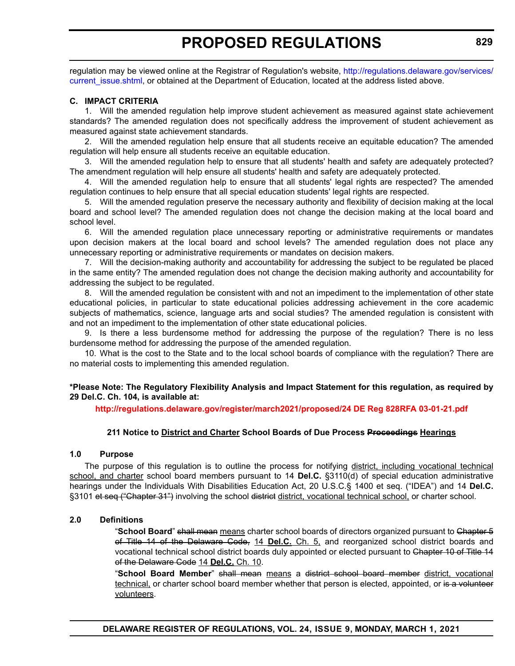regulation may be viewed online at the Registrar of Regulation's website, [http://regulations.delaware.gov/services/](http://regulations.delaware.gov/services/current_issue.shtml) current issue.shtml, or obtained at the Department of Education, located at the address listed above.

#### **C. IMPACT CRITERIA**

1. Will the amended regulation help improve student achievement as measured against state achievement standards? The amended regulation does not specifically address the improvement of student achievement as measured against state achievement standards.

2. Will the amended regulation help ensure that all students receive an equitable education? The amended regulation will help ensure all students receive an equitable education.

3. Will the amended regulation help to ensure that all students' health and safety are adequately protected? The amendment regulation will help ensure all students' health and safety are adequately protected.

4. Will the amended regulation help to ensure that all students' legal rights are respected? The amended regulation continues to help ensure that all special education students' legal rights are respected.

5. Will the amended regulation preserve the necessary authority and flexibility of decision making at the local board and school level? The amended regulation does not change the decision making at the local board and school level.

6. Will the amended regulation place unnecessary reporting or administrative requirements or mandates upon decision makers at the local board and school levels? The amended regulation does not place any unnecessary reporting or administrative requirements or mandates on decision makers.

7. Will the decision-making authority and accountability for addressing the subject to be regulated be placed in the same entity? The amended regulation does not change the decision making authority and accountability for addressing the subject to be regulated.

8. Will the amended regulation be consistent with and not an impediment to the implementation of other state educational policies, in particular to state educational policies addressing achievement in the core academic subjects of mathematics, science, language arts and social studies? The amended regulation is consistent with and not an impediment to the implementation of other state educational policies.

9. Is there a less burdensome method for addressing the purpose of the regulation? There is no less burdensome method for addressing the purpose of the amended regulation.

10. What is the cost to the State and to the local school boards of compliance with the regulation? There are no material costs to implementing this amended regulation.

#### **\*Please Note: The Regulatory Flexibility Analysis and Impact Statement for this regulation, as required by 29 Del.C. Ch. 104, is available at:**

**<http://regulations.delaware.gov/register/march2021/proposed/24 DE Reg 828RFA 03-01-21.pdf>**

#### **211 Notice to District and Charter School Boards of Due Process Proceedings Hearings**

#### **1.0 Purpose**

The purpose of this regulation is to outline the process for notifying district, including vocational technical school, and charter school board members pursuant to 14 **Del.C.** §3110(d) of special education administrative hearings under the Individuals With Disabilities Education Act, 20 U.S.C.§ 1400 et seq. ("IDEA") and 14 **Del.C.** §3101 et seq ("Chapter 31") involving the school district district, vocational technical school, or charter school.

#### **2.0 Definitions**

"**School Board**" shall mean means charter school boards of directors organized pursuant to Chapter 5 of Title 14 of the Delaware Code, 14 **Del.C.** Ch. 5, and reorganized school district boards and vocational technical school district boards duly appointed or elected pursuant to Chapter 10 of Title 14 of the Delaware Code 14 **Del.C.** Ch. 10.

"**School Board Member**" shall mean means a district school board member district, vocational technical, or charter school board member whether that person is elected, appointed, or is a volunteer volunteers.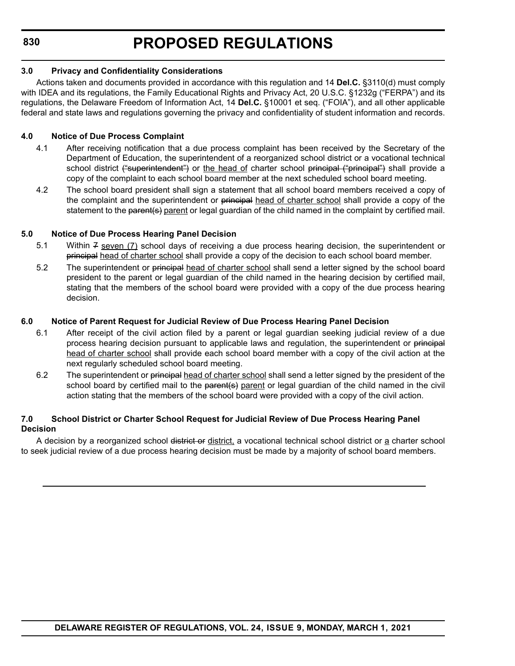#### **3.0 Privacy and Confidentiality Considerations**

Actions taken and documents provided in accordance with this regulation and 14 **Del.C.** §3110(d) must comply with IDEA and its regulations, the Family Educational Rights and Privacy Act, 20 U.S.C. §1232g ("FERPA") and its regulations, the Delaware Freedom of Information Act, 14 **Del.C.** §10001 et seq. ("FOIA"), and all other applicable federal and state laws and regulations governing the privacy and confidentiality of student information and records.

### **4.0 Notice of Due Process Complaint**

- 4.1 After receiving notification that a due process complaint has been received by the Secretary of the Department of Education, the superintendent of a reorganized school district or a vocational technical school district ("superintendent") or the head of charter school principal ("principal") shall provide a copy of the complaint to each school board member at the next scheduled school board meeting.
- 4.2 The school board president shall sign a statement that all school board members received a copy of the complaint and the superintendent or principal head of charter school shall provide a copy of the statement to the parent(s) parent or legal guardian of the child named in the complaint by certified mail.

### **5.0 Notice of Due Process Hearing Panel Decision**

- 5.1 Within 7 seven (7) school days of receiving a due process hearing decision, the superintendent or principal head of charter school shall provide a copy of the decision to each school board member.
- 5.2 The superintendent or principal head of charter school shall send a letter signed by the school board president to the parent or legal guardian of the child named in the hearing decision by certified mail, stating that the members of the school board were provided with a copy of the due process hearing decision.

#### **6.0 Notice of Parent Request for Judicial Review of Due Process Hearing Panel Decision**

- 6.1 After receipt of the civil action filed by a parent or legal guardian seeking judicial review of a due process hearing decision pursuant to applicable laws and regulation, the superintendent or principal head of charter school shall provide each school board member with a copy of the civil action at the next regularly scheduled school board meeting.
- 6.2 The superintendent or principal head of charter school shall send a letter signed by the president of the school board by certified mail to the parent(s) parent or legal guardian of the child named in the civil action stating that the members of the school board were provided with a copy of the civil action.

#### **7.0 School District or Charter School Request for Judicial Review of Due Process Hearing Panel Decision**

A decision by a reorganized school district or district, a vocational technical school district or a charter school to seek judicial review of a due process hearing decision must be made by a majority of school board members.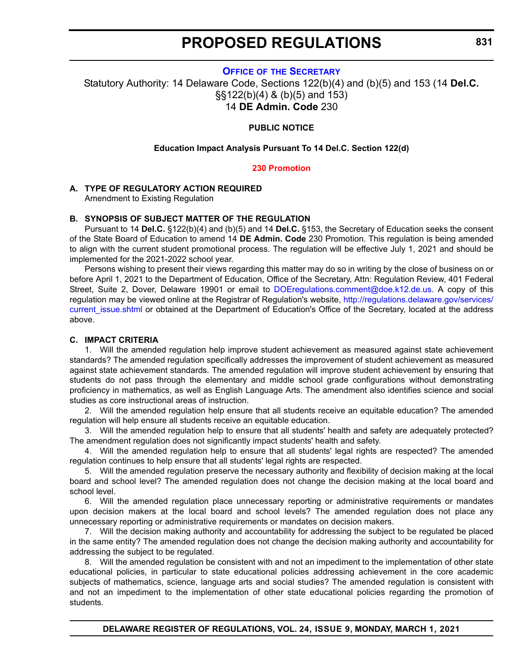#### **OFFICE OF [THE SECRETARY](https://www.doe.k12.de.us/Page/11)**

<span id="page-17-0"></span>Statutory Authority: 14 Delaware Code, Sections 122(b)(4) and (b)(5) and 153 (14 **Del.C.** §§122(b)(4) & (b)(5) and 153) 14 **DE Admin. Code** 230

#### **PUBLIC NOTICE**

#### **Education Impact Analysis Pursuant To 14 Del.C. Section 122(d)**

#### **[230 Promotion](#page-3-0)**

#### **A. TYPE OF REGULATORY ACTION REQUIRED**

Amendment to Existing Regulation

#### **B. SYNOPSIS OF SUBJECT MATTER OF THE REGULATION**

Pursuant to 14 **Del.C.** §122(b)(4) and (b)(5) and 14 **Del.C.** §153, the Secretary of Education seeks the consent of the State Board of Education to amend 14 **DE Admin. Code** 230 Promotion. This regulation is being amended to align with the current student promotional process. The regulation will be effective July 1, 2021 and should be implemented for the 2021-2022 school year.

Persons wishing to present their views regarding this matter may do so in writing by the close of business on or before April 1, 2021 to the Department of Education, Office of the Secretary, Attn: Regulation Review, 401 Federal Street, Suite 2, Dover, Delaware 19901 or email to [DOEregulations.comment@doe.k12.de.us](mailto:DOEregulations.comment@doe.k12.de.us). A copy of this regulation may be viewed online at the Registrar of Regulation's website, [http://regulations.delaware.gov/services/](http://regulations.delaware.gov/services/current_issue.shtml) [current\\_issue.shtml](http://regulations.delaware.gov/services/current_issue.shtml) or obtained at the Department of Education's Office of the Secretary, located at the address above.

#### **C. IMPACT CRITERIA**

1. Will the amended regulation help improve student achievement as measured against state achievement standards? The amended regulation specifically addresses the improvement of student achievement as measured against state achievement standards. The amended regulation will improve student achievement by ensuring that students do not pass through the elementary and middle school grade configurations without demonstrating proficiency in mathematics, as well as English Language Arts. The amendment also identifies science and social studies as core instructional areas of instruction.

2. Will the amended regulation help ensure that all students receive an equitable education? The amended regulation will help ensure all students receive an equitable education.

3. Will the amended regulation help to ensure that all students' health and safety are adequately protected? The amendment regulation does not significantly impact students' health and safety.

4. Will the amended regulation help to ensure that all students' legal rights are respected? The amended regulation continues to help ensure that all students' legal rights are respected.

5. Will the amended regulation preserve the necessary authority and flexibility of decision making at the local board and school level? The amended regulation does not change the decision making at the local board and school level.

6. Will the amended regulation place unnecessary reporting or administrative requirements or mandates upon decision makers at the local board and school levels? The amended regulation does not place any unnecessary reporting or administrative requirements or mandates on decision makers.

7. Will the decision making authority and accountability for addressing the subject to be regulated be placed in the same entity? The amended regulation does not change the decision making authority and accountability for addressing the subject to be regulated.

8. Will the amended regulation be consistent with and not an impediment to the implementation of other state educational policies, in particular to state educational policies addressing achievement in the core academic subjects of mathematics, science, language arts and social studies? The amended regulation is consistent with and not an impediment to the implementation of other state educational policies regarding the promotion of students.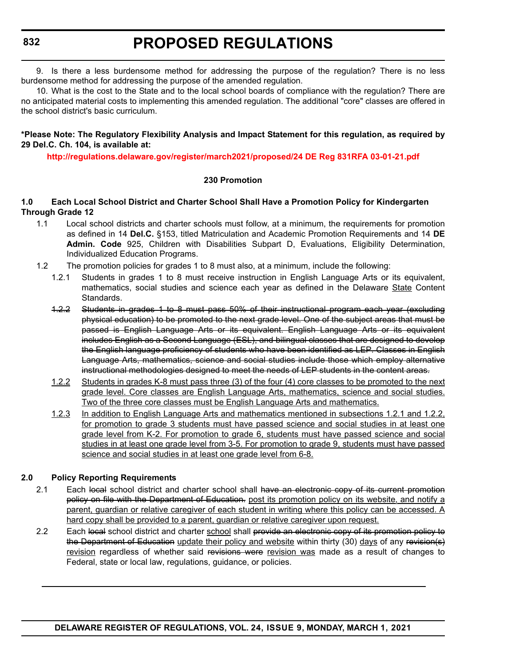9. Is there a less burdensome method for addressing the purpose of the regulation? There is no less burdensome method for addressing the purpose of the amended regulation.

10. What is the cost to the State and to the local school boards of compliance with the regulation? There are no anticipated material costs to implementing this amended regulation. The additional "core" classes are offered in the school district's basic curriculum.

#### **\*Please Note: The Regulatory Flexibility Analysis and Impact Statement for this regulation, as required by 29 Del.C. Ch. 104, is available at:**

**<http://regulations.delaware.gov/register/march2021/proposed/24 DE Reg 831RFA 03-01-21.pdf>**

#### **230 Promotion**

#### **1.0 Each Local School District and Charter School Shall Have a Promotion Policy for Kindergarten Through Grade 12**

- 1.1 Local school districts and charter schools must follow, at a minimum, the requirements for promotion as defined in 14 **Del.C.** §153, titled Matriculation and Academic Promotion Requirements and 14 **DE Admin. Code** 925, Children with Disabilities Subpart D, Evaluations, Eligibility Determination, Individualized Education Programs.
- 1.2 The promotion policies for grades 1 to 8 must also, at a minimum, include the following:
	- 1.2.1 Students in grades 1 to 8 must receive instruction in English Language Arts or its equivalent, mathematics, social studies and science each year as defined in the Delaware State Content Standards.
	- 1.2.2 Students in grades 1 to 8 must pass 50% of their instructional program each year (excluding physical education) to be promoted to the next grade level. One of the subject areas that must be passed is English Language Arts or its equivalent. English Language Arts or its equivalent includes English as a Second Language (ESL), and bilingual classes that are designed to develop the English language proficiency of students who have been identified as LEP. Classes in English Language Arts, mathematics, science and social studies include those which employ alternative instructional methodologies designed to meet the needs of LEP students in the content areas.
	- 1.2.2 Students in grades K-8 must pass three (3) of the four (4) core classes to be promoted to the next grade level. Core classes are English Language Arts, mathematics, science and social studies. Two of the three core classes must be English Language Arts and mathematics.
	- 1.2.3 In addition to English Language Arts and mathematics mentioned in subsections 1.2.1 and 1.2.2, for promotion to grade 3 students must have passed science and social studies in at least one grade level from K-2. For promotion to grade 6, students must have passed science and social studies in at least one grade level from 3-5. For promotion to grade 9, students must have passed science and social studies in at least one grade level from 6-8.

### **2.0 Policy Reporting Requirements**

- 2.1 Each local school district and charter school shall have an electronic copy of its current promotion policy on file with the Department of Education. post its promotion policy on its website, and notify a parent, guardian or relative caregiver of each student in writing where this policy can be accessed. A hard copy shall be provided to a parent, guardian or relative caregiver upon request.
- 2.2 Each local school district and charter school shall provide an electronic copy of its promotion policy to the Department of Education update their policy and website within thirty (30) days of any revision(s) revision regardless of whether said revisions were revision was made as a result of changes to Federal, state or local law, regulations, guidance, or policies.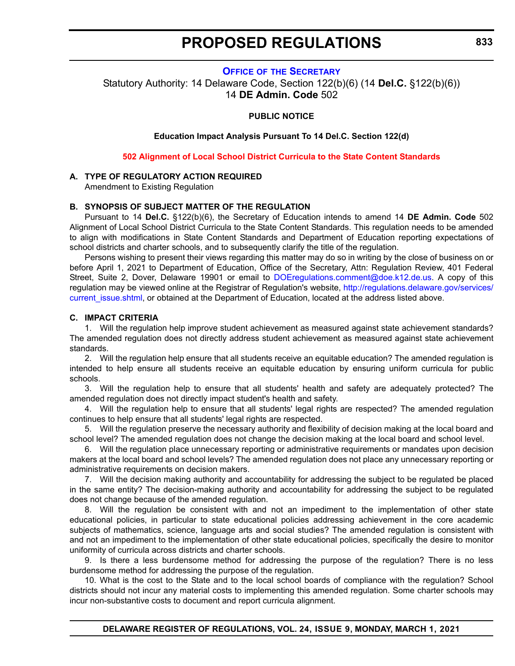#### **OFFICE OF [THE SECRETARY](https://www.doe.k12.de.us/Page/11)**

<span id="page-19-0"></span>Statutory Authority: 14 Delaware Code, Section 122(b)(6) (14 **Del.C.** §122(b)(6)) 14 **DE Admin. Code** 502

#### **PUBLIC NOTICE**

**Education Impact Analysis Pursuant To 14 Del.C. Section 122(d)**

**[502 Alignment of Local School District Curricula to the State Content Standards](#page-3-0)**

#### **A. TYPE OF REGULATORY ACTION REQUIRED**

Amendment to Existing Regulation

#### **B. SYNOPSIS OF SUBJECT MATTER OF THE REGULATION**

Pursuant to 14 **Del.C.** §122(b)(6), the Secretary of Education intends to amend 14 **DE Admin. Code** 502 Alignment of Local School District Curricula to the State Content Standards. This regulation needs to be amended to align with modifications in State Content Standards and Department of Education reporting expectations of school districts and charter schools, and to subsequently clarify the title of the regulation.

Persons wishing to present their views regarding this matter may do so in writing by the close of business on or before April 1, 2021 to Department of Education, Office of the Secretary, Attn: Regulation Review, 401 Federal Street, Suite 2, Dover, Delaware 19901 or email to [DOEregulations.comment@doe.k12.de.us](mailto:DOEregulations.comment@doe.k12.de.us). A copy of this regulation may be viewed online at the Registrar of Regulation's website, [http://regulations.delaware.gov/services/](http://regulations.delaware.gov/services/current_issue.shtml) current issue.shtml, or obtained at the Department of Education, located at the address listed above.

#### **C. IMPACT CRITERIA**

1. Will the regulation help improve student achievement as measured against state achievement standards? The amended regulation does not directly address student achievement as measured against state achievement standards.

2. Will the regulation help ensure that all students receive an equitable education? The amended regulation is intended to help ensure all students receive an equitable education by ensuring uniform curricula for public schools.

3. Will the regulation help to ensure that all students' health and safety are adequately protected? The amended regulation does not directly impact student's health and safety.

4. Will the regulation help to ensure that all students' legal rights are respected? The amended regulation continues to help ensure that all students' legal rights are respected.

5. Will the regulation preserve the necessary authority and flexibility of decision making at the local board and school level? The amended regulation does not change the decision making at the local board and school level.

6. Will the regulation place unnecessary reporting or administrative requirements or mandates upon decision makers at the local board and school levels? The amended regulation does not place any unnecessary reporting or administrative requirements on decision makers.

7. Will the decision making authority and accountability for addressing the subject to be regulated be placed in the same entity? The decision-making authority and accountability for addressing the subject to be regulated does not change because of the amended regulation.

8. Will the regulation be consistent with and not an impediment to the implementation of other state educational policies, in particular to state educational policies addressing achievement in the core academic subjects of mathematics, science, language arts and social studies? The amended regulation is consistent with and not an impediment to the implementation of other state educational policies, specifically the desire to monitor uniformity of curricula across districts and charter schools.

9. Is there a less burdensome method for addressing the purpose of the regulation? There is no less burdensome method for addressing the purpose of the regulation.

10. What is the cost to the State and to the local school boards of compliance with the regulation? School districts should not incur any material costs to implementing this amended regulation. Some charter schools may incur non-substantive costs to document and report curricula alignment.

**DELAWARE REGISTER OF REGULATIONS, VOL. 24, ISSUE 9, MONDAY, MARCH 1, 2021**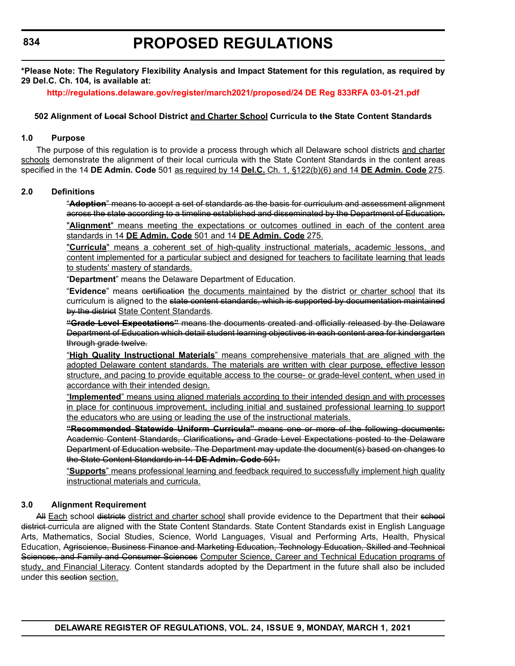**\*Please Note: The Regulatory Flexibility Analysis and Impact Statement for this regulation, as required by 29 Del.C. Ch. 104, is available at:**

**<http://regulations.delaware.gov/register/march2021/proposed/24 DE Reg 833RFA 03-01-21.pdf>**

#### **502 Alignment of Local School District and Charter School Curricula to the State Content Standards**

### **1.0 Purpose**

The purpose of this regulation is to provide a process through which all Delaware school districts and charter schools demonstrate the alignment of their local curricula with the State Content Standards in the content areas specified in the 14 **DE Admin. Code** 501 as required by 14 **Del.C.** Ch. 1, §122(b)(6) and 14 **DE Admin. Code** 275.

#### **2.0 Definitions**

"**Adoption**" means to accept a set of standards as the basis for curriculum and assessment alignment across the state according to a timeline established and disseminated by the Department of Education. "**Alignment**" means meeting the expectations or outcomes outlined in each of the content area standards in 14 **DE Admin. Code** 501 and 14 **DE Admin. Code** 275.

"**Curricula**" means a coherent set of high-quality instructional materials, academic lessons, and content implemented for a particular subject and designed for teachers to facilitate learning that leads to students' mastery of standards.

"**Department**" means the Delaware Department of Education.

"**Evidence**" means certification the documents maintained by the district or charter school that its curriculum is aligned to the state content standards, which is supported by documentation maintained by the district State Content Standards.

**"Grade Level Expectations"** means the documents created and officially released by the Delaware Department of Education which detail student learning objectives in each content area for kindergarten through grade twelve.

"**High Quality Instructional Materials**" means comprehensive materials that are aligned with the adopted Delaware content standards. The materials are written with clear purpose, effective lesson structure, and pacing to provide equitable access to the course- or grade-level content, when used in accordance with their intended design.

"**Implemented**" means using aligned materials according to their intended design and with processes in place for continuous improvement, including initial and sustained professional learning to support the educators who are using or leading the use of the instructional materials.

**"Recommended Statewide Uniform Curricula"** means one or more of the following documents: Academic Content Standards, Clarifications**,** and Grade Level Expectations posted to the Delaware Department of Education website. The Department may update the document(s) based on changes to the State Content Standards in 14 **DE Admin. Code** 501.

"**Supports**" means professional learning and feedback required to successfully implement high quality instructional materials and curricula.

### **3.0 Alignment Requirement**

All Each school districts district and charter school shall provide evidence to the Department that their school district curricula are aligned with the State Content Standards. State Content Standards exist in English Language Arts, Mathematics, Social Studies, Science, World Languages, Visual and Performing Arts, Health, Physical Education, Agriscience, Business Finance and Marketing Education, Technology Education, Skilled and Technical Sciences, and Family and Consumer Sciences Computer Science, Career and Technical Education programs of study, and Financial Literacy. Content standards adopted by the Department in the future shall also be included under this section section.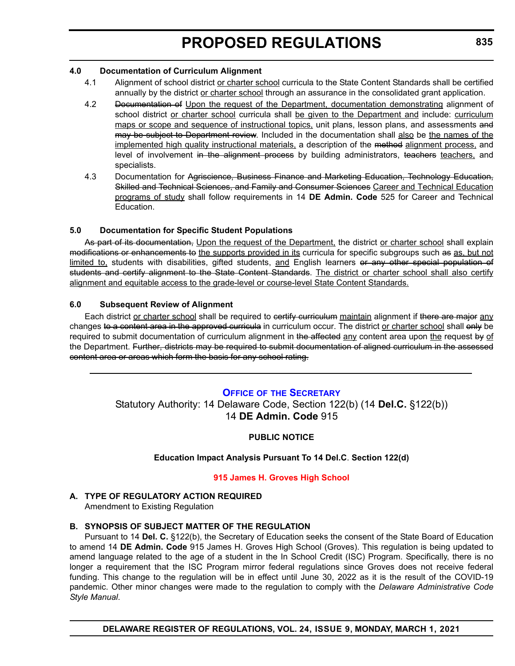#### <span id="page-21-0"></span>**4.0 Documentation of Curriculum Alignment**

- 4.1 Alignment of school district or charter school curricula to the State Content Standards shall be certified annually by the district or charter school through an assurance in the consolidated grant application.
- 4.2 Documentation of Upon the request of the Department, documentation demonstrating alignment of school district or charter school curricula shall be given to the Department and include: curriculum maps or scope and sequence of instructional topics, unit plans, lesson plans, and assessments and may be subject to Department review. Included in the documentation shall also be the names of the implemented high quality instructional materials, a description of the method alignment process, and level of involvement in the alignment process by building administrators, teachers teachers, and specialists.
- 4.3 Documentation for Agriscience, Business Finance and Marketing Education, Technology Education, Skilled and Technical Sciences, and Family and Consumer Sciences Career and Technical Education programs of study shall follow requirements in 14 **DE Admin. Code** 525 for Career and Technical Education.

### **5.0 Documentation for Specific Student Populations**

As part of its documentation, Upon the request of the Department, the district or charter school shall explain modifications or enhancements to the supports provided in its curricula for specific subgroups such as as, but not limited to, students with disabilities, gifted students, and English learners or any other special population of students and certify alignment to the State Content Standards. The district or charter school shall also certify alignment and equitable access to the grade-level or course-level State Content Standards.

### **6.0 Subsequent Review of Alignment**

Each district or charter school shall be required to certify curriculum maintain alignment if there are major any changes to a content area in the approved curricula in curriculum occur. The district or charter school shall only be required to submit documentation of curriculum alignment in the affected any content area upon the request by of the Department. Further, districts may be required to submit documentation of aligned curriculum in the assessed content area or areas which form the basis for any school rating.

### **OFFICE OF [THE SECRETARY](https://www.doe.k12.de.us/Page/11)**

Statutory Authority: 14 Delaware Code, Section 122(b) (14 **Del.C.** §122(b)) 14 **DE Admin. Code** 915

### **PUBLIC NOTICE**

### **Education Impact Analysis Pursuant To 14 Del.C**. **Section 122(d)**

#### **[915 James H. Groves High School](#page-3-0)**

**A. TYPE OF REGULATORY ACTION REQUIRED** Amendment to Existing Regulation

### **B. SYNOPSIS OF SUBJECT MATTER OF THE REGULATION**

Pursuant to 14 **Del. C.** §122(b), the Secretary of Education seeks the consent of the State Board of Education to amend 14 **DE Admin. Code** 915 James H. Groves High School (Groves). This regulation is being updated to amend language related to the age of a student in the In School Credit (ISC) Program. Specifically, there is no longer a requirement that the ISC Program mirror federal regulations since Groves does not receive federal funding. This change to the regulation will be in effect until June 30, 2022 as it is the result of the COVID-19 pandemic. Other minor changes were made to the regulation to comply with the *Delaware Administrative Code Style Manual*.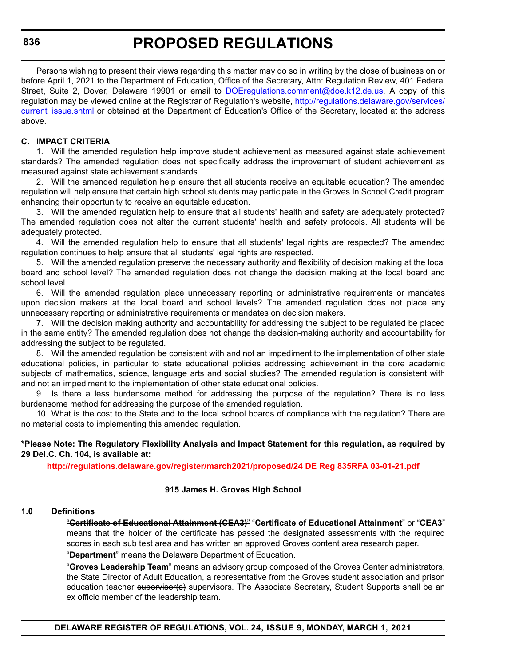Persons wishing to present their views regarding this matter may do so in writing by the close of business on or before April 1, 2021 to the Department of Education, Office of the Secretary, Attn: Regulation Review, 401 Federal Street, Suite 2, Dover, Delaware 19901 or email to [DOEregulations.comment@doe.k12.de.us.](mailto:DOEregulations.comment@doe.k12.de.us) A copy of this regulation may be viewed online at the Registrar of Regulation's website, [http://regulations.delaware.gov/services/](http://regulations.delaware.gov/services/current_issue.shtml) current issue.shtml or obtained at the Department of Education's Office of the Secretary, located at the address above.

#### **C. IMPACT CRITERIA**

1. Will the amended regulation help improve student achievement as measured against state achievement standards? The amended regulation does not specifically address the improvement of student achievement as measured against state achievement standards.

2. Will the amended regulation help ensure that all students receive an equitable education? The amended regulation will help ensure that certain high school students may participate in the Groves In School Credit program enhancing their opportunity to receive an equitable education.

3. Will the amended regulation help to ensure that all students' health and safety are adequately protected? The amended regulation does not alter the current students' health and safety protocols. All students will be adequately protected.

4. Will the amended regulation help to ensure that all students' legal rights are respected? The amended regulation continues to help ensure that all students' legal rights are respected.

5. Will the amended regulation preserve the necessary authority and flexibility of decision making at the local board and school level? The amended regulation does not change the decision making at the local board and school level.

6. Will the amended regulation place unnecessary reporting or administrative requirements or mandates upon decision makers at the local board and school levels? The amended regulation does not place any unnecessary reporting or administrative requirements or mandates on decision makers.

7. Will the decision making authority and accountability for addressing the subject to be regulated be placed in the same entity? The amended regulation does not change the decision-making authority and accountability for addressing the subject to be regulated.

8. Will the amended regulation be consistent with and not an impediment to the implementation of other state educational policies, in particular to state educational policies addressing achievement in the core academic subjects of mathematics, science, language arts and social studies? The amended regulation is consistent with and not an impediment to the implementation of other state educational policies.

9. Is there a less burdensome method for addressing the purpose of the regulation? There is no less burdensome method for addressing the purpose of the amended regulation.

10. What is the cost to the State and to the local school boards of compliance with the regulation? There are no material costs to implementing this amended regulation.

#### **\*Please Note: The Regulatory Flexibility Analysis and Impact Statement for this regulation, as required by 29 Del.C. Ch. 104, is available at:**

**<http://regulations.delaware.gov/register/march2021/proposed/24 DE Reg 835RFA 03-01-21.pdf>**

#### **915 James H. Groves High School**

#### **1.0 Definitions**

"**Certificate of Educational Attainment (CEA3)**" "**Certificate of Educational Attainment**" or "**CEA3**" means that the holder of the certificate has passed the designated assessments with the required scores in each sub test area and has written an approved Groves content area research paper. "**Department**" means the Delaware Department of Education.

"**Groves Leadership Team**" means an advisory group composed of the Groves Center administrators, the State Director of Adult Education, a representative from the Groves student association and prison education teacher supervisor(s) supervisors. The Associate Secretary, Student Supports shall be an ex officio member of the leadership team.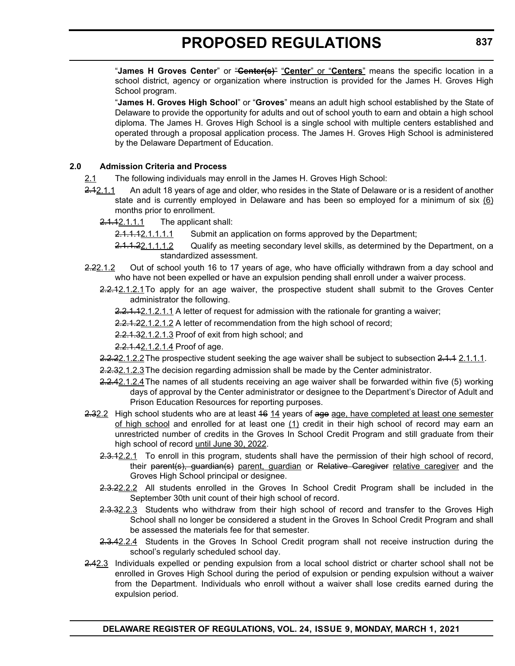"**James H Groves Center**" or "**Center(s)**" "**Center**" or "**Centers**" means the specific location in a school district, agency or organization where instruction is provided for the James H. Groves High School program.

"**James H. Groves High School**" or "**Groves**" means an adult high school established by the State of Delaware to provide the opportunity for adults and out of school youth to earn and obtain a high school diploma. The James H. Groves High School is a single school with multiple centers established and operated through a proposal application process. The James H. Groves High School is administered by the Delaware Department of Education.

#### **2.0 Admission Criteria and Process**

2.1 The following individuals may enroll in the James H. Groves High School:

- 2.12.1.1 An adult 18 years of age and older, who resides in the State of Delaware or is a resident of another state and is currently employed in Delaware and has been so employed for a minimum of six (6) months prior to enrollment.
	- $2.1.12.1.1$  The applicant shall:

2.1.1.12.1.1.1.1 Submit an application on forms approved by the Department;

- 2.1.1.22.1.1.1.2 Qualify as meeting secondary level skills, as determined by the Department, on a standardized assessment.
- 2.22.1.2 Out of school youth 16 to 17 years of age, who have officially withdrawn from a day school and who have not been expelled or have an expulsion pending shall enroll under a waiver process.
	- 2.2.1.2.1.1.2.1 To apply for an age waiver, the prospective student shall submit to the Groves Center administrator the following.

2.2.1.12.1.2.1.1 A letter of request for admission with the rationale for granting a waiver;

2.2.1.22.1.2.1.2 A letter of recommendation from the high school of record;

2.2.1.32.1.2.1.3 Proof of exit from high school; and

2.2.1.42.1.2.1.4 Proof of age.

2.2.22.1.2.2 The prospective student seeking the age waiver shall be subject to subsection 2.1.1.2.1.1.1.

2.2.32.1.2.3 The decision regarding admission shall be made by the Center administrator.

- 2.2.42.1.2.4 The names of all students receiving an age waiver shall be forwarded within five (5) working days of approval by the Center administrator or designee to the Department's Director of Adult and Prison Education Resources for reporting purposes.
- 2.32.2 High school students who are at least 46 14 years of age age, have completed at least one semester of high school and enrolled for at least one (1) credit in their high school of record may earn an unrestricted number of credits in the Groves In School Credit Program and still graduate from their high school of record until June 30, 2022.
	- 2.3.12.2.1 To enroll in this program, students shall have the permission of their high school of record, their parent(s), guardian(s) parent, guardian or Relative Caregiver relative caregiver and the Groves High School principal or designee.
	- 2.3.22.2.2 All students enrolled in the Groves In School Credit Program shall be included in the September 30th unit count of their high school of record.
	- 2.3.32.2.3 Students who withdraw from their high school of record and transfer to the Groves High School shall no longer be considered a student in the Groves In School Credit Program and shall be assessed the materials fee for that semester.
	- 2.3.42.2.4 Students in the Groves In School Credit program shall not receive instruction during the school's regularly scheduled school day.
- 2.42.3 Individuals expelled or pending expulsion from a local school district or charter school shall not be enrolled in Groves High School during the period of expulsion or pending expulsion without a waiver from the Department. Individuals who enroll without a waiver shall lose credits earned during the expulsion period.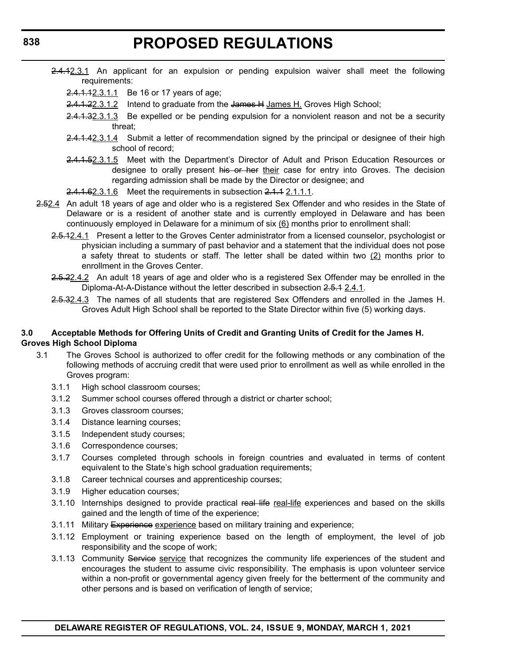- 2.4.12.3.1 An applicant for an expulsion or pending expulsion waiver shall meet the following requirements:
	- 2.4.1.12.3.1.1 Be 16 or 17 years of age;
	- 2.4.1.22.3.1.2 Intend to graduate from the James H James H. Groves High School;
	- 2.4.1.32.3.1.3 Be expelled or be pending expulsion for a nonviolent reason and not be a security threat;
	- 2.4.1.42.3.1.4 Submit a letter of recommendation signed by the principal or designee of their high school of record;
	- 2.4.1.52.3.1.5 Meet with the Department's Director of Adult and Prison Education Resources or designee to orally present his or her their case for entry into Groves. The decision regarding admission shall be made by the Director or designee; and
	- 2.4.1.62.3.1.6 Meet the requirements in subsection 2.1.1 2.1.1.1.
- 2.52.4 An adult 18 years of age and older who is a registered Sex Offender and who resides in the State of Delaware or is a resident of another state and is currently employed in Delaware and has been continuously employed in Delaware for a minimum of six  $(6)$  months prior to enrollment shall:
	- 2.5.12.4.1 Present a letter to the Groves Center administrator from a licensed counselor, psychologist or physician including a summary of past behavior and a statement that the individual does not pose a safety threat to students or staff. The letter shall be dated within two (2) months prior to enrollment in the Groves Center.
	- 2.5.22.4.2 An adult 18 years of age and older who is a registered Sex Offender may be enrolled in the Diploma-At-A-Distance without the letter described in subsection 2.5.1 2.4.1.
	- 2.5.32.4.3 The names of all students that are registered Sex Offenders and enrolled in the James H. Groves Adult High School shall be reported to the State Director within five (5) working days.

#### **3.0 Acceptable Methods for Offering Units of Credit and Granting Units of Credit for the James H. Groves High School Diploma**

- 3.1 The Groves School is authorized to offer credit for the following methods or any combination of the following methods of accruing credit that were used prior to enrollment as well as while enrolled in the Groves program:
	- 3.1.1 High school classroom courses;
	- 3.1.2 Summer school courses offered through a district or charter school;
	- 3.1.3 Groves classroom courses;
	- 3.1.4 Distance learning courses;
	- 3.1.5 Independent study courses;
	- 3.1.6 Correspondence courses;
	- 3.1.7 Courses completed through schools in foreign countries and evaluated in terms of content equivalent to the State's high school graduation requirements;
	- 3.1.8 Career technical courses and apprenticeship courses;
	- 3.1.9 Higher education courses;
	- 3.1.10 Internships designed to provide practical real life real-life experiences and based on the skills gained and the length of time of the experience;
	- 3.1.11 Military Experience experience based on military training and experience;
	- 3.1.12 Employment or training experience based on the length of employment, the level of job responsibility and the scope of work;
	- 3.1.13 Community Service service that recognizes the community life experiences of the student and encourages the student to assume civic responsibility. The emphasis is upon volunteer service within a non-profit or governmental agency given freely for the betterment of the community and other persons and is based on verification of length of service;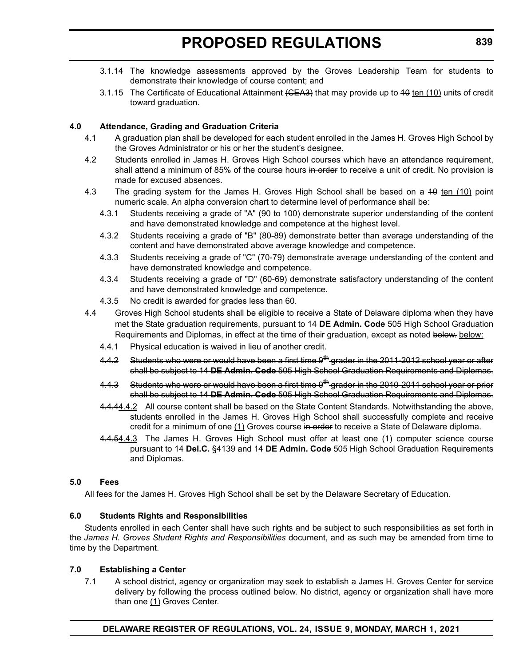- 3.1.14 The knowledge assessments approved by the Groves Leadership Team for students to demonstrate their knowledge of course content; and
- 3.1.15 The Certificate of Educational Attainment (CEA3) that may provide up to 40 ten (10) units of credit toward graduation.

### **4.0 Attendance, Grading and Graduation Criteria**

- 4.1 A graduation plan shall be developed for each student enrolled in the James H. Groves High School by the Groves Administrator or his or her the student's designee.
- 4.2 Students enrolled in James H. Groves High School courses which have an attendance requirement, shall attend a minimum of 85% of the course hours in order to receive a unit of credit. No provision is made for excused absences.
- 4.3 The grading system for the James H. Groves High School shall be based on a 40 ten (10) point numeric scale. An alpha conversion chart to determine level of performance shall be:
	- 4.3.1 Students receiving a grade of "A" (90 to 100) demonstrate superior understanding of the content and have demonstrated knowledge and competence at the highest level.
	- 4.3.2 Students receiving a grade of "B" (80-89) demonstrate better than average understanding of the content and have demonstrated above average knowledge and competence.
	- 4.3.3 Students receiving a grade of "C" (70-79) demonstrate average understanding of the content and have demonstrated knowledge and competence.
	- 4.3.4 Students receiving a grade of "D" (60-69) demonstrate satisfactory understanding of the content and have demonstrated knowledge and competence.
	- 4.3.5 No credit is awarded for grades less than 60.
- 4.4 Groves High School students shall be eligible to receive a State of Delaware diploma when they have met the State graduation requirements, pursuant to 14 **DE Admin. Code** 505 High School Graduation Requirements and Diplomas, in effect at the time of their graduation, except as noted below. below:
	- 4.4.1 Physical education is waived in lieu of another credit.
	- 4.4.2 Students who were or would have been a first time 9<sup>th</sup> grader in the 2011-2012 school year or after shall be subject to 14 **DE Admin. Code** 505 High School Graduation Requirements and Diplomas.
	- 4.4.3 Students who were or would have been a first time 9<sup>th</sup> grader in the 2010-2011 school year or prior shall be subject to 14 **DE Admin. Code** 505 High School Graduation Requirements and Diplomas.
	- 4.444.4.2 All course content shall be based on the State Content Standards. Notwithstanding the above, students enrolled in the James H. Groves High School shall successfully complete and receive credit for a minimum of one (1) Groves course in order to receive a State of Delaware diploma.
	- 4.4.54.4.3 The James H. Groves High School must offer at least one (1) computer science course pursuant to 14 **Del.C.** §4139 and 14 **DE Admin. Code** 505 High School Graduation Requirements and Diplomas.

#### **5.0 Fees**

All fees for the James H. Groves High School shall be set by the Delaware Secretary of Education.

### **6.0 Students Rights and Responsibilities**

Students enrolled in each Center shall have such rights and be subject to such responsibilities as set forth in the *James H. Groves Student Rights and Responsibilities* document, and as such may be amended from time to time by the Department.

### **7.0 Establishing a Center**

7.1 A school district, agency or organization may seek to establish a James H. Groves Center for service delivery by following the process outlined below. No district, agency or organization shall have more than one (1) Groves Center.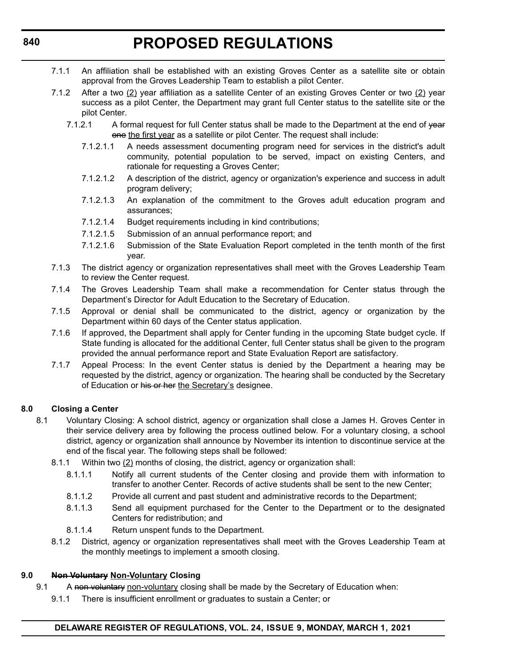- 7.1.1 An affiliation shall be established with an existing Groves Center as a satellite site or obtain approval from the Groves Leadership Team to establish a pilot Center.
- 7.1.2 After a two  $(2)$  year affiliation as a satellite Center of an existing Groves Center or two  $(2)$  year success as a pilot Center, the Department may grant full Center status to the satellite site or the pilot Center.
	- 7.1.2.1 A formal request for full Center status shall be made to the Department at the end of year one the first year as a satellite or pilot Center. The request shall include:
		- 7.1.2.1.1 A needs assessment documenting program need for services in the district's adult community, potential population to be served, impact on existing Centers, and rationale for requesting a Groves Center;
		- 7.1.2.1.2 A description of the district, agency or organization's experience and success in adult program delivery;
		- 7.1.2.1.3 An explanation of the commitment to the Groves adult education program and assurances;
		- 7.1.2.1.4 Budget requirements including in kind contributions;
		- 7.1.2.1.5 Submission of an annual performance report; and
		- 7.1.2.1.6 Submission of the State Evaluation Report completed in the tenth month of the first year.
- 7.1.3 The district agency or organization representatives shall meet with the Groves Leadership Team to review the Center request.
- 7.1.4 The Groves Leadership Team shall make a recommendation for Center status through the Department's Director for Adult Education to the Secretary of Education.
- 7.1.5 Approval or denial shall be communicated to the district, agency or organization by the Department within 60 days of the Center status application.
- 7.1.6 If approved, the Department shall apply for Center funding in the upcoming State budget cycle. If State funding is allocated for the additional Center, full Center status shall be given to the program provided the annual performance report and State Evaluation Report are satisfactory.
- 7.1.7 Appeal Process: In the event Center status is denied by the Department a hearing may be requested by the district, agency or organization. The hearing shall be conducted by the Secretary of Education or his or her the Secretary's designee.

### **8.0 Closing a Center**

- 8.1 Voluntary Closing: A school district, agency or organization shall close a James H. Groves Center in their service delivery area by following the process outlined below. For a voluntary closing, a school district, agency or organization shall announce by November its intention to discontinue service at the end of the fiscal year. The following steps shall be followed:
	- 8.1.1 Within two (2) months of closing, the district, agency or organization shall:
		- 8.1.1.1 Notify all current students of the Center closing and provide them with information to transfer to another Center. Records of active students shall be sent to the new Center;
		- 8.1.1.2 Provide all current and past student and administrative records to the Department;
		- 8.1.1.3 Send all equipment purchased for the Center to the Department or to the designated Centers for redistribution; and
		- 8.1.1.4 Return unspent funds to the Department.
	- 8.1.2 District, agency or organization representatives shall meet with the Groves Leadership Team at the monthly meetings to implement a smooth closing.

#### **9.0 Non Voluntary Non-Voluntary Closing**

- 9.1 A non voluntary non-voluntary closing shall be made by the Secretary of Education when:
	- 9.1.1 There is insufficient enrollment or graduates to sustain a Center; or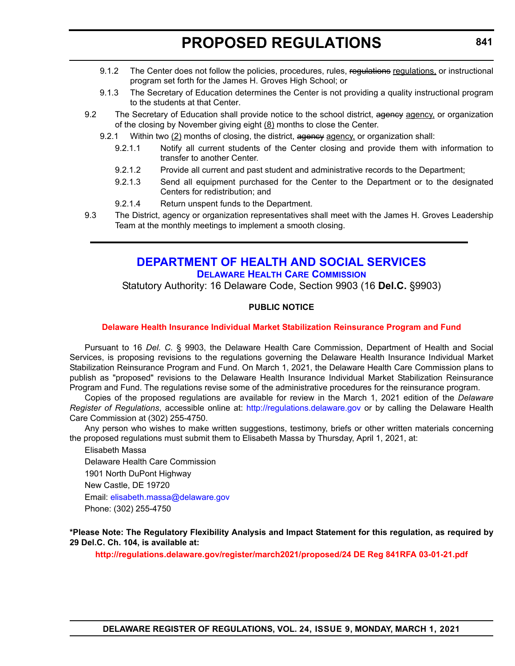- <span id="page-27-0"></span>9.1.2 The Center does not follow the policies, procedures, rules, regulations regulations, or instructional program set forth for the James H. Groves High School; or
- 9.1.3 The Secretary of Education determines the Center is not providing a quality instructional program to the students at that Center.
- 9.2 The Secretary of Education shall provide notice to the school district, agency agency, or organization of the closing by November giving eight  $(8)$  months to close the Center.
	- 9.2.1 Within two (2) months of closing, the district, agency agency, or organization shall:
		- 9.2.1.1 Notify all current students of the Center closing and provide them with information to transfer to another Center.
		- 9.2.1.2 Provide all current and past student and administrative records to the Department;
		- 9.2.1.3 Send all equipment purchased for the Center to the Department or to the designated Centers for redistribution; and
		- 9.2.1.4 Return unspent funds to the Department.
- 9.3 The District, agency or organization representatives shall meet with the James H. Groves Leadership Team at the monthly meetings to implement a smooth closing.

# **[DEPARTMENT OF HEALTH AND SOCIAL SERVICES](https://www.dhss.delaware.gov/dhss/index.html) [DELAWARE HEALTH CARE COMMISSION](https://https://dhss.delaware.gov/dhcc/)**

Statutory Authority: 16 Delaware Code, Section 9903 (16 **Del.C.** §9903)

### **PUBLIC NOTICE**

#### **[Delaware Health Insurance Individual Market Stabilization Reinsurance Program and Fund](#page-3-0)**

Pursuant to 16 *Del. C.* § 9903, the Delaware Health Care Commission, Department of Health and Social Services, is proposing revisions to the regulations governing the Delaware Health Insurance Individual Market Stabilization Reinsurance Program and Fund. On March 1, 2021, the Delaware Health Care Commission plans to publish as "proposed" revisions to the Delaware Health Insurance Individual Market Stabilization Reinsurance Program and Fund. The regulations revise some of the administrative procedures for the reinsurance program.

Copies of the proposed regulations are available for review in the March 1, 2021 edition of the *Delaware Register of Regulations*, accessible online at: <http://regulations.delaware.gov> or by calling the Delaware Health Care Commission at (302) 255-4750.

Any person who wishes to make written suggestions, testimony, briefs or other written materials concerning the proposed regulations must submit them to Elisabeth Massa by Thursday, April 1, 2021, at:

Elisabeth Massa Delaware Health Care Commission 1901 North DuPont Highway New Castle, DE 19720 Email: [elisabeth.massa@delaware.gov](mailto:elisabeth.massa@delaware.gov) Phone: (302) 255-4750

#### **\*Please Note: The Regulatory Flexibility Analysis and Impact Statement for this regulation, as required by 29 Del.C. Ch. 104, is available at:**

**<http://regulations.delaware.gov/register/march2021/proposed/24 DE Reg 841RFA 03-01-21.pdf>**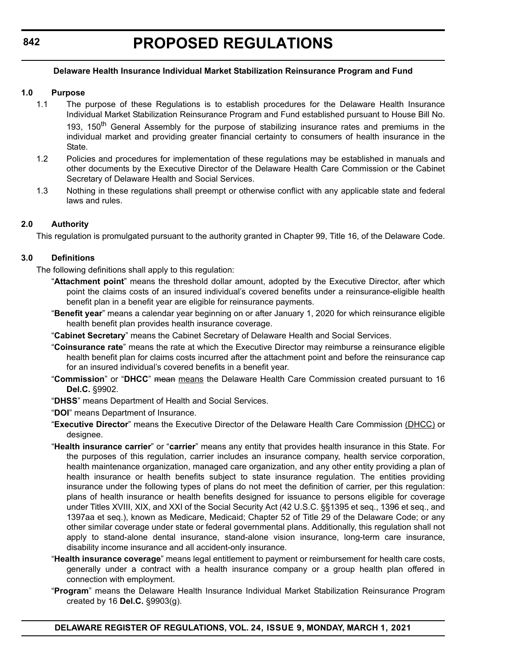### **842**

#### **Delaware Health Insurance Individual Market Stabilization Reinsurance Program and Fund**

#### **1.0 Purpose**

- 1.1 The purpose of these Regulations is to establish procedures for the Delaware Health Insurance Individual Market Stabilization Reinsurance Program and Fund established pursuant to House Bill No. 193. 150<sup>th</sup> General Assembly for the purpose of stabilizing insurance rates and premiums in the individual market and providing greater financial certainty to consumers of health insurance in the State.
- 1.2 Policies and procedures for implementation of these regulations may be established in manuals and other documents by the Executive Director of the Delaware Health Care Commission or the Cabinet Secretary of Delaware Health and Social Services.
- 1.3 Nothing in these regulations shall preempt or otherwise conflict with any applicable state and federal laws and rules.

### **2.0 Authority**

This regulation is promulgated pursuant to the authority granted in Chapter 99, Title 16, of the Delaware Code.

### **3.0 Definitions**

The following definitions shall apply to this regulation:

- "**Attachment point**" means the threshold dollar amount, adopted by the Executive Director, after which point the claims costs of an insured individual's covered benefits under a reinsurance-eligible health benefit plan in a benefit year are eligible for reinsurance payments.
- "**Benefit year**" means a calendar year beginning on or after January 1, 2020 for which reinsurance eligible health benefit plan provides health insurance coverage.
- "**Cabinet Secretary**" means the Cabinet Secretary of Delaware Health and Social Services.
- "**Coinsurance rate**" means the rate at which the Executive Director may reimburse a reinsurance eligible health benefit plan for claims costs incurred after the attachment point and before the reinsurance cap for an insured individual's covered benefits in a benefit year.
- "**Commission**" or "**DHCC**" mean means the Delaware Health Care Commission created pursuant to 16 **Del.C.** §9902.
- "**DHSS**" means Department of Health and Social Services.
- "**DOI**" means Department of Insurance.
- "**Executive Director**" means the Executive Director of the Delaware Health Care Commission (DHCC) or designee.
- "**Health insurance carrier**" or "**carrier**" means any entity that provides health insurance in this State. For the purposes of this regulation, carrier includes an insurance company, health service corporation, health maintenance organization, managed care organization, and any other entity providing a plan of health insurance or health benefits subject to state insurance regulation. The entities providing insurance under the following types of plans do not meet the definition of carrier, per this regulation: plans of health insurance or health benefits designed for issuance to persons eligible for coverage under Titles XVIII, XIX, and XXI of the Social Security Act (42 U.S.C. §§1395 et seq., 1396 et seq., and 1397aa et seq.), known as Medicare, Medicaid; Chapter 52 of Title 29 of the Delaware Code; or any other similar coverage under state or federal governmental plans. Additionally, this regulation shall not apply to stand-alone dental insurance, stand-alone vision insurance, long-term care insurance, disability income insurance and all accident-only insurance.
- "**Health insurance coverage**" means legal entitlement to payment or reimbursement for health care costs, generally under a contract with a health insurance company or a group health plan offered in connection with employment.
- "**Program**" means the Delaware Health Insurance Individual Market Stabilization Reinsurance Program created by 16 **Del.C.** §9903(g).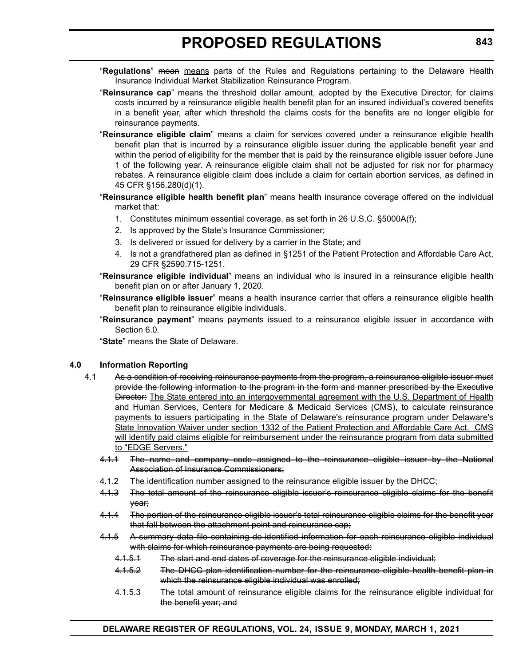- "**Regulations**" mean means parts of the Rules and Regulations pertaining to the Delaware Health Insurance Individual Market Stabilization Reinsurance Program.
- "**Reinsurance cap**" means the threshold dollar amount, adopted by the Executive Director, for claims costs incurred by a reinsurance eligible health benefit plan for an insured individual's covered benefits in a benefit year, after which threshold the claims costs for the benefits are no longer eligible for reinsurance payments.
- "**Reinsurance eligible claim**" means a claim for services covered under a reinsurance eligible health benefit plan that is incurred by a reinsurance eligible issuer during the applicable benefit year and within the period of eligibility for the member that is paid by the reinsurance eligible issuer before June 1 of the following year. A reinsurance eligible claim shall not be adjusted for risk nor for pharmacy rebates. A reinsurance eligible claim does include a claim for certain abortion services, as defined in 45 CFR §156.280(d)(1).
- "**Reinsurance eligible health benefit plan**" means health insurance coverage offered on the individual market that:
	- 1. Constitutes minimum essential coverage, as set forth in 26 U.S.C. §5000A(f);
	- 2. Is approved by the State's Insurance Commissioner;
	- 3. Is delivered or issued for delivery by a carrier in the State; and
	- 4. Is not a grandfathered plan as defined in §1251 of the Patient Protection and Affordable Care Act, 29 CFR §2590.715-1251.
- "**Reinsurance eligible individual**" means an individual who is insured in a reinsurance eligible health benefit plan on or after January 1, 2020.
- "**Reinsurance eligible issuer**" means a health insurance carrier that offers a reinsurance eligible health benefit plan to reinsurance eligible individuals.
- "**Reinsurance payment**" means payments issued to a reinsurance eligible issuer in accordance with Section 6.0.

"**State**" means the State of Delaware.

#### **4.0 Information Reporting**

- 4.1 As a condition of receiving reinsurance payments from the program, a reinsurance eligible issuer must provide the following information to the program in the form and manner prescribed by the Executive Director: The State entered into an intergovernmental agreement with the U.S. Department of Health and Human Services, Centers for Medicare & Medicaid Services (CMS), to calculate reinsurance payments to issuers participating in the State of Delaware's reinsurance program under Delaware's State Innovation Waiver under section 1332 of the Patient Protection and Affordable Care Act. CMS will identify paid claims eligible for reimbursement under the reinsurance program from data submitted to "EDGE Servers."
	- 4.1.1 The name and company code assigned to the reinsurance eligible issuer by the National Association of Insurance Commissioners;
	- 4.1.2 The identification number assigned to the reinsurance eligible issuer by the DHCC;
	- 4.1.3 The total amount of the reinsurance eligible issuer's reinsurance eligible claims for the benefit year;
	- 4.1.4 The portion of the reinsurance eligible issuer's total reinsurance eligible claims for the benefit year that fall between the attachment point and reinsurance cap;
	- 4.1.5 A summary data file containing de-identified information for each reinsurance eligible individual with claims for which reinsurance payments are being requested:
		- 4.1.5.1 The start and end dates of coverage for the reinsurance eligible individual;
		- 4.1.5.2 The DHCC plan identification number for the reinsurance eligible health benefit plan in which the reinsurance eligible individual was enrolled;
		- 4.1.5.3 The total amount of reinsurance eligible claims for the reinsurance eligible individual for the benefit year; and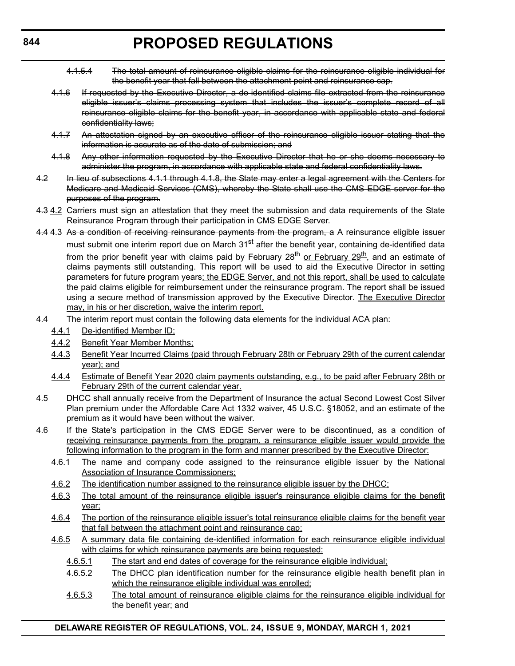- 4.1.5.4 The total amount of reinsurance eligible claims for the reinsurance eligible individual for the benefit year that fall between the attachment point and reinsurance cap.
- 4.1.6 If requested by the Executive Director, a de-identified claims file extracted from the reinsurance eligible issuer's claims processing system that includes the issuer's complete record of all reinsurance eligible claims for the benefit year, in accordance with applicable state and federal confidentiality laws;
- 4.1.7 An attestation signed by an executive officer of the reinsurance eligible issuer stating that the information is accurate as of the date of submission; and
- 4.1.8 Any other information requested by the Executive Director that he or she deems necessary to administer the program, in accordance with applicable state and federal confidentiality laws.
- 4.2 In lieu of subsections 4.1.1 through 4.1.8, the State may enter a legal agreement with the Centers for Medicare and Medicaid Services (CMS), whereby the State shall use the CMS EDGE server for the purposes of the program.
- 4.3 4.2 Carriers must sign an attestation that they meet the submission and data requirements of the State Reinsurance Program through their participation in CMS EDGE Server.
- 4.4  $4.3$  As a condition of receiving reinsurance payments from the program, a  $A$  reinsurance eligible issuer must submit one interim report due on March 31<sup>st</sup> after the benefit year, containing de-identified data from the prior benefit year with claims paid by February  $28^{th}$  or February  $29^{th}$ , and an estimate of claims payments still outstanding. This report will be used to aid the Executive Director in setting parameters for future program years; the EDGE Server, and not this report, shall be used to calculate the paid claims eligible for reimbursement under the reinsurance program. The report shall be issued using a secure method of transmission approved by the Executive Director. The Executive Director may, in his or her discretion, waive the interim report.
- 4.4 The interim report must contain the following data elements for the individual ACA plan:
	- 4.4.1 De-identified Member ID;
	- 4.4.2 Benefit Year Member Months;
	- 4.4.3 Benefit Year Incurred Claims (paid through February 28th or February 29th of the current calendar year); and
	- 4.4.4 Estimate of Benefit Year 2020 claim payments outstanding, e.g., to be paid after February 28th or February 29th of the current calendar year.
- 4.5 DHCC shall annually receive from the Department of Insurance the actual Second Lowest Cost Silver Plan premium under the Affordable Care Act 1332 waiver, 45 U.S.C. §18052, and an estimate of the premium as it would have been without the waiver.
- 4.6 If the State's participation in the CMS EDGE Server were to be discontinued, as a condition of receiving reinsurance payments from the program, a reinsurance eligible issuer would provide the following information to the program in the form and manner prescribed by the Executive Director:
	- 4.6.1 The name and company code assigned to the reinsurance eligible issuer by the National Association of Insurance Commissioners;
	- 4.6.2 The identification number assigned to the reinsurance eligible issuer by the DHCC;
	- 4.6.3 The total amount of the reinsurance eligible issuer's reinsurance eligible claims for the benefit year;
	- 4.6.4 The portion of the reinsurance eligible issuer's total reinsurance eligible claims for the benefit year that fall between the attachment point and reinsurance cap;
	- 4.6.5 A summary data file containing de-identified information for each reinsurance eligible individual with claims for which reinsurance payments are being requested:
		- 4.6.5.1 The start and end dates of coverage for the reinsurance eligible individual;
		- 4.6.5.2 The DHCC plan identification number for the reinsurance eligible health benefit plan in which the reinsurance eligible individual was enrolled;
		- 4.6.5.3 The total amount of reinsurance eligible claims for the reinsurance eligible individual for the benefit year; and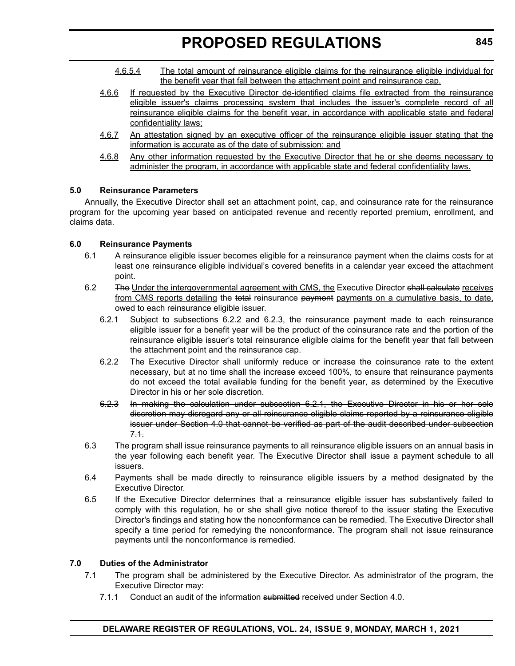- 4.6.5.4 The total amount of reinsurance eligible claims for the reinsurance eligible individual for the benefit year that fall between the attachment point and reinsurance cap.
- 4.6.6 If requested by the Executive Director de-identified claims file extracted from the reinsurance eligible issuer's claims processing system that includes the issuer's complete record of all reinsurance eligible claims for the benefit year, in accordance with applicable state and federal confidentiality laws;
- 4.6.7 An attestation signed by an executive officer of the reinsurance eligible issuer stating that the information is accurate as of the date of submission; and
- 4.6.8 Any other information requested by the Executive Director that he or she deems necessary to administer the program, in accordance with applicable state and federal confidentiality laws.

#### **5.0 Reinsurance Parameters**

Annually, the Executive Director shall set an attachment point, cap, and coinsurance rate for the reinsurance program for the upcoming year based on anticipated revenue and recently reported premium, enrollment, and claims data.

#### **6.0 Reinsurance Payments**

- 6.1 A reinsurance eligible issuer becomes eligible for a reinsurance payment when the claims costs for at least one reinsurance eligible individual's covered benefits in a calendar year exceed the attachment point.
- 6.2 The Under the intergovernmental agreement with CMS, the Executive Director shall calculate receives from CMS reports detailing the total reinsurance payment payments on a cumulative basis, to date, owed to each reinsurance eligible issuer.
	- 6.2.1 Subject to subsections 6.2.2 and 6.2.3, the reinsurance payment made to each reinsurance eligible issuer for a benefit year will be the product of the coinsurance rate and the portion of the reinsurance eligible issuer's total reinsurance eligible claims for the benefit year that fall between the attachment point and the reinsurance cap.
	- 6.2.2 The Executive Director shall uniformly reduce or increase the coinsurance rate to the extent necessary, but at no time shall the increase exceed 100%, to ensure that reinsurance payments do not exceed the total available funding for the benefit year, as determined by the Executive Director in his or her sole discretion.
	- 6.2.3 In making the calculation under subsection 6.2.1, the Executive Director in his or her sole discretion may disregard any or all reinsurance eligible claims reported by a reinsurance eligible issuer under Section 4.0 that cannot be verified as part of the audit described under subsection 7.1.
- 6.3 The program shall issue reinsurance payments to all reinsurance eligible issuers on an annual basis in the year following each benefit year. The Executive Director shall issue a payment schedule to all issuers.
- 6.4 Payments shall be made directly to reinsurance eligible issuers by a method designated by the Executive Director.
- 6.5 If the Executive Director determines that a reinsurance eligible issuer has substantively failed to comply with this regulation, he or she shall give notice thereof to the issuer stating the Executive Director's findings and stating how the nonconformance can be remedied. The Executive Director shall specify a time period for remedying the nonconformance. The program shall not issue reinsurance payments until the nonconformance is remedied.

#### **7.0 Duties of the Administrator**

- 7.1 The program shall be administered by the Executive Director. As administrator of the program, the Executive Director may:
	- 7.1.1 Conduct an audit of the information submitted received under Section 4.0.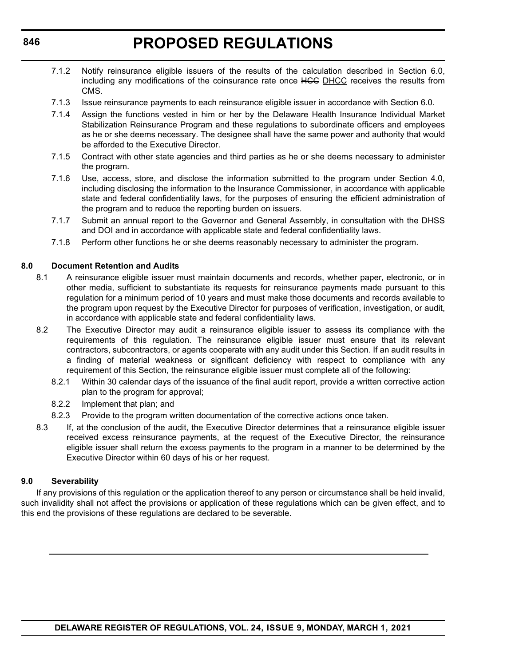- 7.1.2 Notify reinsurance eligible issuers of the results of the calculation described in Section 6.0, including any modifications of the coinsurance rate once HGG DHCC receives the results from CMS.
- 7.1.3 Issue reinsurance payments to each reinsurance eligible issuer in accordance with Section 6.0.
- 7.1.4 Assign the functions vested in him or her by the Delaware Health Insurance Individual Market Stabilization Reinsurance Program and these regulations to subordinate officers and employees as he or she deems necessary. The designee shall have the same power and authority that would be afforded to the Executive Director.
- 7.1.5 Contract with other state agencies and third parties as he or she deems necessary to administer the program.
- 7.1.6 Use, access, store, and disclose the information submitted to the program under Section 4.0, including disclosing the information to the Insurance Commissioner, in accordance with applicable state and federal confidentiality laws, for the purposes of ensuring the efficient administration of the program and to reduce the reporting burden on issuers.
- 7.1.7 Submit an annual report to the Governor and General Assembly, in consultation with the DHSS and DOI and in accordance with applicable state and federal confidentiality laws.
- 7.1.8 Perform other functions he or she deems reasonably necessary to administer the program.

#### **8.0 Document Retention and Audits**

- 8.1 A reinsurance eligible issuer must maintain documents and records, whether paper, electronic, or in other media, sufficient to substantiate its requests for reinsurance payments made pursuant to this regulation for a minimum period of 10 years and must make those documents and records available to the program upon request by the Executive Director for purposes of verification, investigation, or audit, in accordance with applicable state and federal confidentiality laws.
- 8.2 The Executive Director may audit a reinsurance eligible issuer to assess its compliance with the requirements of this regulation. The reinsurance eligible issuer must ensure that its relevant contractors, subcontractors, or agents cooperate with any audit under this Section. If an audit results in a finding of material weakness or significant deficiency with respect to compliance with any requirement of this Section, the reinsurance eligible issuer must complete all of the following:
	- 8.2.1 Within 30 calendar days of the issuance of the final audit report, provide a written corrective action plan to the program for approval;
	- 8.2.2 Implement that plan; and
	- 8.2.3 Provide to the program written documentation of the corrective actions once taken.
- 8.3 If, at the conclusion of the audit, the Executive Director determines that a reinsurance eligible issuer received excess reinsurance payments, at the request of the Executive Director, the reinsurance eligible issuer shall return the excess payments to the program in a manner to be determined by the Executive Director within 60 days of his or her request.

#### **9.0 Severability**

If any provisions of this regulation or the application thereof to any person or circumstance shall be held invalid, such invalidity shall not affect the provisions or application of these regulations which can be given effect, and to this end the provisions of these regulations are declared to be severable.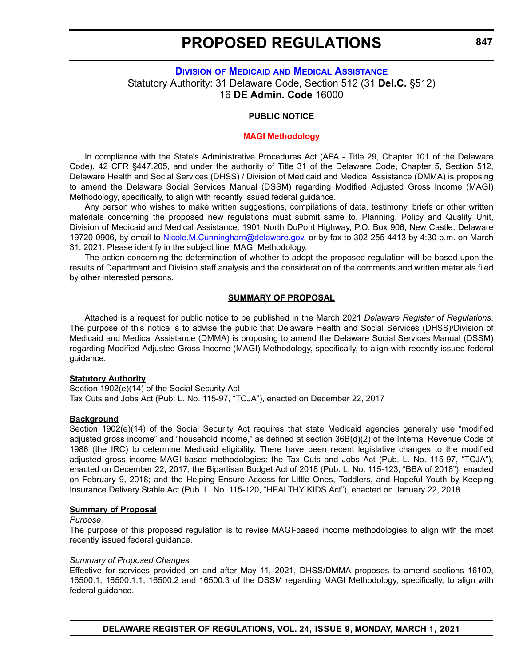### <span id="page-33-0"></span>**DIVISION OF MEDICAID [AND MEDICAL ASSISTANCE](https://www.dhss.delaware.gov/dhss/dmma/)** Statutory Authority: 31 Delaware Code, Section 512 (31 **Del.C.** §512) 16 **DE Admin. Code** 16000

#### **PUBLIC NOTICE**

#### **[MAGI Methodology](#page-3-0)**

In compliance with the State's Administrative Procedures Act (APA - Title 29, Chapter 101 of the Delaware Code), 42 CFR §447.205, and under the authority of Title 31 of the Delaware Code, Chapter 5, Section 512, Delaware Health and Social Services (DHSS) / Division of Medicaid and Medical Assistance (DMMA) is proposing to amend the Delaware Social Services Manual (DSSM) regarding Modified Adjusted Gross Income (MAGI) Methodology, specifically, to align with recently issued federal guidance.

Any person who wishes to make written suggestions, compilations of data, testimony, briefs or other written materials concerning the proposed new regulations must submit same to, Planning, Policy and Quality Unit, Division of Medicaid and Medical Assistance, 1901 North DuPont Highway, P.O. Box 906, New Castle, Delaware 19720-0906, by email to [Nicole.M.Cunningham@delaware.gov,](mailto:Nicole.M.Cunningham@delaware.gov) or by fax to 302-255-4413 by 4:30 p.m. on March 31, 2021. Please identify in the subject line: MAGI Methodology.

The action concerning the determination of whether to adopt the proposed regulation will be based upon the results of Department and Division staff analysis and the consideration of the comments and written materials filed by other interested persons.

#### **SUMMARY OF PROPOSAL**

Attached is a request for public notice to be published in the March 2021 *Delaware Register of Regulations*. The purpose of this notice is to advise the public that Delaware Health and Social Services (DHSS)/Division of Medicaid and Medical Assistance (DMMA) is proposing to amend the Delaware Social Services Manual (DSSM) regarding Modified Adjusted Gross Income (MAGI) Methodology, specifically, to align with recently issued federal guidance.

#### **Statutory Authority**

Section 1902(e)(14) of the Social Security Act Tax Cuts and Jobs Act (Pub. L. No. 115-97, "TCJA"), enacted on December 22, 2017

#### **Background**

Section 1902(e)(14) of the Social Security Act requires that state Medicaid agencies generally use "modified adjusted gross income" and "household income," as defined at section 36B(d)(2) of the Internal Revenue Code of 1986 (the IRC) to determine Medicaid eligibility. There have been recent legislative changes to the modified adjusted gross income MAGI-based methodologies: the Tax Cuts and Jobs Act (Pub. L. No. 115-97, "TCJA"), enacted on December 22, 2017; the Bipartisan Budget Act of 2018 (Pub. L. No. 115-123, "BBA of 2018"), enacted on February 9, 2018; and the Helping Ensure Access for Little Ones, Toddlers, and Hopeful Youth by Keeping Insurance Delivery Stable Act (Pub. L. No. 115-120, "HEALTHY KIDS Act"), enacted on January 22, 2018.

#### **Summary of Proposal**

#### *Purpose*

The purpose of this proposed regulation is to revise MAGI-based income methodologies to align with the most recently issued federal guidance.

#### *Summary of Proposed Changes*

Effective for services provided on and after May 11, 2021, DHSS/DMMA proposes to amend sections 16100, 16500.1, 16500.1.1, 16500.2 and 16500.3 of the DSSM regarding MAGI Methodology, specifically, to align with federal guidance.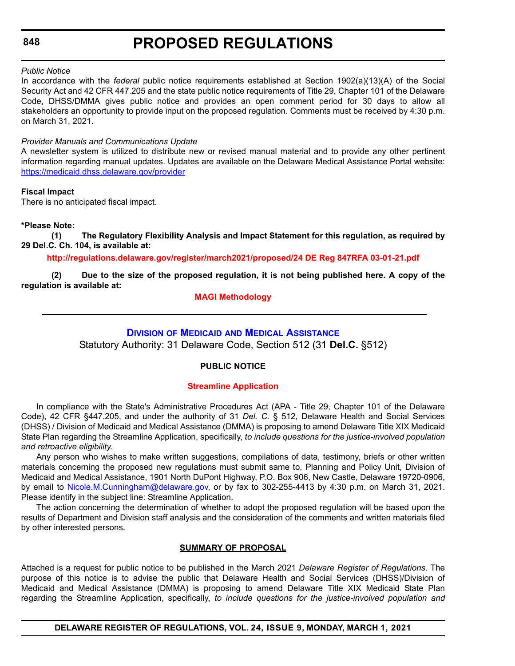#### <span id="page-34-0"></span>*Public Notice*

In accordance with the *federal* public notice requirements established at Section 1902(a)(13)(A) of the Social Security Act and 42 CFR 447.205 and the state public notice requirements of Title 29, Chapter 101 of the Delaware Code, DHSS/DMMA gives public notice and provides an open comment period for 30 days to allow all stakeholders an opportunity to provide input on the proposed regulation. Comments must be received by 4:30 p.m. on March 31, 2021.

#### *Provider Manuals and Communications Update*

A newsletter system is utilized to distribute new or revised manual material and to provide any other pertinent information regarding manual updates. Updates are available on the Delaware Medical Assistance Portal website: <https://medicaid.dhss.delaware.gov/provider>

#### **Fiscal Impact**

There is no anticipated fiscal impact.

#### **\*Please Note:**

**(1) The Regulatory Flexibility Analysis and Impact Statement for this regulation, as required by 29 Del.C. Ch. 104, is available at:**

#### **<http://regulations.delaware.gov/register/march2021/proposed/24 DE Reg 847RFA 03-01-21.pdf>**

**(2) Due to the size of the proposed regulation, it is not being published here. A copy of the regulation is available at:**

#### **[MAGI Methodology](http://regulations.delaware.gov/register/march2021/proposed/24 DE Reg 847 03-01-21.htm)**

# **DIVISION OF MEDICAID [AND MEDICAL ASSISTANCE](https://www.dhss.delaware.gov/dhss/dmma/)**

Statutory Authority: 31 Delaware Code, Section 512 (31 **Del.C.** §512)

#### **PUBLIC NOTICE**

#### **[Streamline Application](#page-3-0)**

In compliance with the State's Administrative Procedures Act (APA - Title 29, Chapter 101 of the Delaware Code), 42 CFR §447.205, and under the authority of 31 *Del. C.* § 512, Delaware Health and Social Services (DHSS) / Division of Medicaid and Medical Assistance (DMMA) is proposing to amend Delaware Title XIX Medicaid State Plan regarding the Streamline Application, specifically, *to include questions for the justice-involved population and retroactive eligibility.*

Any person who wishes to make written suggestions, compilations of data, testimony, briefs or other written materials concerning the proposed new regulations must submit same to, Planning and Policy Unit, Division of Medicaid and Medical Assistance, 1901 North DuPont Highway, P.O. Box 906, New Castle, Delaware 19720-0906, by email to [Nicole.M.Cunningham@delaware.gov,](mailto:Nicole.M.Cunningham@delaware.gov) or by fax to 302-255-4413 by 4:30 p.m. on March 31, 2021. Please identify in the subject line: Streamline Application.

The action concerning the determination of whether to adopt the proposed regulation will be based upon the results of Department and Division staff analysis and the consideration of the comments and written materials filed by other interested persons.

#### **SUMMARY OF PROPOSAL**

Attached is a request for public notice to be published in the March 2021 *Delaware Register of Regulations*. The purpose of this notice is to advise the public that Delaware Health and Social Services (DHSS)/Division of Medicaid and Medical Assistance (DMMA) is proposing to amend Delaware Title XIX Medicaid State Plan regarding the Streamline Application, specifically, *to include questions for the justice-involved population and*

**DELAWARE REGISTER OF REGULATIONS, VOL. 24, ISSUE 9, MONDAY, MARCH 1, 2021**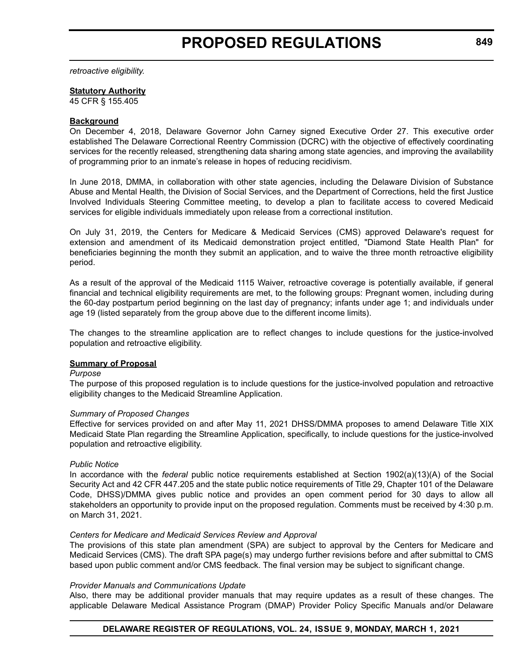*retroactive eligibility.* 

#### **Statutory Authority**

45 CFR § 155.405

#### **Background**

On December 4, 2018, Delaware Governor John Carney signed Executive Order 27. This executive order established The Delaware Correctional Reentry Commission (DCRC) with the objective of effectively coordinating services for the recently released, strengthening data sharing among state agencies, and improving the availability of programming prior to an inmate's release in hopes of reducing recidivism.

In June 2018, DMMA, in collaboration with other state agencies, including the Delaware Division of Substance Abuse and Mental Health, the Division of Social Services, and the Department of Corrections, held the first Justice Involved Individuals Steering Committee meeting, to develop a plan to facilitate access to covered Medicaid services for eligible individuals immediately upon release from a correctional institution.

On July 31, 2019, the Centers for Medicare & Medicaid Services (CMS) approved Delaware's request for extension and amendment of its Medicaid demonstration project entitled, "Diamond State Health Plan" for beneficiaries beginning the month they submit an application, and to waive the three month retroactive eligibility period.

As a result of the approval of the Medicaid 1115 Waiver, retroactive coverage is potentially available, if general financial and technical eligibility requirements are met, to the following groups: Pregnant women, including during the 60-day postpartum period beginning on the last day of pregnancy; infants under age 1; and individuals under age 19 (listed separately from the group above due to the different income limits).

The changes to the streamline application are to reflect changes to include questions for the justice-involved population and retroactive eligibility.

#### **Summary of Proposal**

#### *Purpose*

The purpose of this proposed regulation is to include questions for the justice-involved population and retroactive eligibility changes to the Medicaid Streamline Application.

#### *Summary of Proposed Changes*

Effective for services provided on and after May 11, 2021 DHSS/DMMA proposes to amend Delaware Title XIX Medicaid State Plan regarding the Streamline Application, specifically, to include questions for the justice-involved population and retroactive eligibility.

#### *Public Notice*

In accordance with the *federal* public notice requirements established at Section 1902(a)(13)(A) of the Social Security Act and 42 CFR 447.205 and the state public notice requirements of Title 29, Chapter 101 of the Delaware Code, DHSS)/DMMA gives public notice and provides an open comment period for 30 days to allow all stakeholders an opportunity to provide input on the proposed regulation. Comments must be received by 4:30 p.m. on March 31, 2021.

#### *Centers for Medicare and Medicaid Services Review and Approval*

The provisions of this state plan amendment (SPA) are subject to approval by the Centers for Medicare and Medicaid Services (CMS). The draft SPA page(s) may undergo further revisions before and after submittal to CMS based upon public comment and/or CMS feedback. The final version may be subject to significant change.

#### *Provider Manuals and Communications Update*

Also, there may be additional provider manuals that may require updates as a result of these changes. The applicable Delaware Medical Assistance Program (DMAP) Provider Policy Specific Manuals and/or Delaware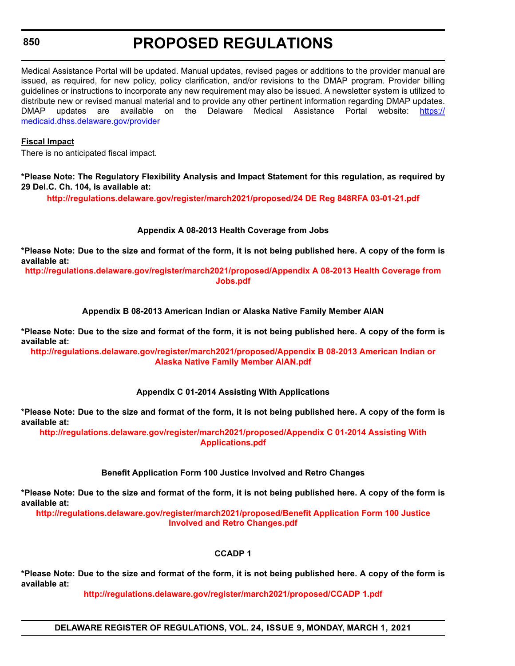# **PROPOSED REGULATIONS**

Medical Assistance Portal will be updated. Manual updates, revised pages or additions to the provider manual are issued, as required, for new policy, policy clarification, and/or revisions to the DMAP program. Provider billing guidelines or instructions to incorporate any new requirement may also be issued. A newsletter system is utilized to distribute new or revised manual material and to provide any other pertinent information regarding DMAP updates. DMAP updates are available on the Delaware Medical Assistance Portal website: [https://](https://medicaid.dhss.delaware.gov/provider) [medicaid.dhss.delaware.gov/provider](https://medicaid.dhss.delaware.gov/provider)

#### **Fiscal Impact**

There is no anticipated fiscal impact.

**\*Please Note: The Regulatory Flexibility Analysis and Impact Statement for this regulation, as required by 29 Del.C. Ch. 104, is available at:**

**<http://regulations.delaware.gov/register/march2021/proposed/24 DE Reg 848RFA 03-01-21.pdf>**

#### **Appendix A 08-2013 Health Coverage from Jobs**

**\*Please Note: Due to the size and format of the form, it is not being published here. A copy of the form is available at:**

**[http://regulations.delaware.gov/register/march2021/proposed/Appendix A 08-2013 Health Coverage from](http://regulations.delaware.gov/register/march2021/proposed/Appendix A 08-2013 Health Coverage from Jobs.pdf)  Jobs.pdf**

#### **Appendix B 08-2013 American Indian or Alaska Native Family Member AIAN**

**\*Please Note: Due to the size and format of the form, it is not being published here. A copy of the form is available at:**

**[http://regulations.delaware.gov/register/march2021/proposed/Appendix B 08-2013 American Indian or](http://regulations.delaware.gov/register/march2021/proposed/Appendix B 08-2013 American Indian or Alaska Native Family Member AIAN)  Alaska Native Family Member AIAN.pdf**

#### **Appendix C 01-2014 Assisting With Applications**

**\*Please Note: Due to the size and format of the form, it is not being published here. A copy of the form is available at:**

**[http://regulations.delaware.gov/register/march2021/proposed/Appendix C 01-2014 Assisting With](http://regulations.delaware.gov/register/march2021/proposed/Appendix C 01-2014 Assisting With Applications.pdf)  Applications.pdf**

#### **Benefit Application Form 100 Justice Involved and Retro Changes**

**\*Please Note: Due to the size and format of the form, it is not being published here. A copy of the form is available at:**

**[http://regulations.delaware.gov/register/march2021/proposed/Benefit Application Form 100 Justice](http://regulations.delaware.gov/register/march2021/proposed/Benefit Application Form 100 Justice Involved and Retro Changes.pdf)  Involved and Retro Changes.pdf**

#### **CCADP 1**

**\*Please Note: Due to the size and format of the form, it is not being published here. A copy of the form is available at:**

**<http://regulations.delaware.gov/register/march2021/proposed/CCADP 1.pdf>**

**DELAWARE REGISTER OF REGULATIONS, VOL. 24, ISSUE 9, MONDAY, MARCH 1, 2021**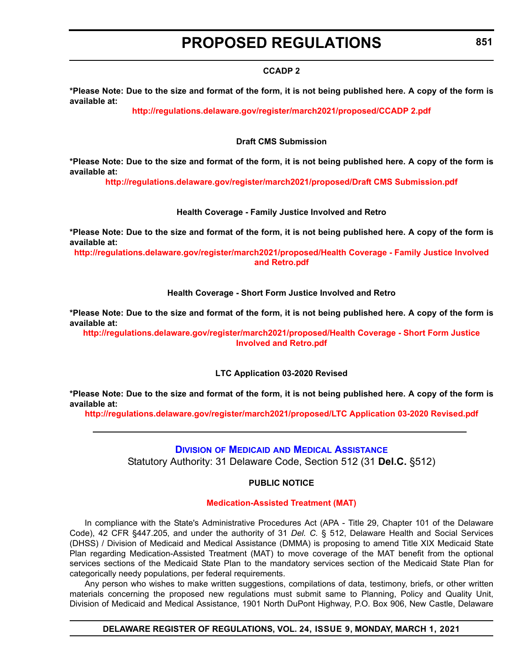#### **CCADP 2**

**\*Please Note: Due to the size and format of the form, it is not being published here. A copy of the form is available at:**

**<http://regulations.delaware.gov/register/march2021/proposed/CCADP 2.pdf>**

#### **Draft CMS Submission**

**\*Please Note: Due to the size and format of the form, it is not being published here. A copy of the form is available at:**

**<http://regulations.delaware.gov/register/march2021/proposed/Draft CMS Submission.pdf>**

#### **Health Coverage - Family Justice Involved and Retro**

**\*Please Note: Due to the size and format of the form, it is not being published here. A copy of the form is available at:**

**[http://regulations.delaware.gov/register/march2021/proposed/Health Coverage - Family Justice Involved](http://regulations.delaware.gov/register/march2021/proposed/Health Coverage - Family Justice Involved and Retro.pdf)  and Retro.pdf**

#### **Health Coverage - Short Form Justice Involved and Retro**

**\*Please Note: Due to the size and format of the form, it is not being published here. A copy of the form is available at:**

**[http://regulations.delaware.gov/register/march2021/proposed/Health Coverage - Short Form Justice](http://regulations.delaware.gov/register/march2021/proposed/Health Coverage - Short Form Justice Involved and Retro.pdf)  Involved and Retro.pdf**

#### **LTC Application 03-2020 Revised**

**\*Please Note: Due to the size and format of the form, it is not being published here. A copy of the form is available at:**

**<http://regulations.delaware.gov/register/march2021/proposed/LTC Application 03-2020 Revised.pdf>**

**DIVISION OF MEDICAID [AND MEDICAL ASSISTANCE](https://www.dhss.delaware.gov/dhss/dmma/)** Statutory Authority: 31 Delaware Code, Section 512 (31 **Del.C.** §512)

### **PUBLIC NOTICE**

#### **[Medication-Assisted Treatment \(MAT\)](#page-3-0)**

In compliance with the State's Administrative Procedures Act (APA - Title 29, Chapter 101 of the Delaware Code), 42 CFR §447.205, and under the authority of 31 *Del. C.* § 512, Delaware Health and Social Services (DHSS) / Division of Medicaid and Medical Assistance (DMMA) is proposing to amend Title XIX Medicaid State Plan regarding Medication-Assisted Treatment (MAT) to move coverage of the MAT benefit from the optional services sections of the Medicaid State Plan to the mandatory services section of the Medicaid State Plan for categorically needy populations, per federal requirements.

Any person who wishes to make written suggestions, compilations of data, testimony, briefs, or other written materials concerning the proposed new regulations must submit same to Planning, Policy and Quality Unit, Division of Medicaid and Medical Assistance, 1901 North DuPont Highway, P.O. Box 906, New Castle, Delaware

**DELAWARE REGISTER OF REGULATIONS, VOL. 24, ISSUE 9, MONDAY, MARCH 1, 2021**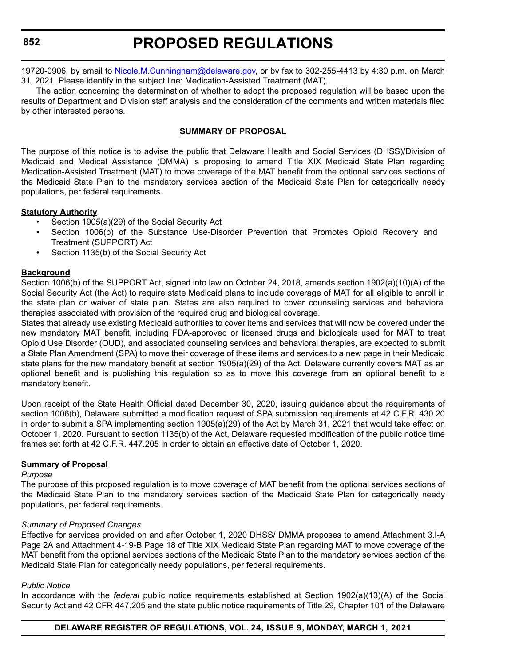# **PROPOSED REGULATIONS**

19720-0906, by email to [Nicole.M.Cunningham@delaware.gov,](mailto:Nicole.M.Cunningham@delaware.gov) or by fax to 302-255-4413 by 4:30 p.m. on March 31, 2021. Please identify in the subject line: Medication-Assisted Treatment (MAT).

The action concerning the determination of whether to adopt the proposed regulation will be based upon the results of Department and Division staff analysis and the consideration of the comments and written materials filed by other interested persons.

#### **SUMMARY OF PROPOSAL**

The purpose of this notice is to advise the public that Delaware Health and Social Services (DHSS)/Division of Medicaid and Medical Assistance (DMMA) is proposing to amend Title XIX Medicaid State Plan regarding Medication-Assisted Treatment (MAT) to move coverage of the MAT benefit from the optional services sections of the Medicaid State Plan to the mandatory services section of the Medicaid State Plan for categorically needy populations, per federal requirements.

#### **Statutory Authority**

- Section 1905(a)(29) of the Social Security Act
- Section 1006(b) of the Substance Use-Disorder Prevention that Promotes Opioid Recovery and Treatment (SUPPORT) Act
- Section 1135(b) of the Social Security Act

#### **Background**

Section 1006(b) of the SUPPORT Act, signed into law on October 24, 2018, amends section 1902(a)(10)(A) of the Social Security Act (the Act) to require state Medicaid plans to include coverage of MAT for all eligible to enroll in the state plan or waiver of state plan. States are also required to cover counseling services and behavioral therapies associated with provision of the required drug and biological coverage.

States that already use existing Medicaid authorities to cover items and services that will now be covered under the new mandatory MAT benefit, including FDA-approved or licensed drugs and biologicals used for MAT to treat Opioid Use Disorder (OUD), and associated counseling services and behavioral therapies, are expected to submit a State Plan Amendment (SPA) to move their coverage of these items and services to a new page in their Medicaid state plans for the new mandatory benefit at section 1905(a)(29) of the Act. Delaware currently covers MAT as an optional benefit and is publishing this regulation so as to move this coverage from an optional benefit to a mandatory benefit.

Upon receipt of the State Health Official dated December 30, 2020, issuing guidance about the requirements of section 1006(b), Delaware submitted a modification request of SPA submission requirements at 42 C.F.R. 430.20 in order to submit a SPA implementing section 1905(a)(29) of the Act by March 31, 2021 that would take effect on October 1, 2020. Pursuant to section 1135(b) of the Act, Delaware requested modification of the public notice time frames set forth at 42 C.F.R. 447.205 in order to obtain an effective date of October 1, 2020.

#### **Summary of Proposal**

#### *Purpose*

The purpose of this proposed regulation is to move coverage of MAT benefit from the optional services sections of the Medicaid State Plan to the mandatory services section of the Medicaid State Plan for categorically needy populations, per federal requirements.

#### *Summary of Proposed Changes*

Effective for services provided on and after October 1, 2020 DHSS/ DMMA proposes to amend Attachment 3.l-A Page 2A and Attachment 4-19-B Page 18 of Title XIX Medicaid State Plan regarding MAT to move coverage of the MAT benefit from the optional services sections of the Medicaid State Plan to the mandatory services section of the Medicaid State Plan for categorically needy populations, per federal requirements.

#### *Public Notice*

In accordance with the *federal* public notice requirements established at Section 1902(a)(13)(A) of the Social Security Act and 42 CFR 447.205 and the state public notice requirements of Title 29, Chapter 101 of the Delaware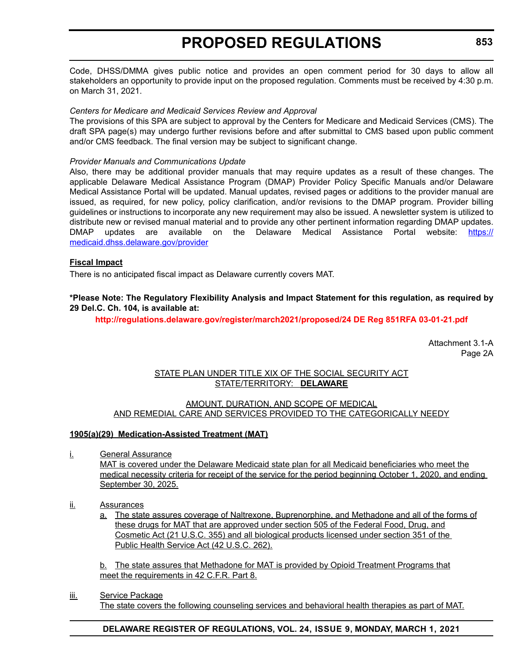Code, DHSS/DMMA gives public notice and provides an open comment period for 30 days to allow all stakeholders an opportunity to provide input on the proposed regulation. Comments must be received by 4:30 p.m. on March 31, 2021.

#### *Centers for Medicare and Medicaid Services Review and Approval*

The provisions of this SPA are subject to approval by the Centers for Medicare and Medicaid Services (CMS). The draft SPA page(s) may undergo further revisions before and after submittal to CMS based upon public comment and/or CMS feedback. The final version may be subject to significant change.

#### *Provider Manuals and Communications Update*

Also, there may be additional provider manuals that may require updates as a result of these changes. The applicable Delaware Medical Assistance Program (DMAP) Provider Policy Specific Manuals and/or Delaware Medical Assistance Portal will be updated. Manual updates, revised pages or additions to the provider manual are issued, as required, for new policy, policy clarification, and/or revisions to the DMAP program. Provider billing guidelines or instructions to incorporate any new requirement may also be issued. A newsletter system is utilized to distribute new or revised manual material and to provide any other pertinent information regarding DMAP updates. DMAP updates are available on the Delaware Medical Assistance Portal website: [https://](https://medicaid.dhss.delaware.gov/provider) [medicaid.dhss.delaware.gov/provider](https://medicaid.dhss.delaware.gov/provider)

#### **Fiscal Impact**

There is no anticipated fiscal impact as Delaware currently covers MAT.

#### **\*Please Note: The Regulatory Flexibility Analysis and Impact Statement for this regulation, as required by 29 Del.C. Ch. 104, is available at:**

**<http://regulations.delaware.gov/register/march2021/proposed/24 DE Reg 851RFA 03-01-21.pdf>**

Attachment 3.1-A Page 2A

#### STATE PLAN UNDER TITLE XIX OF THE SOCIAL SECURITY ACT STATE/TERRITORY: **DELAWARE**

#### AMOUNT, DURATION, AND SCOPE OF MEDICAL AND REMEDIAL CARE AND SERVICES PROVIDED TO THE CATEGORICALLY NEEDY

#### **1905(a)(29) Medication-Assisted Treatment (MAT)**

i. General Assurance

MAT is covered under the Delaware Medicaid state plan for all Medicaid beneficiaries who meet the medical necessity criteria for receipt of the service for the period beginning October 1, 2020, and ending September 30, 2025.

- ii. Assurances
	- a. The state assures coverage of Naltrexone, Buprenorphine, and Methadone and all of the forms of these drugs for MAT that are approved under section 505 of the Federal Food, Drug, and Cosmetic Act (21 U.S.C. 355) and all biological products licensed under section 351 of the Public Health Service Act (42 U.S.C. 262).

b. The state assures that Methadone for MAT is provided by Opioid Treatment Programs that meet the requirements in 42 C.F.R. Part 8.

iii. Service Package

The state covers the following counseling services and behavioral health therapies as part of MAT.

#### **DELAWARE REGISTER OF REGULATIONS, VOL. 24, ISSUE 9, MONDAY, MARCH 1, 2021**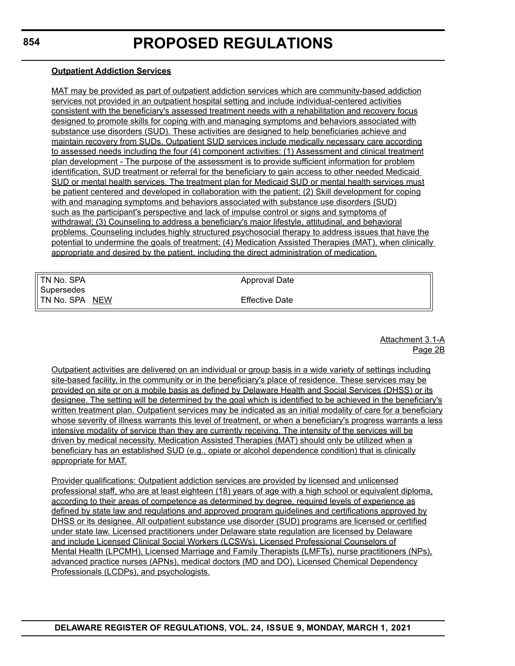#### **Outpatient Addiction Services**

MAT may be provided as part of outpatient addiction services which are community-based addiction services not provided in an outpatient hospital setting and include individual-centered activities consistent with the beneficiary's assessed treatment needs with a rehabilitation and recovery focus designed to promote skills for coping with and managing symptoms and behaviors associated with substance use disorders (SUD). These activities are designed to help beneficiaries achieve and maintain recovery from SUDs. Outpatient SUD services include medically necessary care according to assessed needs including the four (4) component activities: (1) Assessment and clinical treatment plan development - The purpose of the assessment is to provide sufficient information for problem identification, SUD treatment or referral for the beneficiary to gain access to other needed Medicaid SUD or mental health services. The treatment plan for Medicaid SUD or mental health services must be patient centered and developed in collaboration with the patient; (2) Skill development for coping with and managing symptoms and behaviors associated with substance use disorders (SUD) such as the participant's perspective and lack of impulse control or signs and symptoms of withdrawal; (3) Counseling to address a beneficiary's major lifestyle, attitudinal, and behavioral problems. Counseling includes highly structured psychosocial therapy to address issues that have the potential to undermine the goals of treatment; (4) Medication Assisted Therapies (MAT), when clinically appropriate and desired by the patient, including the direct administration of medication.

| TN No. SPA     | Approval Date         |  |
|----------------|-----------------------|--|
| Supersedes     |                       |  |
| TN No. SPA NEW | <b>Effective Date</b> |  |

Attachment 3.1-A Page 2B

Outpatient activities are delivered on an individual or group basis in a wide variety of settings including site-based facility, in the community or in the beneficiary's place of residence. These services may be provided on site or on a mobile basis as defined by Delaware Health and Social Services (DHSS) or its designee. The setting will be determined by the goal which is identified to be achieved in the beneficiary's written treatment plan. Outpatient services may be indicated as an initial modality of care for a beneficiary whose severity of illness warrants this level of treatment, or when a beneficiary's progress warrants a less intensive modality of service than they are currently receiving. The intensity of the services will be driven by medical necessity. Medication Assisted Therapies (MAT) should only be utilized when a beneficiary has an established SUD (e.g., opiate or alcohol dependence condition) that is clinically appropriate for MAT.

Provider qualifications: Outpatient addiction services are provided by licensed and unlicensed professional staff, who are at least eighteen (18) years of age with a high school or equivalent diploma, according to their areas of competence as determined by degree, required levels of experience as defined by state law and regulations and approved program guidelines and certifications approved by DHSS or its designee. All outpatient substance use disorder (SUD) programs are licensed or certified under state law. Licensed practitioners under Delaware state regulation are licensed by Delaware and include Licensed Clinical Social Workers (LCSWs), Licensed Professional Counselors of Mental Health (LPCMH), Licensed Marriage and Family Therapists (LMFTs), nurse practitioners (NPs), advanced practice nurses (APNs), medical doctors (MD and DO), Licensed Chemical Dependency Professionals (LCDPs), and psychologists.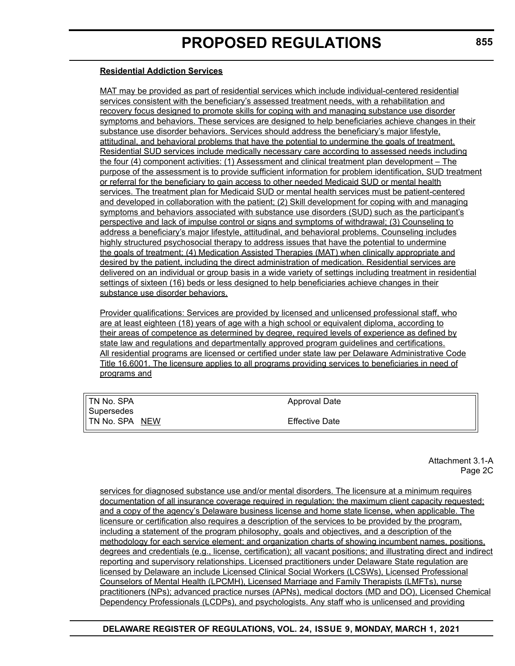#### **Residential Addiction Services**

MAT may be provided as part of residential services which include individual-centered residential services consistent with the beneficiary's assessed treatment needs, with a rehabilitation and recovery focus designed to promote skills for coping with and managing substance use disorder symptoms and behaviors. These services are designed to help beneficiaries achieve changes in their substance use disorder behaviors. Services should address the beneficiary's major lifestyle, attitudinal, and behavioral problems that have the potential to undermine the goals of treatment. Residential SUD services include medically necessary care according to assessed needs including the four (4) component activities: (1) Assessment and clinical treatment plan development – The purpose of the assessment is to provide sufficient information for problem identification, SUD treatment or referral for the beneficiary to gain access to other needed Medicaid SUD or mental health services. The treatment plan for Medicaid SUD or mental health services must be patient-centered and developed in collaboration with the patient; (2) Skill development for coping with and managing symptoms and behaviors associated with substance use disorders (SUD) such as the participant's perspective and lack of impulse control or signs and symptoms of withdrawal; (3) Counseling to address a beneficiary's major lifestyle, attitudinal, and behavioral problems. Counseling includes highly structured psychosocial therapy to address issues that have the potential to undermine the goals of treatment; (4) Medication Assisted Therapies (MAT) when clinically appropriate and desired by the patient, including the direct administration of medication. Residential services are delivered on an individual or group basis in a wide variety of settings including treatment in residential settings of sixteen (16) beds or less designed to help beneficiaries achieve changes in their substance use disorder behaviors.

Provider qualifications: Services are provided by licensed and unlicensed professional staff, who are at least eighteen (18) years of age with a high school or equivalent diploma, according to their areas of competence as determined by degree, required levels of experience as defined by state law and regulations and departmentally approved program guidelines and certifications. All residential programs are licensed or certified under state law per Delaware Administrative Code Title 16.6001. The licensure applies to all programs providing services to beneficiaries in need of programs and

| TN No. SPA     | Approval Date         |
|----------------|-----------------------|
| Supersedes     |                       |
| TN No. SPA NEW | <b>Effective Date</b> |
|                |                       |

Attachment 3.1-A Page 2C

services for diagnosed substance use and/or mental disorders. The licensure at a minimum requires documentation of all insurance coverage required in regulation; the maximum client capacity requested; and a copy of the agency's Delaware business license and home state license, when applicable. The licensure or certification also requires a description of the services to be provided by the program, including a statement of the program philosophy, goals and objectives, and a description of the methodology for each service element; and organization charts of showing incumbent names, positions, degrees and credentials (e.g., license, certification); all vacant positions; and illustrating direct and indirect reporting and supervisory relationships. Licensed practitioners under Delaware State regulation are licensed by Delaware an include Licensed Clinical Social Workers (LCSWs), Licensed Professional Counselors of Mental Health (LPCMH), Licensed Marriage and Family Therapists (LMFTs), nurse practitioners (NPs); advanced practice nurses (APNs), medical doctors (MD and DO), Licensed Chemical Dependency Professionals (LCDPs), and psychologists. Any staff who is unlicensed and providing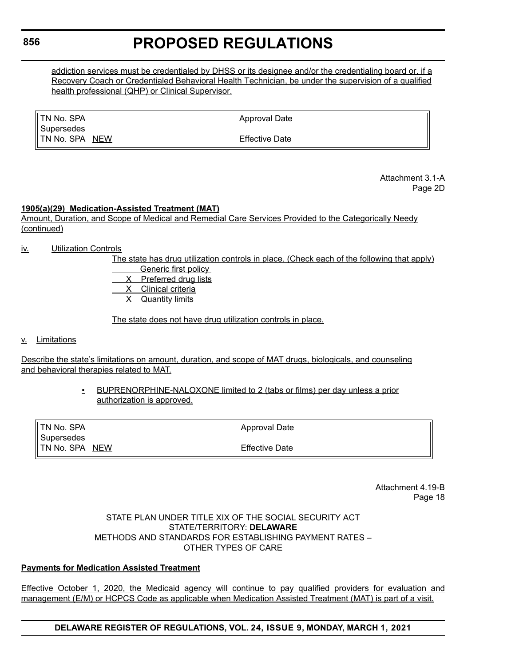addiction services must be credentialed by DHSS or its designee and/or the credentialing board or, if a Recovery Coach or Credentialed Behavioral Health Technician, be under the supervision of a qualified health professional (QHP) or Clinical Supervisor.

| II TN No. SPA         | Approval Date         |  |
|-----------------------|-----------------------|--|
| Il Supersedes         |                       |  |
| <b>TN No. SPA NEW</b> | <b>Effective Date</b> |  |

Attachment 3.1-A Page 2D

#### **1905(a)(29) Medication-Assisted Treatment (MAT)**

Amount, Duration, and Scope of Medical and Remedial Care Services Provided to the Categorically Needy (continued)

- iv. Utilization Controls
	- The state has drug utilization controls in place. (Check each of the following that apply)

 Generic first policy X Preferred drug lists

X Clinical criteria

X Quantity limits

The state does not have drug utilization controls in place.

#### v. Limitations

Describe the state's limitations on amount, duration, and scope of MAT drugs, biologicals, and counseling and behavioral therapies related to MAT.

> • BUPRENORPHINE-NALOXONE limited to 2 (tabs or films) per day unless a prior authorization is approved.

| <b>Effective Date</b> |
|-----------------------|
|                       |

Attachment 4.19-B Page 18

STATE PLAN UNDER TITLE XIX OF THE SOCIAL SECURITY ACT STATE/TERRITORY: **DELAWARE** METHODS AND STANDARDS FOR ESTABLISHING PAYMENT RATES – OTHER TYPES OF CARE

#### **Payments for Medication Assisted Treatment**

Effective October 1, 2020, the Medicaid agency will continue to pay qualified providers for evaluation and management (E/M) or HCPCS Code as applicable when Medication Assisted Treatment (MAT) is part of a visit.

**DELAWARE REGISTER OF REGULATIONS, VOL. 24, ISSUE 9, MONDAY, MARCH 1, 2021**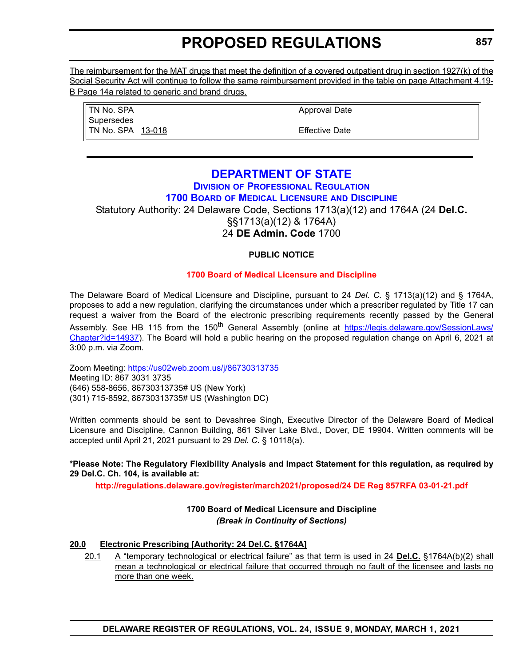The reimbursement for the MAT drugs that meet the definition of a covered outpatient drug in section 1927(k) of the Social Security Act will continue to follow the same reimbursement provided in the table on page Attachment 4.19- B Page 14a related to generic and brand drugs.

| TN No. SPA        |
|-------------------|
| Supersedes        |
| TN No. SPA 13-018 |
|                   |

Approval Date

Effective Date

### **[DEPARTMENT OF STATE](https://sos.delaware.gov/)**

### **DIVISION [OF PROFESSIONAL REGULATION](https://dpr.delaware.gov/)**

### **1700 BOARD [OF MEDICAL LICENSURE](https://dpr.delaware.gov/boards/medicalpractice/) AND DISCIPLINE**

Statutory Authority: 24 Delaware Code, Sections 1713(a)(12) and 1764A (24 **Del.C.** §§1713(a)(12) & 1764A) 24 **DE Admin. Code** 1700

### **PUBLIC NOTICE**

### **[1700 Board of Medical Licensure and Discipline](#page-3-0)**

The Delaware Board of Medical Licensure and Discipline, pursuant to 24 *Del. C.* § 1713(a)(12) and § 1764A, proposes to add a new regulation, clarifying the circumstances under which a prescriber regulated by Title 17 can request a waiver from the Board of the electronic prescribing requirements recently passed by the General Assembly. See HB 115 from the 150<sup>th</sup> General Assembly (online at [https://legis.delaware.gov/SessionLaws/](https://legis.delaware.gov/SessionLaws/Chapter?id=14937) [Chapter?id=14937](https://legis.delaware.gov/SessionLaws/Chapter?id=14937)). The Board will hold a public hearing on the proposed regulation change on April 6, 2021 at 3:00 p.m. via Zoom.

Zoom Meeting:<https://us02web.zoom.us/j/86730313735> Meeting ID: 867 3031 3735 (646) 558-8656, 86730313735# US (New York) (301) 715-8592, 86730313735# US (Washington DC)

Written comments should be sent to Devashree Singh, Executive Director of the Delaware Board of Medical Licensure and Discipline, Cannon Building, 861 Silver Lake Blvd., Dover, DE 19904. Written comments will be accepted until April 21, 2021 pursuant to 29 *Del. C.* § 10118(a).

#### **\*Please Note: The Regulatory Flexibility Analysis and Impact Statement for this regulation, as required by 29 Del.C. Ch. 104, is available at:**

**<http://regulations.delaware.gov/register/march2021/proposed/24 DE Reg 857RFA 03-01-21.pdf>**

### **1700 Board of Medical Licensure and Discipline** *(Break in Continuity of Sections)*

### **20.0 Electronic Prescribing [Authority: 24 Del.C. §1764A]**

20.1 A "temporary technological or electrical failure" as that term is used in 24 **Del.C.** §1764A(b)(2) shall mean a technological or electrical failure that occurred through no fault of the licensee and lasts no more than one week.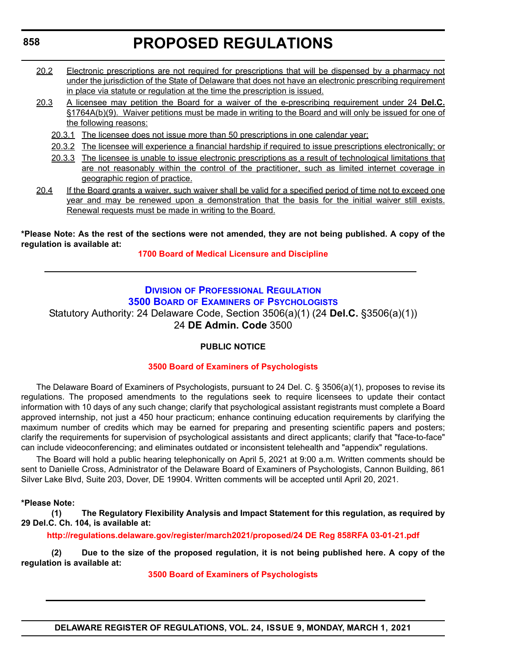- 20.2 Electronic prescriptions are not required for prescriptions that will be dispensed by a pharmacy not under the jurisdiction of the State of Delaware that does not have an electronic prescribing requirement in place via statute or regulation at the time the prescription is issued.
- 20.3 A licensee may petition the Board for a waiver of the e-prescribing requirement under 24 **Del.C.** §1764A(b)(9). Waiver petitions must be made in writing to the Board and will only be issued for one of the following reasons:
	- 20.3.1 The licensee does not issue more than 50 prescriptions in one calendar year;
	- 20.3.2 The licensee will experience a financial hardship if required to issue prescriptions electronically; or
	- 20.3.3 The licensee is unable to issue electronic prescriptions as a result of technological limitations that are not reasonably within the control of the practitioner, such as limited internet coverage in geographic region of practice.
- 20.4 If the Board grants a waiver, such waiver shall be valid for a specified period of time not to exceed one year and may be renewed upon a demonstration that the basis for the initial waiver still exists. Renewal requests must be made in writing to the Board.

#### **\*Please Note: As the rest of the sections were not amended, they are not being published. A copy of the regulation is available at:**

**[1700 Board of Medical Licensure and Discipline](http://regulations.delaware.gov/register/march2021/proposed/24 DE Reg 857 03-01-21.htm)**

### **DIVISION [OF PROFESSIONAL REGULATION](https://dpr.delaware.gov/)**

**3500 BOARD OF EXAMINERS [OF PSYCHOLOGISTS](https://dpr.delaware.gov/boards/psychology/)**

Statutory Authority: 24 Delaware Code, Section 3506(a)(1) (24 **Del.C.** §3506(a)(1))

24 **DE Admin. Code** 3500

#### **PUBLIC NOTICE**

#### **[3500 Board of Examiners of Psychologists](#page-3-0)**

The Delaware Board of Examiners of Psychologists, pursuant to 24 Del. C. § 3506(a)(1), proposes to revise its regulations. The proposed amendments to the regulations seek to require licensees to update their contact information with 10 days of any such change; clarify that psychological assistant registrants must complete a Board approved internship, not just a 450 hour practicum; enhance continuing education requirements by clarifying the maximum number of credits which may be earned for preparing and presenting scientific papers and posters; clarify the requirements for supervision of psychological assistants and direct applicants; clarify that "face-to-face" can include videoconferencing; and eliminates outdated or inconsistent telehealth and "appendix" regulations.

The Board will hold a public hearing telephonically on April 5, 2021 at 9:00 a.m. Written comments should be sent to Danielle Cross, Administrator of the Delaware Board of Examiners of Psychologists, Cannon Building, 861 Silver Lake Blvd, Suite 203, Dover, DE 19904. Written comments will be accepted until April 20, 2021.

#### **\*Please Note:**

**(1) The Regulatory Flexibility Analysis and Impact Statement for this regulation, as required by 29 Del.C. Ch. 104, is available at:**

**<http://regulations.delaware.gov/register/march2021/proposed/24 DE Reg 858RFA 03-01-21.pdf>**

**(2) Due to the size of the proposed regulation, it is not being published here. A copy of the regulation is available at:**

**[3500 Board of Examiners of Psychologists](http://regulations.delaware.gov/register/march2021/proposed/24 DE Reg 858 03-01-21.htm)**

```
858
```
**DELAWARE REGISTER OF REGULATIONS, VOL. 24, ISSUE 9, MONDAY, MARCH 1, 2021**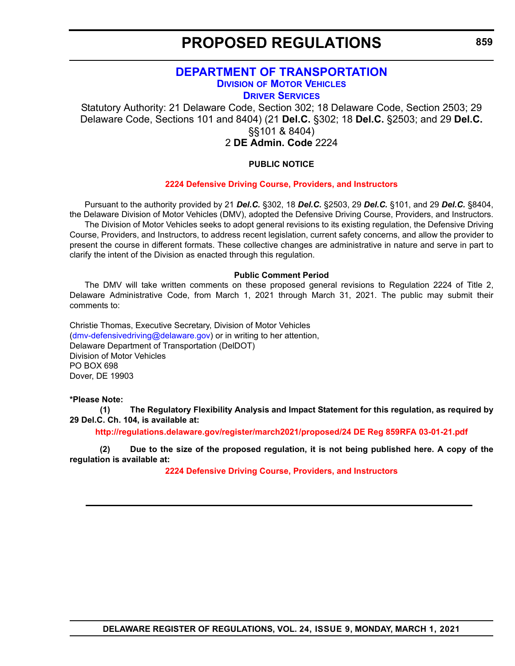### **[DEPARTMENT OF TRANSPORTATION](https://www.deldot.gov/index.shtml) DIVISION [OF MOTOR VEHICLES](https://www.dmv.de.gov/)**

**[DRIVER SERVICES](https://www.dmv.de.gov/DriverServices/index.shtml)**

Statutory Authority: 21 Delaware Code, Section 302; 18 Delaware Code, Section 2503; 29 Delaware Code, Sections 101 and 8404) (21 **Del.C.** §302; 18 **Del.C.** §2503; and 29 **Del.C.** §§101 & 8404) 2 **DE Admin. Code** 2224

#### **PUBLIC NOTICE**

#### **[2224 Defensive Driving Course, Providers, and Instructors](#page-3-0)**

Pursuant to the authority provided by 21 *Del.C.* §302, 18 *Del.C.* §2503, 29 *Del.C.* §101, and 29 *Del.C.* §8404, the Delaware Division of Motor Vehicles (DMV), adopted the Defensive Driving Course, Providers, and Instructors. The Division of Motor Vehicles seeks to adopt general revisions to its existing regulation, the Defensive Driving Course, Providers, and Instructors, to address recent legislation, current safety concerns, and allow the provider to present the course in different formats. These collective changes are administrative in nature and serve in part to clarify the intent of the Division as enacted through this regulation.

#### **Public Comment Period**

The DMV will take written comments on these proposed general revisions to Regulation 2224 of Title 2, Delaware Administrative Code, from March 1, 2021 through March 31, 2021. The public may submit their comments to:

Christie Thomas, Executive Secretary, Division of Motor Vehicles [\(dmv-defensivedriving@delaware.gov](mailto:dmv-defensivedriving@delaware.gov)) or in writing to her attention, Delaware Department of Transportation (DelDOT) Division of Motor Vehicles PO BOX 698 Dover, DE 19903

#### **\*Please Note:**

**(1) The Regulatory Flexibility Analysis and Impact Statement for this regulation, as required by 29 Del.C. Ch. 104, is available at:**

**<http://regulations.delaware.gov/register/march2021/proposed/24 DE Reg 859RFA 03-01-21.pdf>**

**(2) Due to the size of the proposed regulation, it is not being published here. A copy of the regulation is available at:**

**[2224 Defensive Driving Course, Providers, and Instructors](http://regulations.delaware.gov/register/march2021/proposed/24 DE Reg 859 03-01-21.htm)**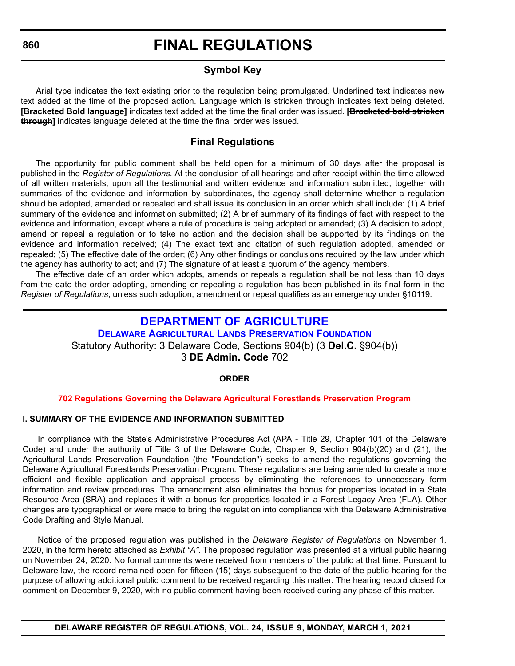### **Symbol Key**

Arial type indicates the text existing prior to the regulation being promulgated. Underlined text indicates new text added at the time of the proposed action. Language which is stricken through indicates text being deleted. **[Bracketed Bold language]** indicates text added at the time the final order was issued. **[Bracketed bold stricken through]** indicates language deleted at the time the final order was issued.

### **Final Regulations**

The opportunity for public comment shall be held open for a minimum of 30 days after the proposal is published in the *Register of Regulations*. At the conclusion of all hearings and after receipt within the time allowed of all written materials, upon all the testimonial and written evidence and information submitted, together with summaries of the evidence and information by subordinates, the agency shall determine whether a regulation should be adopted, amended or repealed and shall issue its conclusion in an order which shall include: (1) A brief summary of the evidence and information submitted; (2) A brief summary of its findings of fact with respect to the evidence and information, except where a rule of procedure is being adopted or amended; (3) A decision to adopt, amend or repeal a regulation or to take no action and the decision shall be supported by its findings on the evidence and information received; (4) The exact text and citation of such regulation adopted, amended or repealed; (5) The effective date of the order; (6) Any other findings or conclusions required by the law under which the agency has authority to act; and (7) The signature of at least a quorum of the agency members.

The effective date of an order which adopts, amends or repeals a regulation shall be not less than 10 days from the date the order adopting, amending or repealing a regulation has been published in its final form in the *Register of Regulations*, unless such adoption, amendment or repeal qualifies as an emergency under §10119.

### **[DEPARTMENT OF AGRICULTURE](https://agriculture.delaware.gov/)**

**[DELAWARE AGRICULTURAL LANDS PRESERVATION FOUNDATION](Delaware Agricultural Lands Preservation Foundation)** Statutory Authority: 3 Delaware Code, Sections 904(b) (3 **Del.C.** §904(b)) 3 **DE Admin. Code** 702

#### **ORDER**

#### **[702 Regulations Governing the Delaware Agricultural Forestlands Preservation Program](#page-3-0)**

#### **I. SUMMARY OF THE EVIDENCE AND INFORMATION SUBMITTED**

In compliance with the State's Administrative Procedures Act (APA - Title 29, Chapter 101 of the Delaware Code) and under the authority of Title 3 of the Delaware Code, Chapter 9, Section 904(b)(20) and (21), the Agricultural Lands Preservation Foundation (the "Foundation") seeks to amend the regulations governing the Delaware Agricultural Forestlands Preservation Program. These regulations are being amended to create a more efficient and flexible application and appraisal process by eliminating the references to unnecessary form information and review procedures. The amendment also eliminates the bonus for properties located in a State Resource Area (SRA) and replaces it with a bonus for properties located in a Forest Legacy Area (FLA). Other changes are typographical or were made to bring the regulation into compliance with the Delaware Administrative Code Drafting and Style Manual.

Notice of the proposed regulation was published in the *Delaware Register of Regulations* on November 1, 2020, in the form hereto attached as *Exhibit "A"*. The proposed regulation was presented at a virtual public hearing on November 24, 2020. No formal comments were received from members of the public at that time. Pursuant to Delaware law, the record remained open for fifteen (15) days subsequent to the date of the public hearing for the purpose of allowing additional public comment to be received regarding this matter. The hearing record closed for comment on December 9, 2020, with no public comment having been received during any phase of this matter.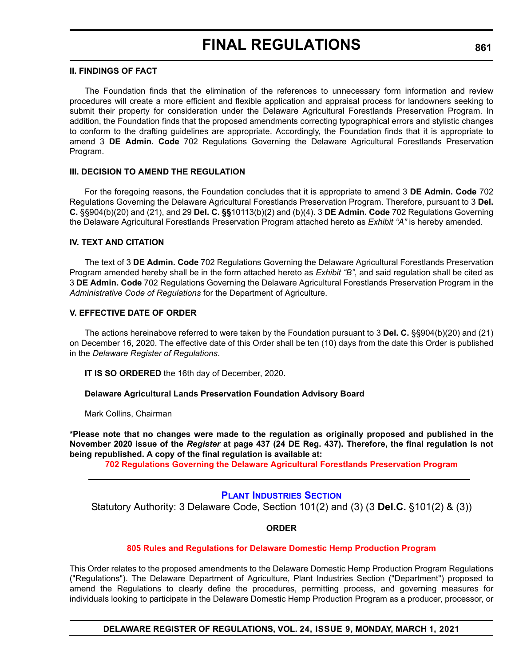#### **II. FINDINGS OF FACT**

The Foundation finds that the elimination of the references to unnecessary form information and review procedures will create a more efficient and flexible application and appraisal process for landowners seeking to submit their property for consideration under the Delaware Agricultural Forestlands Preservation Program. In addition, the Foundation finds that the proposed amendments correcting typographical errors and stylistic changes to conform to the drafting guidelines are appropriate. Accordingly, the Foundation finds that it is appropriate to amend 3 **DE Admin. Code** 702 Regulations Governing the Delaware Agricultural Forestlands Preservation Program.

#### **III. DECISION TO AMEND THE REGULATION**

For the foregoing reasons, the Foundation concludes that it is appropriate to amend 3 **DE Admin. Code** 702 Regulations Governing the Delaware Agricultural Forestlands Preservation Program. Therefore, pursuant to 3 **Del. C.** §§904(b)(20) and (21), and 29 **Del. C. §§**10113(b)(2) and (b)(4). 3 **DE Admin. Code** 702 Regulations Governing the Delaware Agricultural Forestlands Preservation Program attached hereto as *Exhibit "A"* is hereby amended.

#### **IV. TEXT AND CITATION**

The text of 3 **DE Admin. Code** 702 Regulations Governing the Delaware Agricultural Forestlands Preservation Program amended hereby shall be in the form attached hereto as *Exhibit "B"*, and said regulation shall be cited as 3 **DE Admin. Code** 702 Regulations Governing the Delaware Agricultural Forestlands Preservation Program in the *Administrative Code of Regulations* for the Department of Agriculture.

#### **V. EFFECTIVE DATE OF ORDER**

The actions hereinabove referred to were taken by the Foundation pursuant to 3 **Del. C.** §§904(b)(20) and (21) on December 16, 2020. The effective date of this Order shall be ten (10) days from the date this Order is published in the *Delaware Register of Regulations*.

**IT IS SO ORDERED** the 16th day of December, 2020.

#### **Delaware Agricultural Lands Preservation Foundation Advisory Board**

Mark Collins, Chairman

**\*Please note that no changes were made to the regulation as originally proposed and published in the November 2020 issue of the** *Register* **at page 437 (24 DE Reg. 437). Therefore, the final regulation is not being republished. A copy of the final regulation is available at:**

**[702 Regulations Governing the Delaware Agricultural Forestlands Preservation Program](http://regulations.delaware.gov/register/march2021/final/24 DE Reg 860 03-01-21.htm)**

#### **[PLANT INDUSTRIES SECTION](https://agriculture.delaware.gov/plant-industries/)**

Statutory Authority: 3 Delaware Code, Section 101(2) and (3) (3 **Del.C.** §101(2) & (3))

#### **ORDER**

#### **[805 Rules and Regulations for Delaware Domestic Hemp Production Program](#page-3-0)**

This Order relates to the proposed amendments to the Delaware Domestic Hemp Production Program Regulations ("Regulations"). The Delaware Department of Agriculture, Plant Industries Section ("Department") proposed to amend the Regulations to clearly define the procedures, permitting process, and governing measures for individuals looking to participate in the Delaware Domestic Hemp Production Program as a producer, processor, or

**DELAWARE REGISTER OF REGULATIONS, VOL. 24, ISSUE 9, MONDAY, MARCH 1, 2021**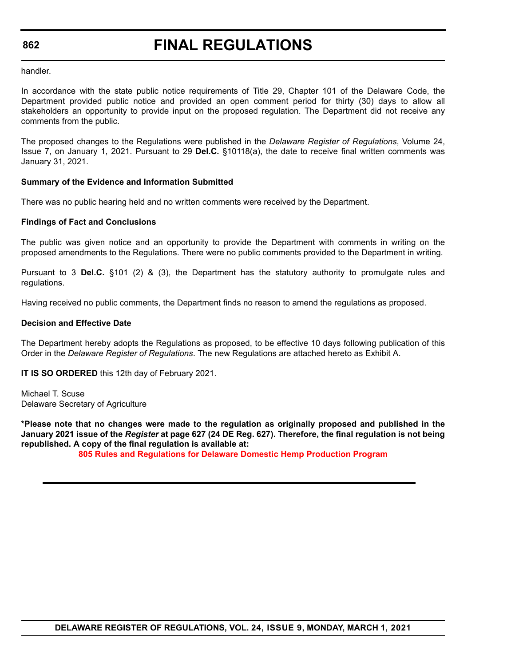# **FINAL REGULATIONS**

handler.

In accordance with the state public notice requirements of Title 29, Chapter 101 of the Delaware Code, the Department provided public notice and provided an open comment period for thirty (30) days to allow all stakeholders an opportunity to provide input on the proposed regulation. The Department did not receive any comments from the public.

The proposed changes to the Regulations were published in the *Delaware Register of Regulations*, Volume 24, Issue 7, on January 1, 2021. Pursuant to 29 **Del.C.** §10118(a), the date to receive final written comments was January 31, 2021.

#### **Summary of the Evidence and Information Submitted**

There was no public hearing held and no written comments were received by the Department.

#### **Findings of Fact and Conclusions**

The public was given notice and an opportunity to provide the Department with comments in writing on the proposed amendments to the Regulations. There were no public comments provided to the Department in writing.

Pursuant to 3 **Del.C.** §101 (2) & (3), the Department has the statutory authority to promulgate rules and regulations.

Having received no public comments, the Department finds no reason to amend the regulations as proposed.

#### **Decision and Effective Date**

The Department hereby adopts the Regulations as proposed, to be effective 10 days following publication of this Order in the *Delaware Register of Regulations*. The new Regulations are attached hereto as Exhibit A.

**IT IS SO ORDERED** this 12th day of February 2021.

Michael T. Scuse Delaware Secretary of Agriculture

**\*Please note that no changes were made to the regulation as originally proposed and published in the January 2021 issue of the** *Register* **at page 627 (24 DE Reg. 627). Therefore, the final regulation is not being republished. A copy of the final regulation is available at:**

**[805 Rules and Regulations for Delaware Domestic Hemp Production Program](http://regulations.delaware.gov/register/march2021/final/24 DE Reg 861 03-01-21.htm)**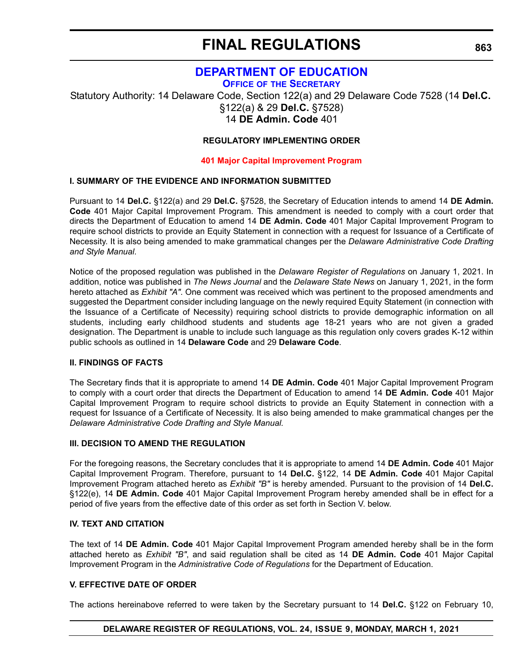### **[DEPARTMENT OF EDUCATION](https://www.doe.k12.de.us/)**

**OFFICE OF [THE SECRETARY](https://www.doe.k12.de.us/Page/11)**

Statutory Authority: 14 Delaware Code, Section 122(a) and 29 Delaware Code 7528 (14 **Del.C.** §122(a) & 29 **Del.C.** §7528) 14 **DE Admin. Code** 401

#### **REGULATORY IMPLEMENTING ORDER**

#### **[401 Major Capital Improvement Program](#page-3-0)**

#### **I. SUMMARY OF THE EVIDENCE AND INFORMATION SUBMITTED**

Pursuant to 14 **Del.C.** §122(a) and 29 **Del.C.** §7528, the Secretary of Education intends to amend 14 **DE Admin. Code** 401 Major Capital Improvement Program. This amendment is needed to comply with a court order that directs the Department of Education to amend 14 **DE Admin. Code** 401 Major Capital Improvement Program to require school districts to provide an Equity Statement in connection with a request for Issuance of a Certificate of Necessity. It is also being amended to make grammatical changes per the *Delaware Administrative Code Drafting and Style Manual*.

Notice of the proposed regulation was published in the *Delaware Register of Regulations* on January 1, 2021. In addition, notice was published in *The News Journal* and the *Delaware State News* on January 1, 2021, in the form hereto attached as *Exhibit "A"*. One comment was received which was pertinent to the proposed amendments and suggested the Department consider including language on the newly required Equity Statement (in connection with the Issuance of a Certificate of Necessity) requiring school districts to provide demographic information on all students, including early childhood students and students age 18-21 years who are not given a graded designation. The Department is unable to include such language as this regulation only covers grades K-12 within public schools as outlined in 14 **Delaware Code** and 29 **Delaware Code**.

#### **II. FINDINGS OF FACTS**

The Secretary finds that it is appropriate to amend 14 **DE Admin. Code** 401 Major Capital Improvement Program to comply with a court order that directs the Department of Education to amend 14 **DE Admin. Code** 401 Major Capital Improvement Program to require school districts to provide an Equity Statement in connection with a request for Issuance of a Certificate of Necessity. It is also being amended to make grammatical changes per the *Delaware Administrative Code Drafting and Style Manual.*

#### **III. DECISION TO AMEND THE REGULATION**

For the foregoing reasons, the Secretary concludes that it is appropriate to amend 14 **DE Admin. Code** 401 Major Capital Improvement Program. Therefore, pursuant to 14 **Del.C.** §122, 14 **DE Admin. Code** 401 Major Capital Improvement Program attached hereto as *Exhibit "B"* is hereby amended. Pursuant to the provision of 14 **Del.C.** §122(e), 14 **DE Admin. Code** 401 Major Capital Improvement Program hereby amended shall be in effect for a period of five years from the effective date of this order as set forth in Section V. below.

#### **IV. TEXT AND CITATION**

The text of 14 **DE Admin. Code** 401 Major Capital Improvement Program amended hereby shall be in the form attached hereto as *Exhibit "B"*, and said regulation shall be cited as 14 **DE Admin. Code** 401 Major Capital Improvement Program in the *Administrative Code of Regulations* for the Department of Education.

#### **V. EFFECTIVE DATE OF ORDER**

The actions hereinabove referred to were taken by the Secretary pursuant to 14 **Del.C.** §122 on February 10,

#### **DELAWARE REGISTER OF REGULATIONS, VOL. 24, ISSUE 9, MONDAY, MARCH 1, 2021**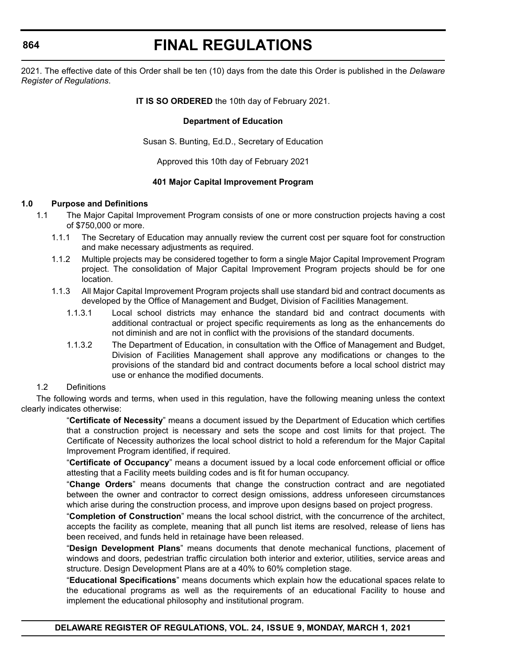# **FINAL REGULATIONS**

2021. The effective date of this Order shall be ten (10) days from the date this Order is published in the *Delaware Register of Regulations*.

#### **IT IS SO ORDERED** the 10th day of February 2021.

#### **Department of Education**

Susan S. Bunting, Ed.D., Secretary of Education

Approved this 10th day of February 2021

#### **401 Major Capital Improvement Program**

#### **1.0 Purpose and Definitions**

- 1.1 The Major Capital Improvement Program consists of one or more construction projects having a cost of \$750,000 or more.
	- 1.1.1 The Secretary of Education may annually review the current cost per square foot for construction and make necessary adjustments as required.
	- 1.1.2 Multiple projects may be considered together to form a single Major Capital Improvement Program project. The consolidation of Major Capital Improvement Program projects should be for one location.
	- 1.1.3 All Major Capital Improvement Program projects shall use standard bid and contract documents as developed by the Office of Management and Budget, Division of Facilities Management.
		- 1.1.3.1 Local school districts may enhance the standard bid and contract documents with additional contractual or project specific requirements as long as the enhancements do not diminish and are not in conflict with the provisions of the standard documents.
		- 1.1.3.2 The Department of Education, in consultation with the Office of Management and Budget, Division of Facilities Management shall approve any modifications or changes to the provisions of the standard bid and contract documents before a local school district may use or enhance the modified documents.

#### 1.2 Definitions

The following words and terms, when used in this regulation, have the following meaning unless the context clearly indicates otherwise:

> "**Certificate of Necessity**" means a document issued by the Department of Education which certifies that a construction project is necessary and sets the scope and cost limits for that project. The Certificate of Necessity authorizes the local school district to hold a referendum for the Major Capital Improvement Program identified, if required.

> "**Certificate of Occupancy**" means a document issued by a local code enforcement official or office attesting that a Facility meets building codes and is fit for human occupancy.

> "**Change Orders**" means documents that change the construction contract and are negotiated between the owner and contractor to correct design omissions, address unforeseen circumstances which arise during the construction process, and improve upon designs based on project progress.

> "**Completion of Construction**" means the local school district, with the concurrence of the architect, accepts the facility as complete, meaning that all punch list items are resolved, release of liens has been received, and funds held in retainage have been released.

> "**Design Development Plans**" means documents that denote mechanical functions, placement of windows and doors, pedestrian traffic circulation both interior and exterior, utilities, service areas and structure. Design Development Plans are at a 40% to 60% completion stage.

> "**Educational Specifications**" means documents which explain how the educational spaces relate to the educational programs as well as the requirements of an educational Facility to house and implement the educational philosophy and institutional program.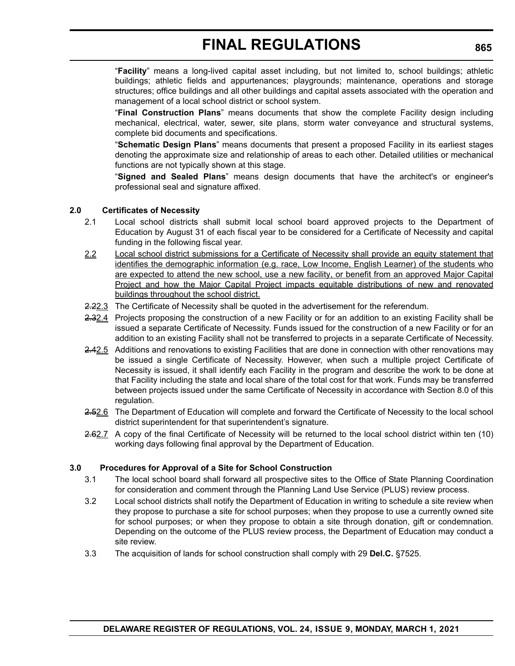"**Facility**" means a long-lived capital asset including, but not limited to, school buildings; athletic buildings; athletic fields and appurtenances; playgrounds; maintenance, operations and storage structures; office buildings and all other buildings and capital assets associated with the operation and management of a local school district or school system.

"**Final Construction Plans**" means documents that show the complete Facility design including mechanical, electrical, water, sewer, site plans, storm water conveyance and structural systems, complete bid documents and specifications.

"**Schematic Design Plans**" means documents that present a proposed Facility in its earliest stages denoting the approximate size and relationship of areas to each other. Detailed utilities or mechanical functions are not typically shown at this stage.

"**Signed and Sealed Plans**" means design documents that have the architect's or engineer's professional seal and signature affixed.

### **2.0 Certificates of Necessity**

- 2.1 Local school districts shall submit local school board approved projects to the Department of Education by August 31 of each fiscal year to be considered for a Certificate of Necessity and capital funding in the following fiscal year.
- 2.2 Local school district submissions for a Certificate of Necessity shall provide an equity statement that identifies the demographic information (e.g. race, Low Income, English Learner) of the students who are expected to attend the new school, use a new facility, or benefit from an approved Major Capital Project and how the Major Capital Project impacts equitable distributions of new and renovated buildings throughout the school district.
- 2.22.3 The Certificate of Necessity shall be quoted in the advertisement for the referendum.
- 2.32.4 Projects proposing the construction of a new Facility or for an addition to an existing Facility shall be issued a separate Certificate of Necessity. Funds issued for the construction of a new Facility or for an addition to an existing Facility shall not be transferred to projects in a separate Certificate of Necessity.
- 2.42.5 Additions and renovations to existing Facilities that are done in connection with other renovations may be issued a single Certificate of Necessity. However, when such a multiple project Certificate of Necessity is issued, it shall identify each Facility in the program and describe the work to be done at that Facility including the state and local share of the total cost for that work. Funds may be transferred between projects issued under the same Certificate of Necessity in accordance with Section 8.0 of this regulation.
- 2.52.6 The Department of Education will complete and forward the Certificate of Necessity to the local school district superintendent for that superintendent's signature.
- 2.62.7 A copy of the final Certificate of Necessity will be returned to the local school district within ten (10) working days following final approval by the Department of Education.

#### **3.0 Procedures for Approval of a Site for School Construction**

- 3.1 The local school board shall forward all prospective sites to the Office of State Planning Coordination for consideration and comment through the Planning Land Use Service (PLUS) review process.
- 3.2 Local school districts shall notify the Department of Education in writing to schedule a site review when they propose to purchase a site for school purposes; when they propose to use a currently owned site for school purposes; or when they propose to obtain a site through donation, gift or condemnation. Depending on the outcome of the PLUS review process, the Department of Education may conduct a site review.
- 3.3 The acquisition of lands for school construction shall comply with 29 **Del.C.** §7525.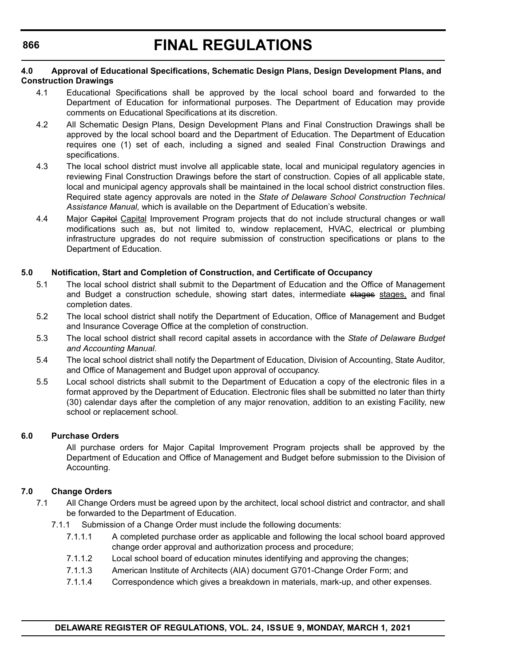#### **4.0 Approval of Educational Specifications, Schematic Design Plans, Design Development Plans, and Construction Drawings**

- 4.1 Educational Specifications shall be approved by the local school board and forwarded to the Department of Education for informational purposes. The Department of Education may provide comments on Educational Specifications at its discretion.
- 4.2 All Schematic Design Plans, Design Development Plans and Final Construction Drawings shall be approved by the local school board and the Department of Education. The Department of Education requires one (1) set of each, including a signed and sealed Final Construction Drawings and specifications.
- 4.3 The local school district must involve all applicable state, local and municipal regulatory agencies in reviewing Final Construction Drawings before the start of construction. Copies of all applicable state, local and municipal agency approvals shall be maintained in the local school district construction files. Required state agency approvals are noted in the *State of Delaware School Construction Technical Assistance Manual,* which is available on the Department of Education's website.
- 4.4 Major Gapitel Capital Improvement Program projects that do not include structural changes or wall modifications such as, but not limited to, window replacement, HVAC, electrical or plumbing infrastructure upgrades do not require submission of construction specifications or plans to the Department of Education.

#### **5.0 Notification, Start and Completion of Construction, and Certificate of Occupancy**

- 5.1 The local school district shall submit to the Department of Education and the Office of Management and Budget a construction schedule, showing start dates, intermediate stages stages, and final completion dates.
- 5.2 The local school district shall notify the Department of Education, Office of Management and Budget and Insurance Coverage Office at the completion of construction.
- 5.3 The local school district shall record capital assets in accordance with the *State of Delaware Budget and Accounting Manual*.
- 5.4 The local school district shall notify the Department of Education, Division of Accounting, State Auditor, and Office of Management and Budget upon approval of occupancy.
- 5.5 Local school districts shall submit to the Department of Education a copy of the electronic files in a format approved by the Department of Education. Electronic files shall be submitted no later than thirty (30) calendar days after the completion of any major renovation, addition to an existing Facility, new school or replacement school.

#### **6.0 Purchase Orders**

All purchase orders for Major Capital Improvement Program projects shall be approved by the Department of Education and Office of Management and Budget before submission to the Division of Accounting.

#### **7.0 Change Orders**

- 7.1 All Change Orders must be agreed upon by the architect, local school district and contractor, and shall be forwarded to the Department of Education.
	- 7.1.1 Submission of a Change Order must include the following documents:
		- 7.1.1.1 A completed purchase order as applicable and following the local school board approved change order approval and authorization process and procedure;
		- 7.1.1.2 Local school board of education minutes identifying and approving the changes;
		- 7.1.1.3 American Institute of Architects (AIA) document G701-Change Order Form; and
		- 7.1.1.4 Correspondence which gives a breakdown in materials, mark-up, and other expenses.

#### **DELAWARE REGISTER OF REGULATIONS, VOL. 24, ISSUE 9, MONDAY, MARCH 1, 2021**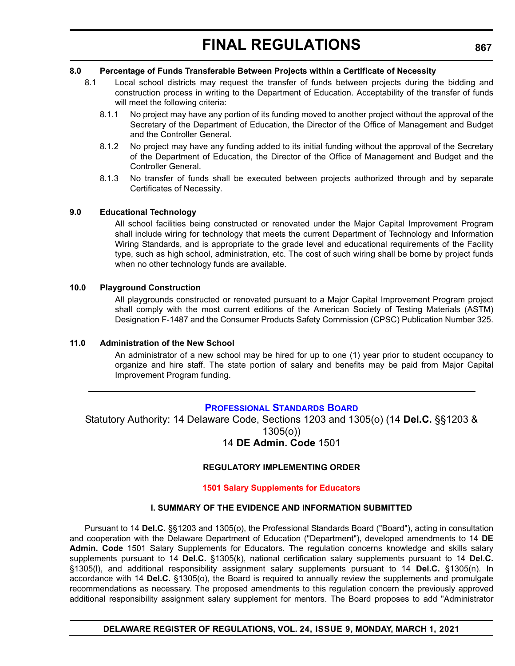#### **8.0 Percentage of Funds Transferable Between Projects within a Certificate of Necessity**

- 8.1 Local school districts may request the transfer of funds between projects during the bidding and construction process in writing to the Department of Education. Acceptability of the transfer of funds will meet the following criteria:
	- 8.1.1 No project may have any portion of its funding moved to another project without the approval of the Secretary of the Department of Education, the Director of the Office of Management and Budget and the Controller General.
	- 8.1.2 No project may have any funding added to its initial funding without the approval of the Secretary of the Department of Education, the Director of the Office of Management and Budget and the Controller General.
	- 8.1.3 No transfer of funds shall be executed between projects authorized through and by separate Certificates of Necessity.

#### **9.0 Educational Technology**

All school facilities being constructed or renovated under the Major Capital Improvement Program shall include wiring for technology that meets the current Department of Technology and Information Wiring Standards, and is appropriate to the grade level and educational requirements of the Facility type, such as high school, administration, etc. The cost of such wiring shall be borne by project funds when no other technology funds are available.

#### **10.0 Playground Construction**

All playgrounds constructed or renovated pursuant to a Major Capital Improvement Program project shall comply with the most current editions of the American Society of Testing Materials (ASTM) Designation F-1487 and the Consumer Products Safety Commission (CPSC) Publication Number 325.

#### **11.0 Administration of the New School**

An administrator of a new school may be hired for up to one (1) year prior to student occupancy to organize and hire staff. The state portion of salary and benefits may be paid from Major Capital Improvement Program funding.

### **[PROFESSIONAL STANDARDS BOARD](https://www.doe.k12.de.us/domain/172)**

Statutory Authority: 14 Delaware Code, Sections 1203 and 1305(o) (14 **Del.C.** §§1203 & 1305(o))

### 14 **DE Admin. Code** 1501

### **REGULATORY IMPLEMENTING ORDER**

#### **[1501 Salary Supplements for Educators](#page-3-0)**

#### **I. SUMMARY OF THE EVIDENCE AND INFORMATION SUBMITTED**

Pursuant to 14 **Del.C.** §§1203 and 1305(o), the Professional Standards Board ("Board"), acting in consultation and cooperation with the Delaware Department of Education ("Department"), developed amendments to 14 **DE Admin. Code** 1501 Salary Supplements for Educators. The regulation concerns knowledge and skills salary supplements pursuant to 14 **Del.C.** §1305(k), national certification salary supplements pursuant to 14 **Del.C.** §1305(l), and additional responsibility assignment salary supplements pursuant to 14 **Del.C.** §1305(n). In accordance with 14 **Del.C.** §1305(o), the Board is required to annually review the supplements and promulgate recommendations as necessary. The proposed amendments to this regulation concern the previously approved additional responsibility assignment salary supplement for mentors. The Board proposes to add "Administrator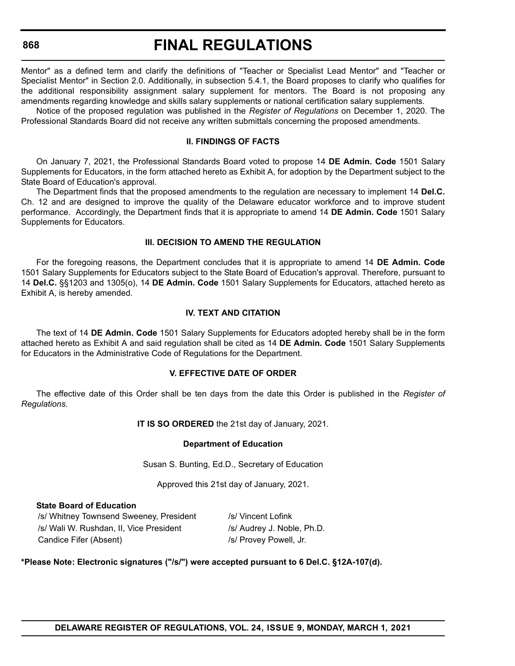### **FINAL REGULATIONS**

Mentor" as a defined term and clarify the definitions of "Teacher or Specialist Lead Mentor" and "Teacher or Specialist Mentor" in Section 2.0. Additionally, in subsection 5.4.1, the Board proposes to clarify who qualifies for the additional responsibility assignment salary supplement for mentors. The Board is not proposing any amendments regarding knowledge and skills salary supplements or national certification salary supplements.

Notice of the proposed regulation was published in the *Register of Regulations* on December 1, 2020. The Professional Standards Board did not receive any written submittals concerning the proposed amendments.

#### **II. FINDINGS OF FACTS**

On January 7, 2021, the Professional Standards Board voted to propose 14 **DE Admin. Code** 1501 Salary Supplements for Educators, in the form attached hereto as Exhibit A, for adoption by the Department subject to the State Board of Education's approval.

The Department finds that the proposed amendments to the regulation are necessary to implement 14 **Del.C.** Ch. 12 and are designed to improve the quality of the Delaware educator workforce and to improve student performance. Accordingly, the Department finds that it is appropriate to amend 14 **DE Admin. Code** 1501 Salary Supplements for Educators.

#### **III. DECISION TO AMEND THE REGULATION**

For the foregoing reasons, the Department concludes that it is appropriate to amend 14 **DE Admin. Code** 1501 Salary Supplements for Educators subject to the State Board of Education's approval. Therefore, pursuant to 14 **Del.C.** §§1203 and 1305(o), 14 **DE Admin. Code** 1501 Salary Supplements for Educators, attached hereto as Exhibit A, is hereby amended.

#### **IV. TEXT AND CITATION**

The text of 14 **DE Admin. Code** 1501 Salary Supplements for Educators adopted hereby shall be in the form attached hereto as Exhibit A and said regulation shall be cited as 14 **DE Admin. Code** 1501 Salary Supplements for Educators in the Administrative Code of Regulations for the Department.

#### **V. EFFECTIVE DATE OF ORDER**

The effective date of this Order shall be ten days from the date this Order is published in the *Register of Regulations*.

**IT IS SO ORDERED** the 21st day of January, 2021.

#### **Department of Education**

Susan S. Bunting, Ed.D., Secretary of Education

Approved this 21st day of January, 2021.

#### **State Board of Education**

/s/ Whitney Townsend Sweeney, President /s/ Vincent Lofink /s/ Wali W. Rushdan, II, Vice President /s/ Audrey J. Noble, Ph.D. Candice Fifer (Absent) */s/ Provey Powell, Jr.* 

#### **\*Please Note: Electronic signatures ("/s/") were accepted pursuant to 6 Del.C. §12A-107(d).**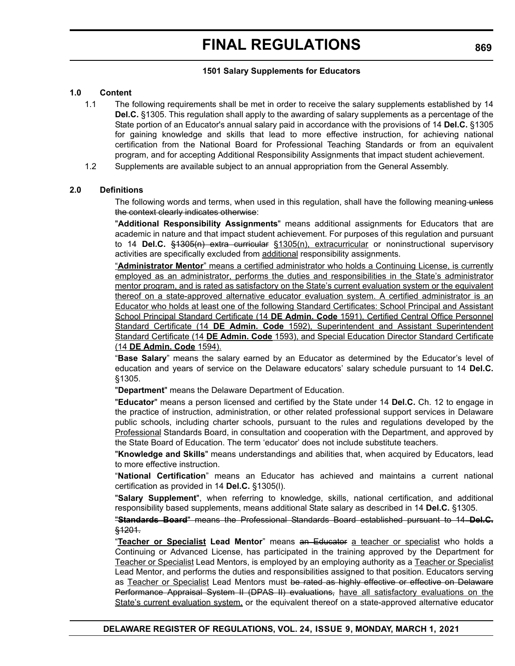#### **1501 Salary Supplements for Educators**

#### **1.0 Content**

- 1.1 The following requirements shall be met in order to receive the salary supplements established by 14 **Del.C.** §1305. This regulation shall apply to the awarding of salary supplements as a percentage of the State portion of an Educator's annual salary paid in accordance with the provisions of 14 **Del.C.** §1305 for gaining knowledge and skills that lead to more effective instruction, for achieving national certification from the National Board for Professional Teaching Standards or from an equivalent program, and for accepting Additional Responsibility Assignments that impact student achievement.
- 1.2 Supplements are available subject to an annual appropriation from the General Assembly.

#### **2.0 Definitions**

The following words and terms, when used in this regulation, shall have the following meaning-unless the context clearly indicates otherwise:

"**Additional Responsibility Assignments**" means additional assignments for Educators that are academic in nature and that impact student achievement. For purposes of this regulation and pursuant to 14 **Del.C.** §1305(n) extra curricular §1305(n), extracurricular or noninstructional supervisory activities are specifically excluded from additional responsibility assignments.

"**Administrator Mentor**" means a certified administrator who holds a Continuing License, is currently employed as an administrator, performs the duties and responsibilities in the State's administrator mentor program, and is rated as satisfactory on the State's current evaluation system or the equivalent thereof on a state-approved alternative educator evaluation system. A certified administrator is an Educator who holds at least one of the following Standard Certificates: School Principal and Assistant School Principal Standard Certificate (14 **DE Admin. Code** 1591), Certified Central Office Personnel Standard Certificate (14 **DE Admin. Code** 1592), Superintendent and Assistant Superintendent Standard Certificate (14 **DE Admin. Code** 1593), and Special Education Director Standard Certificate (14 **DE Admin. Code** 1594).

"**Base Salary**" means the salary earned by an Educator as determined by the Educator's level of education and years of service on the Delaware educators' salary schedule pursuant to 14 **Del.C.** §1305.

"**Department**" means the Delaware Department of Education.

"**Educator**" means a person licensed and certified by the State under 14 **Del.C.** Ch. 12 to engage in the practice of instruction, administration, or other related professional support services in Delaware public schools, including charter schools, pursuant to the rules and regulations developed by the Professional Standards Board, in consultation and cooperation with the Department, and approved by the State Board of Education. The term 'educator' does not include substitute teachers.

"**Knowledge and Skills**" means understandings and abilities that, when acquired by Educators, lead to more effective instruction.

"**National Certification**" means an Educator has achieved and maintains a current national certification as provided in 14 **Del.C.** §1305(l).

"**Salary Supplement**", when referring to knowledge, skills, national certification, and additional responsibility based supplements, means additional State salary as described in 14 **Del.C.** §1305.

"**Standards Board**" means the Professional Standards Board established pursuant to 14 **Del.C.** §1201.

"**Teacher or Specialist Lead Mentor**" means an Educator a teacher or specialist who holds a Continuing or Advanced License, has participated in the training approved by the Department for Teacher or Specialist Lead Mentors, is employed by an employing authority as a Teacher or Specialist Lead Mentor, and performs the duties and responsibilities assigned to that position. Educators serving as Teacher or Specialist Lead Mentors must be rated as highly effective or effective on Delaware Performance Appraisal System II (DPAS II) evaluations, have all satisfactory evaluations on the State's current evaluation system, or the equivalent thereof on a state-approved alternative educator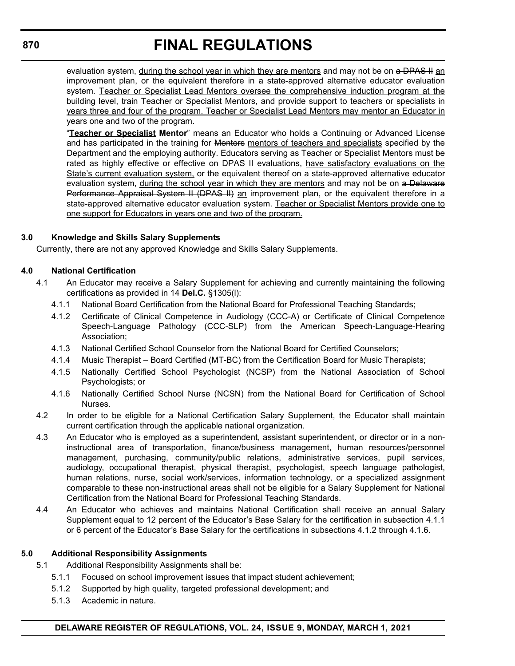evaluation system, during the school year in which they are mentors and may not be on a DPAS II an improvement plan, or the equivalent therefore in a state-approved alternative educator evaluation system. Teacher or Specialist Lead Mentors oversee the comprehensive induction program at the building level, train Teacher or Specialist Mentors, and provide support to teachers or specialists in years three and four of the program. Teacher or Specialist Lead Mentors may mentor an Educator in years one and two of the program.

"**Teacher or Specialist Mentor**" means an Educator who holds a Continuing or Advanced License and has participated in the training for Mentors mentors of teachers and specialists specified by the Department and the employing authority. Educators serving as Teacher or Specialist Mentors must be rated as highly effective or effective on DPAS II evaluations, have satisfactory evaluations on the State's current evaluation system, or the equivalent thereof on a state-approved alternative educator evaluation system, during the school year in which they are mentors and may not be on a Delaware Performance Appraisal System II (DPAS II) an improvement plan, or the equivalent therefore in a state-approved alternative educator evaluation system. Teacher or Specialist Mentors provide one to one support for Educators in years one and two of the program.

### **3.0 Knowledge and Skills Salary Supplements**

Currently, there are not any approved Knowledge and Skills Salary Supplements.

#### **4.0 National Certification**

- 4.1 An Educator may receive a Salary Supplement for achieving and currently maintaining the following certifications as provided in 14 **Del.C.** §1305(l):
	- 4.1.1 National Board Certification from the National Board for Professional Teaching Standards;
	- 4.1.2 Certificate of Clinical Competence in Audiology (CCC-A) or Certificate of Clinical Competence Speech-Language Pathology (CCC-SLP) from the American Speech-Language-Hearing Association;
	- 4.1.3 National Certified School Counselor from the National Board for Certified Counselors;
	- 4.1.4 Music Therapist Board Certified (MT-BC) from the Certification Board for Music Therapists;
	- 4.1.5 Nationally Certified School Psychologist (NCSP) from the National Association of School Psychologists; or
	- 4.1.6 Nationally Certified School Nurse (NCSN) from the National Board for Certification of School Nurses.
- 4.2 In order to be eligible for a National Certification Salary Supplement, the Educator shall maintain current certification through the applicable national organization.
- 4.3 An Educator who is employed as a superintendent, assistant superintendent, or director or in a noninstructional area of transportation, finance/business management, human resources/personnel management, purchasing, community/public relations, administrative services, pupil services, audiology, occupational therapist, physical therapist, psychologist, speech language pathologist, human relations, nurse, social work/services, information technology, or a specialized assignment comparable to these non-instructional areas shall not be eligible for a Salary Supplement for National Certification from the National Board for Professional Teaching Standards.
- 4.4 An Educator who achieves and maintains National Certification shall receive an annual Salary Supplement equal to 12 percent of the Educator's Base Salary for the certification in subsection 4.1.1 or 6 percent of the Educator's Base Salary for the certifications in subsections 4.1.2 through 4.1.6.

#### **5.0 Additional Responsibility Assignments**

- 5.1 Additional Responsibility Assignments shall be:
	- 5.1.1 Focused on school improvement issues that impact student achievement;
	- 5.1.2 Supported by high quality, targeted professional development; and
	- 5.1.3 Academic in nature.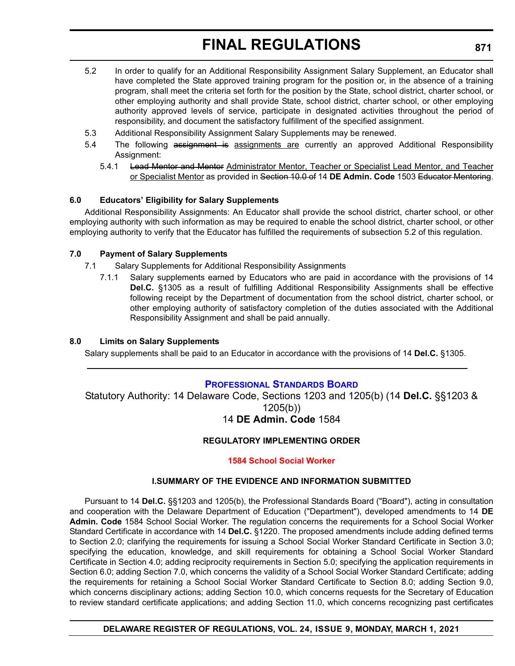- 5.2 In order to qualify for an Additional Responsibility Assignment Salary Supplement, an Educator shall have completed the State approved training program for the position or, in the absence of a training program, shall meet the criteria set forth for the position by the State, school district, charter school, or other employing authority and shall provide State, school district, charter school, or other employing authority approved levels of service, participate in designated activities throughout the period of responsibility, and document the satisfactory fulfillment of the specified assignment.
- 5.3 Additional Responsibility Assignment Salary Supplements may be renewed.
- 5.4 The following assignment is assignments are currently an approved Additional Responsibility Assignment:
	- 5.4.1 Lead Mentor and Mentor Administrator Mentor, Teacher or Specialist Lead Mentor, and Teacher or Specialist Mentor as provided in Section 10.0 of 14 **DE Admin. Code** 1503 Educator Mentoring.

#### **6.0 Educators' Eligibility for Salary Supplements**

Additional Responsibility Assignments: An Educator shall provide the school district, charter school, or other employing authority with such information as may be required to enable the school district, charter school, or other employing authority to verify that the Educator has fulfilled the requirements of subsection 5.2 of this regulation.

#### **7.0 Payment of Salary Supplements**

- 7.1 Salary Supplements for Additional Responsibility Assignments
	- 7.1.1 Salary supplements earned by Educators who are paid in accordance with the provisions of 14 **Del.C.** §1305 as a result of fulfilling Additional Responsibility Assignments shall be effective following receipt by the Department of documentation from the school district, charter school, or other employing authority of satisfactory completion of the duties associated with the Additional Responsibility Assignment and shall be paid annually.

#### **8.0 Limits on Salary Supplements**

Salary supplements shall be paid to an Educator in accordance with the provisions of 14 **Del.C.** §1305.

#### **[PROFESSIONAL STANDARDS BOARD](https://www.doe.k12.de.us/domain/172)**

Statutory Authority: 14 Delaware Code, Sections 1203 and 1205(b) (14 **Del.C.** §§1203 & 1205(b)) 14 **DE Admin. Code** 1584

### **REGULATORY IMPLEMENTING ORDER**

#### **[1584 School Social Worker](#page-3-0)**

#### **I.SUMMARY OF THE EVIDENCE AND INFORMATION SUBMITTED**

Pursuant to 14 **Del.C.** §§1203 and 1205(b), the Professional Standards Board ("Board"), acting in consultation and cooperation with the Delaware Department of Education ("Department"), developed amendments to 14 **DE Admin. Code** 1584 School Social Worker. The regulation concerns the requirements for a School Social Worker Standard Certificate in accordance with 14 **Del.C.** §1220. The proposed amendments include adding defined terms to Section 2.0; clarifying the requirements for issuing a School Social Worker Standard Certificate in Section 3.0; specifying the education, knowledge, and skill requirements for obtaining a School Social Worker Standard Certificate in Section 4.0; adding reciprocity requirements in Section 5.0; specifying the application requirements in Section 6.0; adding Section 7.0, which concerns the validity of a School Social Worker Standard Certificate; adding the requirements for retaining a School Social Worker Standard Certificate to Section 8.0; adding Section 9.0, which concerns disciplinary actions; adding Section 10.0, which concerns requests for the Secretary of Education to review standard certificate applications; and adding Section 11.0, which concerns recognizing past certificates

#### **DELAWARE REGISTER OF REGULATIONS, VOL. 24, ISSUE 9, MONDAY, MARCH 1, 2021**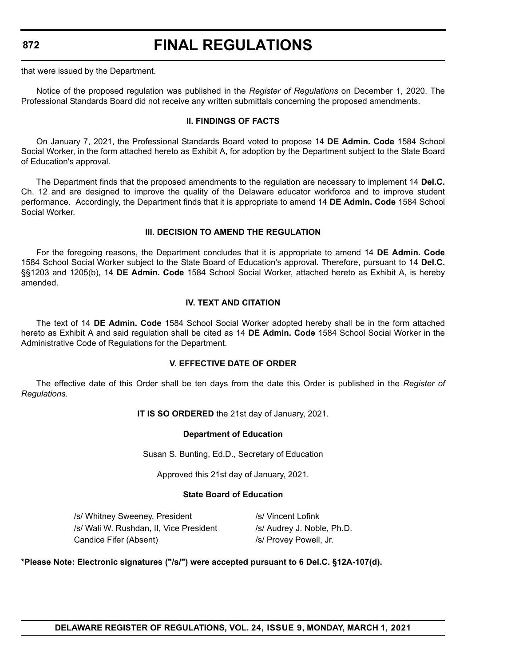# **FINAL REGULATIONS**

that were issued by the Department.

Notice of the proposed regulation was published in the *Register of Regulations* on December 1, 2020. The Professional Standards Board did not receive any written submittals concerning the proposed amendments.

#### **II. FINDINGS OF FACTS**

On January 7, 2021, the Professional Standards Board voted to propose 14 **DE Admin. Code** 1584 School Social Worker, in the form attached hereto as Exhibit A, for adoption by the Department subject to the State Board of Education's approval.

The Department finds that the proposed amendments to the regulation are necessary to implement 14 **Del.C.** Ch. 12 and are designed to improve the quality of the Delaware educator workforce and to improve student performance. Accordingly, the Department finds that it is appropriate to amend 14 **DE Admin. Code** 1584 School Social Worker.

#### **III. DECISION TO AMEND THE REGULATION**

For the foregoing reasons, the Department concludes that it is appropriate to amend 14 **DE Admin. Code** 1584 School Social Worker subject to the State Board of Education's approval. Therefore, pursuant to 14 **Del.C.** §§1203 and 1205(b), 14 **DE Admin. Code** 1584 School Social Worker, attached hereto as Exhibit A, is hereby amended.

#### **IV. TEXT AND CITATION**

The text of 14 **DE Admin. Code** 1584 School Social Worker adopted hereby shall be in the form attached hereto as Exhibit A and said regulation shall be cited as 14 **DE Admin. Code** 1584 School Social Worker in the Administrative Code of Regulations for the Department.

#### **V. EFFECTIVE DATE OF ORDER**

The effective date of this Order shall be ten days from the date this Order is published in the *Register of Regulations*.

#### **IT IS SO ORDERED** the 21st day of January, 2021.

#### **Department of Education**

Susan S. Bunting, Ed.D., Secretary of Education

Approved this 21st day of January, 2021.

#### **State Board of Education**

/s/ Whitney Sweeney, President /s/ Vincent Lofink /s/ Wali W. Rushdan, II, Vice President /s/ Audrey J. Noble, Ph.D. Candice Fifer (Absent) */s/ Provey Powell, Jr.* 

#### **\*Please Note: Electronic signatures ("/s/") were accepted pursuant to 6 Del.C. §12A-107(d).**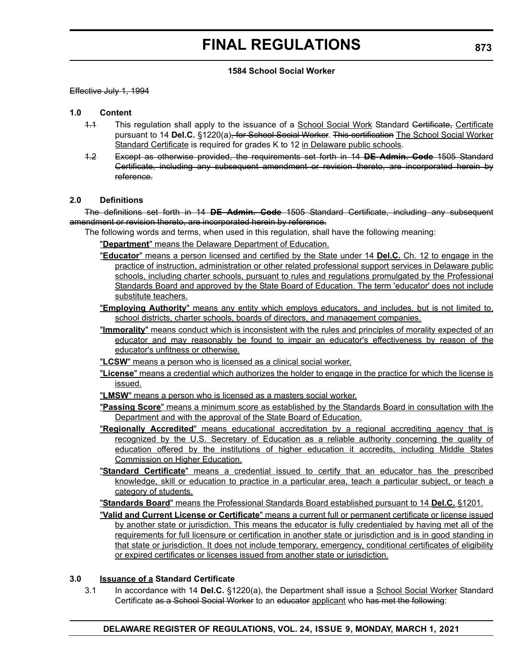#### **1584 School Social Worker**

#### Effective July 1, 1994

#### **1.0 Content**

- 1.1 This regulation shall apply to the issuance of a School Social Work Standard Certificate, Certificate pursuant to 14 **Del.C.** §1220(a), for School Social Worker. This certification The School Social Worker Standard Certificate is required for grades K to 12 in Delaware public schools.
- 1.2 Except as otherwise provided, the requirements set forth in 14 **DE Admin. Code** 1505 Standard Certificate, including any subsequent amendment or revision thereto, are incorporated herein by reference.

#### **2.0 Definitions**

The definitions set forth in 14 **DE Admin. Code** 1505 Standard Certificate, including any subsequent amendment or revision thereto, are incorporated herein by reference.

The following words and terms, when used in this regulation, shall have the following meaning:

"**Department**" means the Delaware Department of Education.

- "**Educator**" means a person licensed and certified by the State under 14 **Del.C.** Ch. 12 to engage in the practice of instruction, administration or other related professional support services in Delaware public schools, including charter schools, pursuant to rules and regulations promulgated by the Professional Standards Board and approved by the State Board of Education. The term 'educator' does not include substitute teachers.
- "**Employing Authority**" means any entity which employs educators, and includes, but is not limited to, school districts, charter schools, boards of directors, and management companies.
- "**Immorality**" means conduct which is inconsistent with the rules and principles of morality expected of an educator and may reasonably be found to impair an educator's effectiveness by reason of the educator's unfitness or otherwise.

"**LCSW**" means a person who is licensed as a clinical social worker.

- "**License**" means a credential which authorizes the holder to engage in the practice for which the license is issued.
- "**LMSW**" means a person who is licensed as a masters social worker.

"**Passing Score**" means a minimum score as established by the Standards Board in consultation with the Department and with the approval of the State Board of Education.

- "**Regionally Accredited**" means educational accreditation by a regional accrediting agency that is recognized by the U.S. Secretary of Education as a reliable authority concerning the quality of education offered by the institutions of higher education it accredits, including Middle States Commission on Higher Education.
- "**Standard Certificate**" means a credential issued to certify that an educator has the prescribed knowledge, skill or education to practice in a particular area, teach a particular subject, or teach a category of students.

"**Standards Board**" means the Professional Standards Board established pursuant to 14 **Del.C.** §1201.

"**Valid and Current License or Certificate**" means a current full or permanent certificate or license issued by another state or jurisdiction. This means the educator is fully credentialed by having met all of the requirements for full licensure or certification in another state or jurisdiction and is in good standing in that state or jurisdiction. It does not include temporary, emergency, conditional certificates of eligibility or expired certificates or licenses issued from another state or jurisdiction.

#### **3.0 Issuance of a Standard Certificate**

3.1 In accordance with 14 **Del.C.** §1220(a), the Department shall issue a School Social Worker Standard Certificate as a School Social Worker to an educator applicant who has met the following: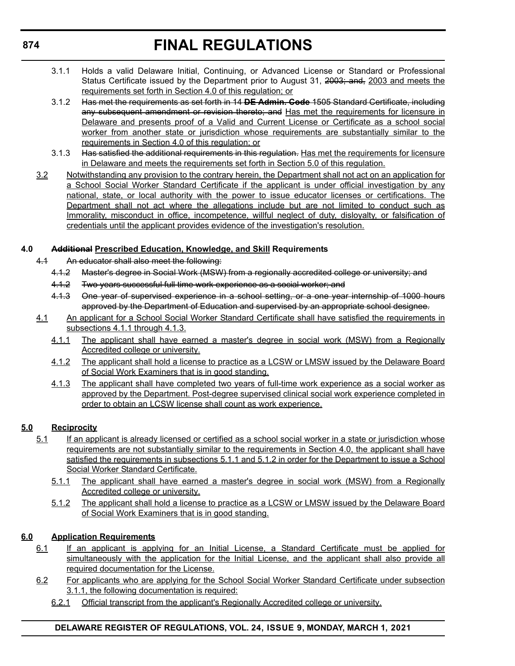- 3.1.1 Holds a valid Delaware Initial, Continuing, or Advanced License or Standard or Professional Status Certificate issued by the Department prior to August 31, 2003; and, 2003 and meets the requirements set forth in Section 4.0 of this regulation; or
- 3.1.2 Has met the requirements as set forth in 14 **DE Admin. Code** 1505 Standard Certificate, including any subsequent amendment or revision thereto; and Has met the requirements for licensure in Delaware and presents proof of a Valid and Current License or Certificate as a school social worker from another state or jurisdiction whose requirements are substantially similar to the requirements in Section 4.0 of this regulation; or
- 3.1.3 Has satisfied the additional requirements in this regulation. Has met the requirements for licensure in Delaware and meets the requirements set forth in Section 5.0 of this regulation.
- 3.2 Notwithstanding any provision to the contrary herein, the Department shall not act on an application for a School Social Worker Standard Certificate if the applicant is under official investigation by any national, state, or local authority with the power to issue educator licenses or certifications. The Department shall not act where the allegations include but are not limited to conduct such as Immorality, misconduct in office, incompetence, willful neglect of duty, disloyalty, or falsification of credentials until the applicant provides evidence of the investigation's resolution.

### **4.0 Additional Prescribed Education, Knowledge, and Skill Requirements**

- 4.1 An educator shall also meet the following:
	- 4.1.2 Master's degree in Social Work (MSW) from a regionally accredited college or university; and
	- 4.1.2 Two years successful full time work experience as a social worker; and
	- 4.1.3 One year of supervised experience in a school setting, or a one year internship of 1000 hours approved by the Department of Education and supervised by an appropriate school designee.
- 4.1 An applicant for a School Social Worker Standard Certificate shall have satisfied the requirements in subsections 4.1.1 through 4.1.3.
	- 4.1.1 The applicant shall have earned a master's degree in social work (MSW) from a Regionally Accredited college or university.
	- 4.1.2 The applicant shall hold a license to practice as a LCSW or LMSW issued by the Delaware Board of Social Work Examiners that is in good standing.
	- 4.1.3 The applicant shall have completed two years of full-time work experience as a social worker as approved by the Department. Post-degree supervised clinical social work experience completed in order to obtain an LCSW license shall count as work experience.

### **5.0 Reciprocity**

- 5.1 If an applicant is already licensed or certified as a school social worker in a state or jurisdiction whose requirements are not substantially similar to the requirements in Section 4.0, the applicant shall have satisfied the requirements in subsections 5.1.1 and 5.1.2 in order for the Department to issue a School Social Worker Standard Certificate.
	- 5.1.1 The applicant shall have earned a master's degree in social work (MSW) from a Regionally Accredited college or university.
	- 5.1.2 The applicant shall hold a license to practice as a LCSW or LMSW issued by the Delaware Board of Social Work Examiners that is in good standing.

### **6.0 Application Requirements**

- 6.1 If an applicant is applying for an Initial License, a Standard Certificate must be applied for simultaneously with the application for the Initial License, and the applicant shall also provide all required documentation for the License.
- 6.2 For applicants who are applying for the School Social Worker Standard Certificate under subsection 3.1.1, the following documentation is required:
	- 6.2.1 Official transcript from the applicant's Regionally Accredited college or university.

### **DELAWARE REGISTER OF REGULATIONS, VOL. 24, ISSUE 9, MONDAY, MARCH 1, 2021**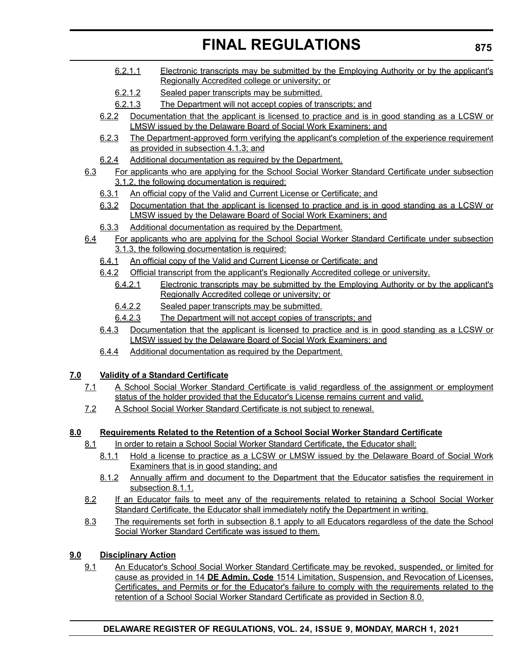- 6.2.1.1 Electronic transcripts may be submitted by the Employing Authority or by the applicant's Regionally Accredited college or university; or
- 6.2.1.2 Sealed paper transcripts may be submitted.
- 6.2.1.3 The Department will not accept copies of transcripts; and
- 6.2.2 Documentation that the applicant is licensed to practice and is in good standing as a LCSW or LMSW issued by the Delaware Board of Social Work Examiners; and
- 6.2.3 The Department-approved form verifying the applicant's completion of the experience requirement as provided in subsection 4.1.3; and
- 6.2.4 Additional documentation as required by the Department.
- 6.3 For applicants who are applying for the School Social Worker Standard Certificate under subsection 3.1.2, the following documentation is required:
	- 6.3.1 An official copy of the Valid and Current License or Certificate; and
	- 6.3.2 Documentation that the applicant is licensed to practice and is in good standing as a LCSW or LMSW issued by the Delaware Board of Social Work Examiners; and
	- 6.3.3 Additional documentation as required by the Department.
- 6.4 For applicants who are applying for the School Social Worker Standard Certificate under subsection 3.1.3, the following documentation is required:
	- 6.4.1 An official copy of the Valid and Current License or Certificate; and
	- 6.4.2 Official transcript from the applicant's Regionally Accredited college or university.
		- 6.4.2.1 Electronic transcripts may be submitted by the Employing Authority or by the applicant's Regionally Accredited college or university; or
		- 6.4.2.2 Sealed paper transcripts may be submitted.
		- 6.4.2.3 The Department will not accept copies of transcripts; and
	- 6.4.3 Documentation that the applicant is licensed to practice and is in good standing as a LCSW or LMSW issued by the Delaware Board of Social Work Examiners; and
	- 6.4.4 Additional documentation as required by the Department.

### **7.0 Validity of a Standard Certificate**

- 7.1 A School Social Worker Standard Certificate is valid regardless of the assignment or employment status of the holder provided that the Educator's License remains current and valid.
- 7.2 A School Social Worker Standard Certificate is not subject to renewal.

### **8.0 Requirements Related to the Retention of a School Social Worker Standard Certificate**

- 8.1 In order to retain a School Social Worker Standard Certificate, the Educator shall:
	- 8.1.1 Hold a license to practice as a LCSW or LMSW issued by the Delaware Board of Social Work Examiners that is in good standing; and
	- 8.1.2 Annually affirm and document to the Department that the Educator satisfies the requirement in subsection 8.1.1.
- 8.2 If an Educator fails to meet any of the requirements related to retaining a School Social Worker Standard Certificate, the Educator shall immediately notify the Department in writing.
- 8.3 The requirements set forth in subsection 8.1 apply to all Educators regardless of the date the School Social Worker Standard Certificate was issued to them.

### **9.0 Disciplinary Action**

9.1 An Educator's School Social Worker Standard Certificate may be revoked, suspended, or limited for cause as provided in 14 **DE Admin. Code** 1514 Limitation, Suspension, and Revocation of Licenses, Certificates, and Permits or for the Educator's failure to comply with the requirements related to the retention of a School Social Worker Standard Certificate as provided in Section 8.0.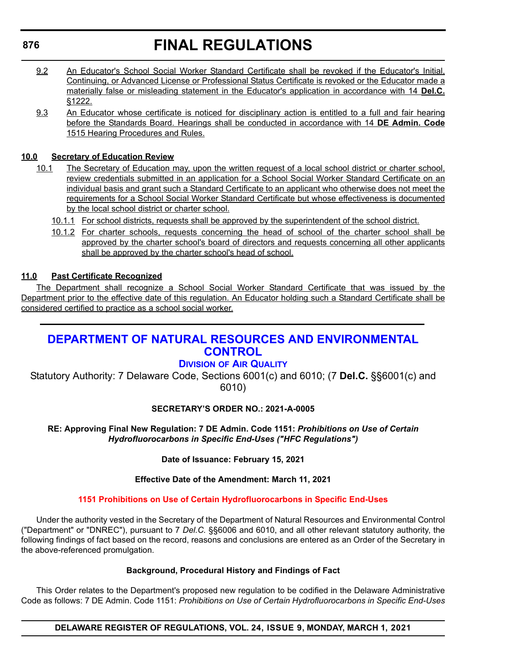# **FINAL REGULATIONS**

- 9.2 An Educator's School Social Worker Standard Certificate shall be revoked if the Educator's Initial, Continuing, or Advanced License or Professional Status Certificate is revoked or the Educator made a materially false or misleading statement in the Educator's application in accordance with 14 **Del.C.** §1222.
- 9.3 An Educator whose certificate is noticed for disciplinary action is entitled to a full and fair hearing before the Standards Board. Hearings shall be conducted in accordance with 14 **DE Admin. Code** 1515 Hearing Procedures and Rules.

### **10.0 Secretary of Education Review**

- 10.1 The Secretary of Education may, upon the written request of a local school district or charter school, review credentials submitted in an application for a School Social Worker Standard Certificate on an individual basis and grant such a Standard Certificate to an applicant who otherwise does not meet the requirements for a School Social Worker Standard Certificate but whose effectiveness is documented by the local school district or charter school.
	- 10.1.1 For school districts, requests shall be approved by the superintendent of the school district.
	- 10.1.2 For charter schools, requests concerning the head of school of the charter school shall be approved by the charter school's board of directors and requests concerning all other applicants shall be approved by the charter school's head of school.

### **11.0 Past Certificate Recognized**

The Department shall recognize a School Social Worker Standard Certificate that was issued by the Department prior to the effective date of this regulation. An Educator holding such a Standard Certificate shall be considered certified to practice as a school social worker.

### **[DEPARTMENT OF NATURAL RESOURCES AND ENVIRONMENTAL](https://dnrec.alpha.delaware.gov/)  CONTROL**

### **DIVISION [OF AIR QUALITY](https://dnrec.alpha.delaware.gov/air/ )**

Statutory Authority: 7 Delaware Code, Sections 6001(c) and 6010; (7 **Del.C.** §§6001(c) and 6010)

### **SECRETARY'S ORDER NO.: 2021-A-0005**

**RE: Approving Final New Regulation: 7 DE Admin. Code 1151:** *Prohibitions on Use of Certain Hydrofluorocarbons in Specific End-Uses ("HFC Regulations")*

#### **Date of Issuance: February 15, 2021**

### **Effective Date of the Amendment: March 11, 2021**

### **[1151 Prohibitions on Use of Certain Hydrofluorocarbons in Specific End-Uses](#page-4-0)**

Under the authority vested in the Secretary of the Department of Natural Resources and Environmental Control ("Department" or "DNREC"), pursuant to 7 *Del.C.* §§6006 and 6010, and all other relevant statutory authority, the following findings of fact based on the record, reasons and conclusions are entered as an Order of the Secretary in the above-referenced promulgation.

#### **Background, Procedural History and Findings of Fact**

This Order relates to the Department's proposed new regulation to be codified in the Delaware Administrative Code as follows: 7 DE Admin. Code 1151: *Prohibitions on Use of Certain Hydrofluorocarbons in Specific End-Uses*

**DELAWARE REGISTER OF REGULATIONS, VOL. 24, ISSUE 9, MONDAY, MARCH 1, 2021**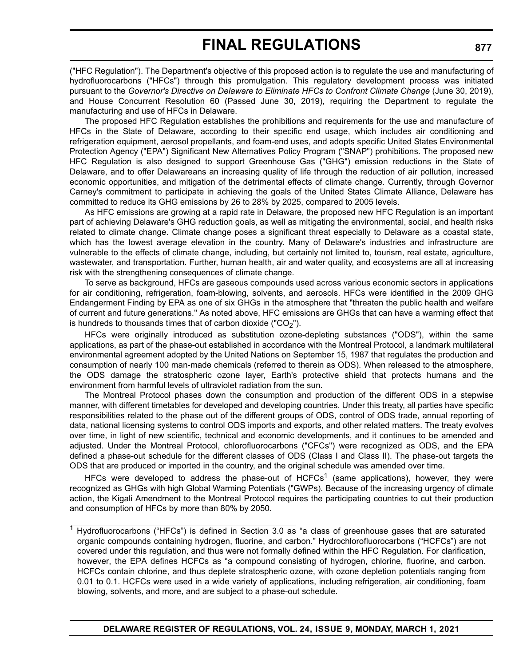("HFC Regulation"). The Department's objective of this proposed action is to regulate the use and manufacturing of hydrofluorocarbons ("HFCs") through this promulgation. This regulatory development process was initiated pursuant to the *Governor's Directive on Delaware to Eliminate HFCs to Confront Climate Change* (June 30, 2019), and House Concurrent Resolution 60 (Passed June 30, 2019), requiring the Department to regulate the manufacturing and use of HFCs in Delaware.

The proposed HFC Regulation establishes the prohibitions and requirements for the use and manufacture of HFCs in the State of Delaware, according to their specific end usage, which includes air conditioning and refrigeration equipment, aerosol propellants, and foam-end uses, and adopts specific United States Environmental Protection Agency ("EPA") Significant New Alternatives Policy Program ("SNAP") prohibitions. The proposed new HFC Regulation is also designed to support Greenhouse Gas ("GHG") emission reductions in the State of Delaware, and to offer Delawareans an increasing quality of life through the reduction of air pollution, increased economic opportunities, and mitigation of the detrimental effects of climate change. Currently, through Governor Carney's commitment to participate in achieving the goals of the United States Climate Alliance, Delaware has committed to reduce its GHG emissions by 26 to 28% by 2025, compared to 2005 levels.

As HFC emissions are growing at a rapid rate in Delaware, the proposed new HFC Regulation is an important part of achieving Delaware's GHG reduction goals, as well as mitigating the environmental, social, and health risks related to climate change. Climate change poses a significant threat especially to Delaware as a coastal state, which has the lowest average elevation in the country. Many of Delaware's industries and infrastructure are vulnerable to the effects of climate change, including, but certainly not limited to, tourism, real estate, agriculture, wastewater, and transportation. Further, human health, air and water quality, and ecosystems are all at increasing risk with the strengthening consequences of climate change.

To serve as background, HFCs are gaseous compounds used across various economic sectors in applications for air conditioning, refrigeration, foam-blowing, solvents, and aerosols. HFCs were identified in the 2009 GHG Endangerment Finding by EPA as one of six GHGs in the atmosphere that "threaten the public health and welfare of current and future generations." As noted above, HFC emissions are GHGs that can have a warming effect that is hundreds to thousands times that of carbon dioxide ("CO<sub>2</sub>").

HFCs were originally introduced as substitution ozone-depleting substances ("ODS"), within the same applications, as part of the phase-out established in accordance with the Montreal Protocol, a landmark multilateral environmental agreement adopted by the United Nations on September 15, 1987 that regulates the production and consumption of nearly 100 man-made chemicals (referred to therein as ODS). When released to the atmosphere, the ODS damage the stratospheric ozone layer, Earth's protective shield that protects humans and the environment from harmful levels of ultraviolet radiation from the sun.

The Montreal Protocol phases down the consumption and production of the different ODS in a stepwise manner, with different timetables for developed and developing countries. Under this treaty, all parties have specific responsibilities related to the phase out of the different groups of ODS, control of ODS trade, annual reporting of data, national licensing systems to control ODS imports and exports, and other related matters. The treaty evolves over time, in light of new scientific, technical and economic developments, and it continues to be amended and adjusted. Under the Montreal Protocol, chlorofluorocarbons ("CFCs") were recognized as ODS, and the EPA defined a phase-out schedule for the different classes of ODS (Class I and Class II). The phase-out targets the ODS that are produced or imported in the country, and the original schedule was amended over time.

HFCs were developed to address the phase-out of  $H CFCs<sup>1</sup>$  (same applications), however, they were recognized as GHGs with high Global Warming Potentials ("GWPs). Because of the increasing urgency of climate action, the Kigali Amendment to the Montreal Protocol requires the participating countries to cut their production and consumption of HFCs by more than 80% by 2050.

 $^1$  Hydrofluorocarbons ("HFCs") is defined in Section 3.0 as "a class of greenhouse gases that are saturated organic compounds containing hydrogen, fluorine, and carbon." Hydrochlorofluorocarbons ("HCFCs") are not covered under this regulation, and thus were not formally defined within the HFC Regulation. For clarification, however, the EPA defines HCFCs as "a compound consisting of hydrogen, chlorine, fluorine, and carbon. HCFCs contain chlorine, and thus deplete stratospheric ozone, with ozone depletion potentials ranging from 0.01 to 0.1. HCFCs were used in a wide variety of applications, including refrigeration, air conditioning, foam blowing, solvents, and more, and are subject to a phase-out schedule.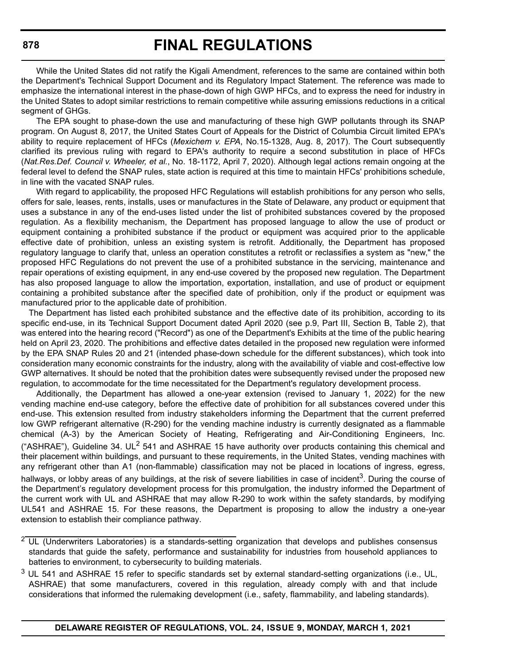While the United States did not ratify the Kigali Amendment, references to the same are contained within both the Department's Technical Support Document and its Regulatory Impact Statement. The reference was made to emphasize the international interest in the phase-down of high GWP HFCs, and to express the need for industry in the United States to adopt similar restrictions to remain competitive while assuring emissions reductions in a critical segment of GHGs.

The EPA sought to phase-down the use and manufacturing of these high GWP pollutants through its SNAP program. On August 8, 2017, the United States Court of Appeals for the District of Columbia Circuit limited EPA's ability to require replacement of HFCs (*Mexichem v. EPA*, No.15-1328, Aug. 8, 2017). The Court subsequently clarified its previous ruling with regard to EPA's authority to require a second substitution in place of HFCs (*Nat.Res.Def. Council v. Wheeler, et al.*, No. 18-1172, April 7, 2020). Although legal actions remain ongoing at the federal level to defend the SNAP rules, state action is required at this time to maintain HFCs' prohibitions schedule, in line with the vacated SNAP rules.

With regard to applicability, the proposed HFC Regulations will establish prohibitions for any person who sells, offers for sale, leases, rents, installs, uses or manufactures in the State of Delaware, any product or equipment that uses a substance in any of the end-uses listed under the list of prohibited substances covered by the proposed regulation. As a flexibility mechanism, the Department has proposed language to allow the use of product or equipment containing a prohibited substance if the product or equipment was acquired prior to the applicable effective date of prohibition, unless an existing system is retrofit. Additionally, the Department has proposed regulatory language to clarify that, unless an operation constitutes a retrofit or reclassifies a system as "new," the proposed HFC Regulations do not prevent the use of a prohibited substance in the servicing, maintenance and repair operations of existing equipment, in any end-use covered by the proposed new regulation. The Department has also proposed language to allow the importation, exportation, installation, and use of product or equipment containing a prohibited substance after the specified date of prohibition, only if the product or equipment was manufactured prior to the applicable date of prohibition.

The Department has listed each prohibited substance and the effective date of its prohibition, according to its specific end-use, in its Technical Support Document dated April 2020 (see p.9, Part III, Section B, Table 2), that was entered into the hearing record ("Record") as one of the Department's Exhibits at the time of the public hearing held on April 23, 2020. The prohibitions and effective dates detailed in the proposed new regulation were informed by the EPA SNAP Rules 20 and 21 (intended phase-down schedule for the different substances), which took into consideration many economic constraints for the industry, along with the availability of viable and cost-effective low GWP alternatives. It should be noted that the prohibition dates were subsequently revised under the proposed new regulation, to accommodate for the time necessitated for the Department's regulatory development process.

Additionally, the Department has allowed a one-year extension (revised to January 1, 2022) for the new vending machine end-use category, before the effective date of prohibition for all substances covered under this end-use. This extension resulted from industry stakeholders informing the Department that the current preferred low GWP refrigerant alternative (R-290) for the vending machine industry is currently designated as a flammable chemical (A-3) by the American Society of Heating, Refrigerating and Air-Conditioning Engineers, Inc. ("ASHRAE"). Guideline 34. UL<sup>2</sup> 541 and ASHRAE 15 have authority over products containing this chemical and their placement within buildings, and pursuant to these requirements, in the United States, vending machines with any refrigerant other than A1 (non-flammable) classification may not be placed in locations of ingress, egress, hallways, or lobby areas of any buildings, at the risk of severe liabilities in case of incident<sup>3</sup>. During the course of the Department's regulatory development process for this promulgation, the industry informed the Department of the current work with UL and ASHRAE that may allow R-290 to work within the safety standards, by modifying UL541 and ASHRAE 15. For these reasons, the Department is proposing to allow the industry a one-year extension to establish their compliance pathway.

 $2$  UL (Underwriters Laboratories) is a standards-setting organization that develops and publishes consensus standards that guide the safety, performance and sustainability for industries from household appliances to batteries to environment, to cybersecurity to building materials.

 $3$  UL 541 and ASHRAE 15 refer to specific standards set by external standard-setting organizations (i.e., UL, ASHRAE) that some manufacturers, covered in this regulation, already comply with and that include considerations that informed the rulemaking development (i.e., safety, flammability, and labeling standards).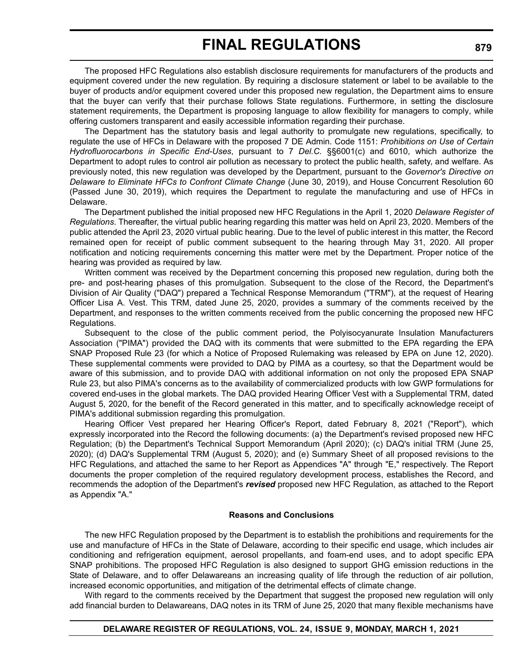The proposed HFC Regulations also establish disclosure requirements for manufacturers of the products and equipment covered under the new regulation. By requiring a disclosure statement or label to be available to the buyer of products and/or equipment covered under this proposed new regulation, the Department aims to ensure that the buyer can verify that their purchase follows State regulations. Furthermore, in setting the disclosure statement requirements, the Department is proposing language to allow flexibility for managers to comply, while offering customers transparent and easily accessible information regarding their purchase.

The Department has the statutory basis and legal authority to promulgate new regulations, specifically, to regulate the use of HFCs in Delaware with the proposed 7 DE Admin. Code 1151: *Prohibitions on Use of Certain Hydrofluorocarbons in Specific End-Uses*, pursuant to 7 *Del.C.* §§6001(c) and 6010, which authorize the Department to adopt rules to control air pollution as necessary to protect the public health, safety, and welfare. As previously noted, this new regulation was developed by the Department, pursuant to the *Governor's Directive on Delaware to Eliminate HFCs to Confront Climate Change* (June 30, 2019), and House Concurrent Resolution 60 (Passed June 30, 2019), which requires the Department to regulate the manufacturing and use of HFCs in Delaware.

The Department published the initial proposed new HFC Regulations in the April 1, 2020 *Delaware Register of Regulations*. Thereafter, the virtual public hearing regarding this matter was held on April 23, 2020. Members of the public attended the April 23, 2020 virtual public hearing. Due to the level of public interest in this matter, the Record remained open for receipt of public comment subsequent to the hearing through May 31, 2020. All proper notification and noticing requirements concerning this matter were met by the Department. Proper notice of the hearing was provided as required by law.

Written comment was received by the Department concerning this proposed new regulation, during both the pre- and post-hearing phases of this promulgation. Subsequent to the close of the Record, the Department's Division of Air Quality ("DAQ") prepared a Technical Response Memorandum ("TRM"), at the request of Hearing Officer Lisa A. Vest. This TRM, dated June 25, 2020, provides a summary of the comments received by the Department, and responses to the written comments received from the public concerning the proposed new HFC Regulations.

Subsequent to the close of the public comment period, the Polyisocyanurate Insulation Manufacturers Association ("PIMA") provided the DAQ with its comments that were submitted to the EPA regarding the EPA SNAP Proposed Rule 23 (for which a Notice of Proposed Rulemaking was released by EPA on June 12, 2020). These supplemental comments were provided to DAQ by PIMA as a courtesy, so that the Department would be aware of this submission, and to provide DAQ with additional information on not only the proposed EPA SNAP Rule 23, but also PIMA's concerns as to the availability of commercialized products with low GWP formulations for covered end-uses in the global markets. The DAQ provided Hearing Officer Vest with a Supplemental TRM, dated August 5, 2020, for the benefit of the Record generated in this matter, and to specifically acknowledge receipt of PIMA's additional submission regarding this promulgation.

Hearing Officer Vest prepared her Hearing Officer's Report, dated February 8, 2021 ("Report"), which expressly incorporated into the Record the following documents: (a) the Department's revised proposed new HFC Regulation; (b) the Department's Technical Support Memorandum (April 2020); (c) DAQ's initial TRM (June 25, 2020); (d) DAQ's Supplemental TRM (August 5, 2020); and (e) Summary Sheet of all proposed revisions to the HFC Regulations, and attached the same to her Report as Appendices "A" through "E," respectively. The Report documents the proper completion of the required regulatory development process, establishes the Record, and recommends the adoption of the Department's *revised* proposed new HFC Regulation, as attached to the Report as Appendix "A."

#### **Reasons and Conclusions**

The new HFC Regulation proposed by the Department is to establish the prohibitions and requirements for the use and manufacture of HFCs in the State of Delaware, according to their specific end usage, which includes air conditioning and refrigeration equipment, aerosol propellants, and foam-end uses, and to adopt specific EPA SNAP prohibitions. The proposed HFC Regulation is also designed to support GHG emission reductions in the State of Delaware, and to offer Delawareans an increasing quality of life through the reduction of air pollution, increased economic opportunities, and mitigation of the detrimental effects of climate change.

With regard to the comments received by the Department that suggest the proposed new regulation will only add financial burden to Delawareans, DAQ notes in its TRM of June 25, 2020 that many flexible mechanisms have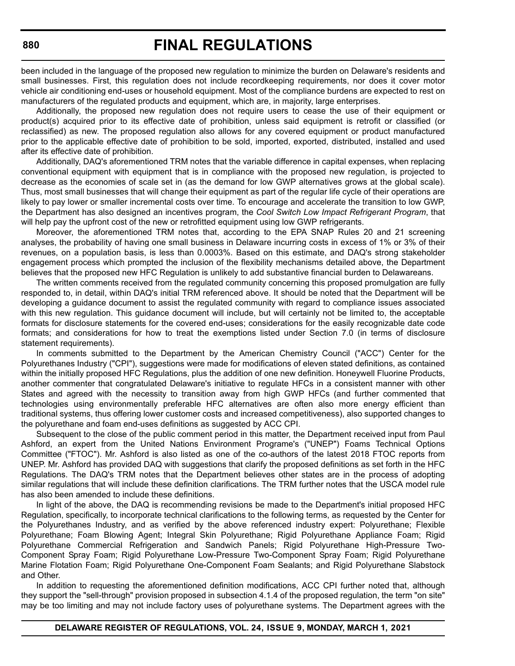been included in the language of the proposed new regulation to minimize the burden on Delaware's residents and small businesses. First, this regulation does not include recordkeeping requirements, nor does it cover motor vehicle air conditioning end-uses or household equipment. Most of the compliance burdens are expected to rest on manufacturers of the regulated products and equipment, which are, in majority, large enterprises.

Additionally, the proposed new regulation does not require users to cease the use of their equipment or product(s) acquired prior to its effective date of prohibition, unless said equipment is retrofit or classified (or reclassified) as new. The proposed regulation also allows for any covered equipment or product manufactured prior to the applicable effective date of prohibition to be sold, imported, exported, distributed, installed and used after its effective date of prohibition.

Additionally, DAQ's aforementioned TRM notes that the variable difference in capital expenses, when replacing conventional equipment with equipment that is in compliance with the proposed new regulation, is projected to decrease as the economies of scale set in (as the demand for low GWP alternatives grows at the global scale). Thus, most small businesses that will change their equipment as part of the regular life cycle of their operations are likely to pay lower or smaller incremental costs over time. To encourage and accelerate the transition to low GWP, the Department has also designed an incentives program, the *Cool Switch Low Impact Refrigerant Program*, that will help pay the upfront cost of the new or retrofitted equipment using low GWP refrigerants.

Moreover, the aforementioned TRM notes that, according to the EPA SNAP Rules 20 and 21 screening analyses, the probability of having one small business in Delaware incurring costs in excess of 1% or 3% of their revenues, on a population basis, is less than 0.0003%. Based on this estimate, and DAQ's strong stakeholder engagement process which prompted the inclusion of the flexibility mechanisms detailed above, the Department believes that the proposed new HFC Regulation is unlikely to add substantive financial burden to Delawareans.

The written comments received from the regulated community concerning this proposed promulgation are fully responded to, in detail, within DAQ's initial TRM referenced above. It should be noted that the Department will be developing a guidance document to assist the regulated community with regard to compliance issues associated with this new regulation. This guidance document will include, but will certainly not be limited to, the acceptable formats for disclosure statements for the covered end-uses; considerations for the easily recognizable date code formats; and considerations for how to treat the exemptions listed under Section 7.0 (in terms of disclosure statement requirements).

In comments submitted to the Department by the American Chemistry Council ("ACC") Center for the Polyurethanes Industry ("CPI"), suggestions were made for modifications of eleven stated definitions, as contained within the initially proposed HFC Regulations, plus the addition of one new definition. Honeywell Fluorine Products, another commenter that congratulated Delaware's initiative to regulate HFCs in a consistent manner with other States and agreed with the necessity to transition away from high GWP HFCs (and further commented that technologies using environmentally preferable HFC alternatives are often also more energy efficient than traditional systems, thus offering lower customer costs and increased competitiveness), also supported changes to the polyurethane and foam end-uses definitions as suggested by ACC CPI.

Subsequent to the close of the public comment period in this matter, the Department received input from Paul Ashford, an expert from the United Nations Environment Programe's ("UNEP") Foams Technical Options Committee ("FTOC"). Mr. Ashford is also listed as one of the co-authors of the latest 2018 FTOC reports from UNEP. Mr. Ashford has provided DAQ with suggestions that clarify the proposed definitions as set forth in the HFC Regulations. The DAQ's TRM notes that the Department believes other states are in the process of adopting similar regulations that will include these definition clarifications. The TRM further notes that the USCA model rule has also been amended to include these definitions.

In light of the above, the DAQ is recommending revisions be made to the Department's initial proposed HFC Regulation, specifically, to incorporate technical clarifications to the following terms, as requested by the Center for the Polyurethanes Industry, and as verified by the above referenced industry expert: Polyurethane; Flexible Polyurethane; Foam Blowing Agent; Integral Skin Polyurethane; Rigid Polyurethane Appliance Foam; Rigid Polyurethane Commercial Refrigeration and Sandwich Panels; Rigid Polyurethane High-Pressure Two-Component Spray Foam; Rigid Polyurethane Low-Pressure Two-Component Spray Foam; Rigid Polyurethane Marine Flotation Foam; Rigid Polyurethane One-Component Foam Sealants; and Rigid Polyurethane Slabstock and Other.

In addition to requesting the aforementioned definition modifications, ACC CPI further noted that, although they support the "sell-through" provision proposed in subsection 4.1.4 of the proposed regulation, the term "on site" may be too limiting and may not include factory uses of polyurethane systems. The Department agrees with the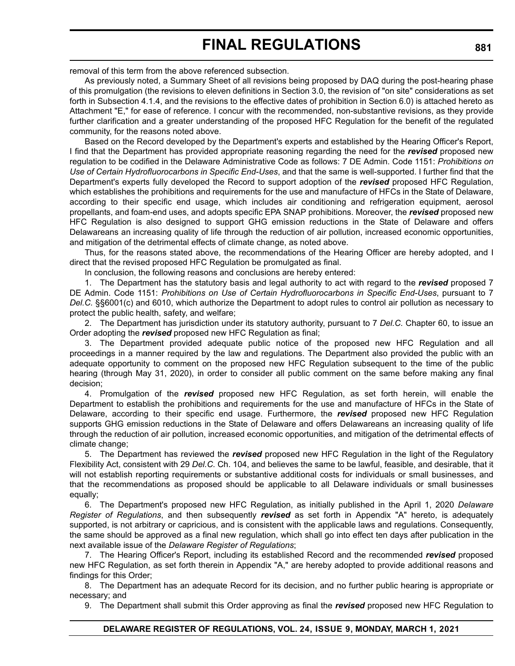removal of this term from the above referenced subsection.

As previously noted, a Summary Sheet of all revisions being proposed by DAQ during the post-hearing phase of this promulgation (the revisions to eleven definitions in Section 3.0, the revision of "on site" considerations as set forth in Subsection 4.1.4, and the revisions to the effective dates of prohibition in Section 6.0) is attached hereto as Attachment "E," for ease of reference. I concur with the recommended, non-substantive revisions, as they provide further clarification and a greater understanding of the proposed HFC Regulation for the benefit of the regulated community, for the reasons noted above.

Based on the Record developed by the Department's experts and established by the Hearing Officer's Report, I find that the Department has provided appropriate reasoning regarding the need for the *revised* proposed new regulation to be codified in the Delaware Administrative Code as follows: 7 DE Admin. Code 1151: *Prohibitions on Use of Certain Hydrofluorocarbons in Specific End-Uses*, and that the same is well-supported. I further find that the Department's experts fully developed the Record to support adoption of the *revised* proposed HFC Regulation, which establishes the prohibitions and requirements for the use and manufacture of HFCs in the State of Delaware, according to their specific end usage, which includes air conditioning and refrigeration equipment, aerosol propellants, and foam-end uses, and adopts specific EPA SNAP prohibitions. Moreover, the *revised* proposed new HFC Regulation is also designed to support GHG emission reductions in the State of Delaware and offers Delawareans an increasing quality of life through the reduction of air pollution, increased economic opportunities, and mitigation of the detrimental effects of climate change, as noted above.

Thus, for the reasons stated above, the recommendations of the Hearing Officer are hereby adopted, and I direct that the revised proposed HFC Regulation be promulgated as final.

In conclusion, the following reasons and conclusions are hereby entered:

1. The Department has the statutory basis and legal authority to act with regard to the *revised* proposed 7 DE Admin. Code 1151: *Prohibitions on Use of Certain Hydrofluorocarbons in Specific End-Uses*, pursuant to 7 *Del.C.* §§6001(c) and 6010, which authorize the Department to adopt rules to control air pollution as necessary to protect the public health, safety, and welfare;

2. The Department has jurisdiction under its statutory authority, pursuant to 7 *Del.C.* Chapter 60, to issue an Order adopting the *revised* proposed new HFC Regulation as final;

3. The Department provided adequate public notice of the proposed new HFC Regulation and all proceedings in a manner required by the law and regulations. The Department also provided the public with an adequate opportunity to comment on the proposed new HFC Regulation subsequent to the time of the public hearing (through May 31, 2020), in order to consider all public comment on the same before making any final decision;

4. Promulgation of the *revised* proposed new HFC Regulation, as set forth herein, will enable the Department to establish the prohibitions and requirements for the use and manufacture of HFCs in the State of Delaware, according to their specific end usage. Furthermore, the *revised* proposed new HFC Regulation supports GHG emission reductions in the State of Delaware and offers Delawareans an increasing quality of life through the reduction of air pollution, increased economic opportunities, and mitigation of the detrimental effects of climate change;

5. The Department has reviewed the *revised* proposed new HFC Regulation in the light of the Regulatory Flexibility Act, consistent with 29 *Del.C.* Ch. 104, and believes the same to be lawful, feasible, and desirable, that it will not establish reporting requirements or substantive additional costs for individuals or small businesses, and that the recommendations as proposed should be applicable to all Delaware individuals or small businesses equally;

6. The Department's proposed new HFC Regulation, as initially published in the April 1, 2020 *Delaware Register of Regulations*, and then subsequently *revised* as set forth in Appendix "A" hereto, is adequately supported, is not arbitrary or capricious, and is consistent with the applicable laws and regulations. Consequently, the same should be approved as a final new regulation, which shall go into effect ten days after publication in the next available issue of the *Delaware Register of Regulations*;

7. The Hearing Officer's Report, including its established Record and the recommended *revised* proposed new HFC Regulation, as set forth therein in Appendix "A," are hereby adopted to provide additional reasons and findings for this Order;

8. The Department has an adequate Record for its decision, and no further public hearing is appropriate or necessary; and

9. The Department shall submit this Order approving as final the *revised* proposed new HFC Regulation to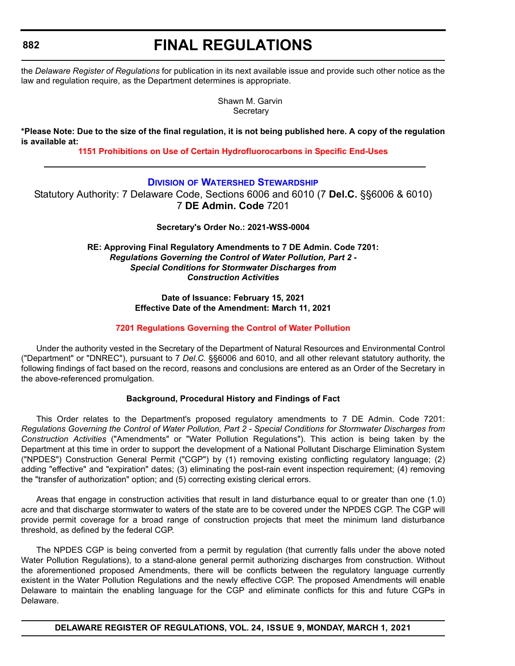# **FINAL REGULATIONS**

the *Delaware Register of Regulations* for publication in its next available issue and provide such other notice as the law and regulation require, as the Department determines is appropriate.

> Shawn M. Garvin **Secretary**

**\*Please Note: Due to the size of the final regulation, it is not being published here. A copy of the regulation is available at:**

**[1151 Prohibitions on Use of Certain Hydrofluorocarbons in Specific End-Uses](http://regulations.delaware.gov/register/march2021/final/24 DE Reg 876 03-01-21.htm)**

### **DIVISION [OF WATERSHED STEWARDSHIP](https://dnrec.alpha.delaware.gov/watershed-stewardship/)**

Statutory Authority: 7 Delaware Code, Sections 6006 and 6010 (7 **Del.C.** §§6006 & 6010) 7 **DE Admin. Code** 7201

**Secretary's Order No.: 2021-WSS-0004**

**RE: Approving Final Regulatory Amendments to 7 DE Admin. Code 7201:** *Regulations Governing the Control of Water Pollution, Part 2 - Special Conditions for Stormwater Discharges from Construction Activities*

> **Date of Issuance: February 15, 2021 Effective Date of the Amendment: March 11, 2021**

#### **[7201 Regulations Governing the Control of Water Pollution](#page-4-0)**

Under the authority vested in the Secretary of the Department of Natural Resources and Environmental Control ("Department" or "DNREC"), pursuant to 7 *Del.C.* §§6006 and 6010, and all other relevant statutory authority, the following findings of fact based on the record, reasons and conclusions are entered as an Order of the Secretary in the above-referenced promulgation.

#### **Background, Procedural History and Findings of Fact**

This Order relates to the Department's proposed regulatory amendments to 7 DE Admin. Code 7201: *Regulations Governing the Control of Water Pollution, Part 2 - Special Conditions for Stormwater Discharges from Construction Activities* ("Amendments" or "Water Pollution Regulations"). This action is being taken by the Department at this time in order to support the development of a National Pollutant Discharge Elimination System ("NPDES") Construction General Permit ("CGP") by (1) removing existing conflicting regulatory language; (2) adding "effective" and "expiration" dates; (3) eliminating the post-rain event inspection requirement; (4) removing the "transfer of authorization" option; and (5) correcting existing clerical errors.

Areas that engage in construction activities that result in land disturbance equal to or greater than one (1.0) acre and that discharge stormwater to waters of the state are to be covered under the NPDES CGP. The CGP will provide permit coverage for a broad range of construction projects that meet the minimum land disturbance threshold, as defined by the federal CGP.

The NPDES CGP is being converted from a permit by regulation (that currently falls under the above noted Water Pollution Regulations), to a stand-alone general permit authorizing discharges from construction. Without the aforementioned proposed Amendments, there will be conflicts between the regulatory language currently existent in the Water Pollution Regulations and the newly effective CGP. The proposed Amendments will enable Delaware to maintain the enabling language for the CGP and eliminate conflicts for this and future CGPs in Delaware.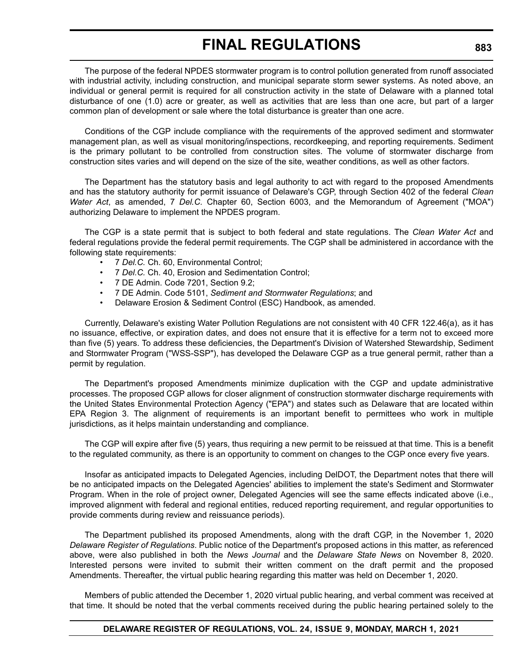The purpose of the federal NPDES stormwater program is to control pollution generated from runoff associated with industrial activity, including construction, and municipal separate storm sewer systems. As noted above, an individual or general permit is required for all construction activity in the state of Delaware with a planned total disturbance of one (1.0) acre or greater, as well as activities that are less than one acre, but part of a larger common plan of development or sale where the total disturbance is greater than one acre.

Conditions of the CGP include compliance with the requirements of the approved sediment and stormwater management plan, as well as visual monitoring/inspections, recordkeeping, and reporting requirements. Sediment is the primary pollutant to be controlled from construction sites. The volume of stormwater discharge from construction sites varies and will depend on the size of the site, weather conditions, as well as other factors.

The Department has the statutory basis and legal authority to act with regard to the proposed Amendments and has the statutory authority for permit issuance of Delaware's CGP, through Section 402 of the federal *Clean Water Act*, as amended, 7 *Del.C.* Chapter 60, Section 6003, and the Memorandum of Agreement ("MOA") authorizing Delaware to implement the NPDES program.

The CGP is a state permit that is subject to both federal and state regulations. The *Clean Water Act* and federal regulations provide the federal permit requirements. The CGP shall be administered in accordance with the following state requirements:

- 7 *Del.C.* Ch. 60, Environmental Control;
- 7 *Del.C.* Ch. 40, Erosion and Sedimentation Control;
- 7 DE Admin. Code 7201, Section 9.2;
- 7 DE Admin. Code 5101, *Sediment and Stormwater Regulations*; and
- Delaware Erosion & Sediment Control (ESC) Handbook, as amended.

Currently, Delaware's existing Water Pollution Regulations are not consistent with 40 CFR 122.46(a), as it has no issuance, effective, or expiration dates, and does not ensure that it is effective for a term not to exceed more than five (5) years. To address these deficiencies, the Department's Division of Watershed Stewardship, Sediment and Stormwater Program ("WSS-SSP"), has developed the Delaware CGP as a true general permit, rather than a permit by regulation.

The Department's proposed Amendments minimize duplication with the CGP and update administrative processes. The proposed CGP allows for closer alignment of construction stormwater discharge requirements with the United States Environmental Protection Agency ("EPA") and states such as Delaware that are located within EPA Region 3. The alignment of requirements is an important benefit to permittees who work in multiple jurisdictions, as it helps maintain understanding and compliance.

The CGP will expire after five (5) years, thus requiring a new permit to be reissued at that time. This is a benefit to the regulated community, as there is an opportunity to comment on changes to the CGP once every five years.

Insofar as anticipated impacts to Delegated Agencies, including DelDOT, the Department notes that there will be no anticipated impacts on the Delegated Agencies' abilities to implement the state's Sediment and Stormwater Program. When in the role of project owner, Delegated Agencies will see the same effects indicated above (i.e., improved alignment with federal and regional entities, reduced reporting requirement, and regular opportunities to provide comments during review and reissuance periods).

The Department published its proposed Amendments, along with the draft CGP, in the November 1, 2020 *Delaware Register of Regulations*. Public notice of the Department's proposed actions in this matter, as referenced above, were also published in both the *News Journal* and the *Delaware State News* on November 8, 2020. Interested persons were invited to submit their written comment on the draft permit and the proposed Amendments. Thereafter, the virtual public hearing regarding this matter was held on December 1, 2020.

Members of public attended the December 1, 2020 virtual public hearing, and verbal comment was received at that time. It should be noted that the verbal comments received during the public hearing pertained solely to the

#### **DELAWARE REGISTER OF REGULATIONS, VOL. 24, ISSUE 9, MONDAY, MARCH 1, 2021**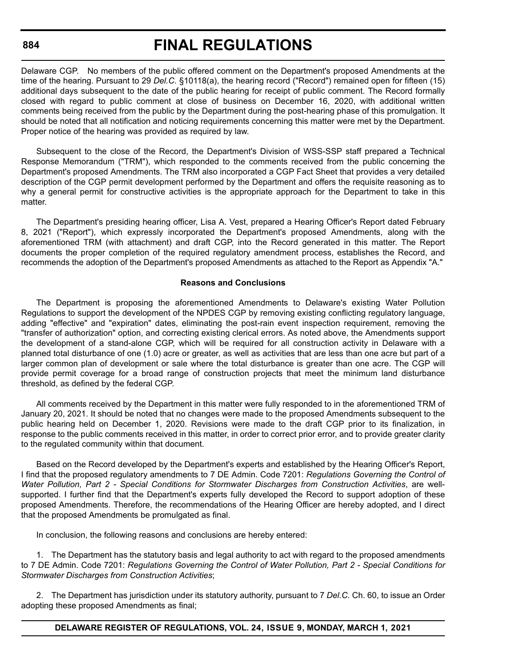# **FINAL REGULATIONS**

Delaware CGP. No members of the public offered comment on the Department's proposed Amendments at the time of the hearing. Pursuant to 29 *Del.C.* §10118(a), the hearing record ("Record") remained open for fifteen (15) additional days subsequent to the date of the public hearing for receipt of public comment. The Record formally closed with regard to public comment at close of business on December 16, 2020, with additional written comments being received from the public by the Department during the post-hearing phase of this promulgation. It should be noted that all notification and noticing requirements concerning this matter were met by the Department. Proper notice of the hearing was provided as required by law.

Subsequent to the close of the Record, the Department's Division of WSS-SSP staff prepared a Technical Response Memorandum ("TRM"), which responded to the comments received from the public concerning the Department's proposed Amendments. The TRM also incorporated a CGP Fact Sheet that provides a very detailed description of the CGP permit development performed by the Department and offers the requisite reasoning as to why a general permit for constructive activities is the appropriate approach for the Department to take in this matter.

The Department's presiding hearing officer, Lisa A. Vest, prepared a Hearing Officer's Report dated February 8, 2021 ("Report"), which expressly incorporated the Department's proposed Amendments, along with the aforementioned TRM (with attachment) and draft CGP, into the Record generated in this matter. The Report documents the proper completion of the required regulatory amendment process, establishes the Record, and recommends the adoption of the Department's proposed Amendments as attached to the Report as Appendix "A."

#### **Reasons and Conclusions**

The Department is proposing the aforementioned Amendments to Delaware's existing Water Pollution Regulations to support the development of the NPDES CGP by removing existing conflicting regulatory language, adding "effective" and "expiration" dates, eliminating the post-rain event inspection requirement, removing the "transfer of authorization" option, and correcting existing clerical errors. As noted above, the Amendments support the development of a stand-alone CGP, which will be required for all construction activity in Delaware with a planned total disturbance of one (1.0) acre or greater, as well as activities that are less than one acre but part of a larger common plan of development or sale where the total disturbance is greater than one acre. The CGP will provide permit coverage for a broad range of construction projects that meet the minimum land disturbance threshold, as defined by the federal CGP.

All comments received by the Department in this matter were fully responded to in the aforementioned TRM of January 20, 2021. It should be noted that no changes were made to the proposed Amendments subsequent to the public hearing held on December 1, 2020. Revisions were made to the draft CGP prior to its finalization, in response to the public comments received in this matter, in order to correct prior error, and to provide greater clarity to the regulated community within that document.

Based on the Record developed by the Department's experts and established by the Hearing Officer's Report, I find that the proposed regulatory amendments to 7 DE Admin. Code 7201: *Regulations Governing the Control of Water Pollution, Part 2 - Special Conditions for Stormwater Discharges from Construction Activities*, are wellsupported. I further find that the Department's experts fully developed the Record to support adoption of these proposed Amendments. Therefore, the recommendations of the Hearing Officer are hereby adopted, and I direct that the proposed Amendments be promulgated as final.

In conclusion, the following reasons and conclusions are hereby entered:

1. The Department has the statutory basis and legal authority to act with regard to the proposed amendments to 7 DE Admin. Code 7201: *Regulations Governing the Control of Water Pollution, Part 2 - Special Conditions for Stormwater Discharges from Construction Activities*;

2. The Department has jurisdiction under its statutory authority, pursuant to 7 *Del.C.* Ch. 60, to issue an Order adopting these proposed Amendments as final;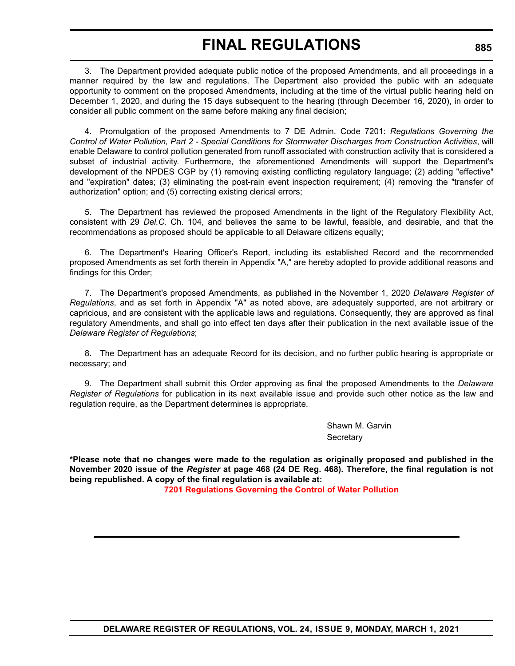3. The Department provided adequate public notice of the proposed Amendments, and all proceedings in a manner required by the law and regulations. The Department also provided the public with an adequate opportunity to comment on the proposed Amendments, including at the time of the virtual public hearing held on December 1, 2020, and during the 15 days subsequent to the hearing (through December 16, 2020), in order to consider all public comment on the same before making any final decision;

4. Promulgation of the proposed Amendments to 7 DE Admin. Code 7201: *Regulations Governing the Control of Water Pollution, Part 2 - Special Conditions for Stormwater Discharges from Construction Activities*, will enable Delaware to control pollution generated from runoff associated with construction activity that is considered a subset of industrial activity. Furthermore, the aforementioned Amendments will support the Department's development of the NPDES CGP by (1) removing existing conflicting regulatory language; (2) adding "effective" and "expiration" dates; (3) eliminating the post-rain event inspection requirement; (4) removing the "transfer of authorization" option; and (5) correcting existing clerical errors;

5. The Department has reviewed the proposed Amendments in the light of the Regulatory Flexibility Act, consistent with 29 *Del.C.* Ch. 104, and believes the same to be lawful, feasible, and desirable, and that the recommendations as proposed should be applicable to all Delaware citizens equally;

6. The Department's Hearing Officer's Report, including its established Record and the recommended proposed Amendments as set forth therein in Appendix "A," are hereby adopted to provide additional reasons and findings for this Order;

7. The Department's proposed Amendments, as published in the November 1, 2020 *Delaware Register of Regulations*, and as set forth in Appendix "A" as noted above, are adequately supported, are not arbitrary or capricious, and are consistent with the applicable laws and regulations. Consequently, they are approved as final regulatory Amendments, and shall go into effect ten days after their publication in the next available issue of the *Delaware Register of Regulations*;

8. The Department has an adequate Record for its decision, and no further public hearing is appropriate or necessary; and

9. The Department shall submit this Order approving as final the proposed Amendments to the *Delaware Register of Regulations* for publication in its next available issue and provide such other notice as the law and regulation require, as the Department determines is appropriate.

> Shawn M. Garvin **Secretary**

**\*Please note that no changes were made to the regulation as originally proposed and published in the November 2020 issue of the** *Register* **at page 468 (24 DE Reg. 468). Therefore, the final regulation is not being republished. A copy of the final regulation is available at:**

**[7201 Regulations Governing the Control of Water Pollution](http://regulations.delaware.gov/register/march2021/final/24 DE Reg 882 03-01-21.htm)**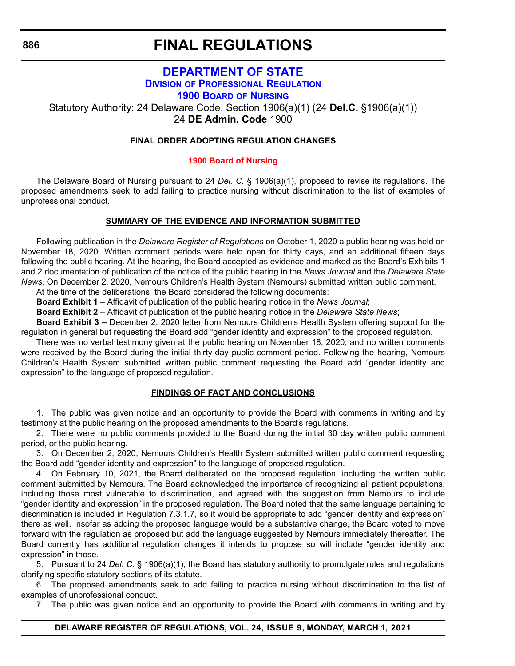**886**

# **FINAL REGULATIONS**

## **[DEPARTMENT OF STATE](https://sos.delaware.gov) DIVISION [OF PROFESSIONAL REGULATION](https://dpr.delaware.gov/) [1900 BOARD](https://dpr.delaware.gov/boards/nursing/) OF NURSING**

Statutory Authority: 24 Delaware Code, Section 1906(a)(1) (24 **Del.C.** §1906(a)(1)) 24 **DE Admin. Code** 1900

#### **FINAL ORDER ADOPTING REGULATION CHANGES**

#### **[1900 Board of Nursing](#page-4-0)**

The Delaware Board of Nursing pursuant to 24 *Del. C.* § 1906(a)(1), proposed to revise its regulations. The proposed amendments seek to add failing to practice nursing without discrimination to the list of examples of unprofessional conduct.

#### **SUMMARY OF THE EVIDENCE AND INFORMATION SUBMITTED**

Following publication in the *Delaware Register of Regulations* on October 1, 2020 a public hearing was held on November 18, 2020. Written comment periods were held open for thirty days, and an additional fifteen days following the public hearing. At the hearing, the Board accepted as evidence and marked as the Board's Exhibits 1 and 2 documentation of publication of the notice of the public hearing in the *News Journal* and the *Delaware State News.* On December 2, 2020, Nemours Children's Health System (Nemours) submitted written public comment.

At the time of the deliberations, the Board considered the following documents:

**Board Exhibit 1** – Affidavit of publication of the public hearing notice in the *News Journal*;

**Board Exhibit 2** – Affidavit of publication of the public hearing notice in the *Delaware State News*;

**Board Exhibit 3 –** December 2, 2020 letter from Nemours Children's Health System offering support for the regulation in general but requesting the Board add "gender identity and expression" to the proposed regulation.

There was no verbal testimony given at the public hearing on November 18, 2020, and no written comments were received by the Board during the initial thirty-day public comment period. Following the hearing, Nemours Children's Health System submitted written public comment requesting the Board add "gender identity and expression" to the language of proposed regulation.

#### **FINDINGS OF FACT AND CONCLUSIONS**

1. The public was given notice and an opportunity to provide the Board with comments in writing and by testimony at the public hearing on the proposed amendments to the Board's regulations.

2. There were no public comments provided to the Board during the initial 30 day written public comment period, or the public hearing.

3. On December 2, 2020, Nemours Children's Health System submitted written public comment requesting the Board add "gender identity and expression" to the language of proposed regulation.

4. On February 10, 2021, the Board deliberated on the proposed regulation, including the written public comment submitted by Nemours*.* The Board acknowledged the importance of recognizing all patient populations, including those most vulnerable to discrimination, and agreed with the suggestion from Nemours to include "gender identity and expression" in the proposed regulation. The Board noted that the same language pertaining to discrimination is included in Regulation 7.3.1.7, so it would be appropriate to add "gender identity and expression" there as well. Insofar as adding the proposed language would be a substantive change, the Board voted to move forward with the regulation as proposed but add the language suggested by Nemours immediately thereafter. The Board currently has additional regulation changes it intends to propose so will include "gender identity and expression" in those.

5. Pursuant to 24 *Del. C.* § 1906(a)(1), the Board has statutory authority to promulgate rules and regulations clarifying specific statutory sections of its statute.

6. The proposed amendments seek to add failing to practice nursing without discrimination to the list of examples of unprofessional conduct.

7. The public was given notice and an opportunity to provide the Board with comments in writing and by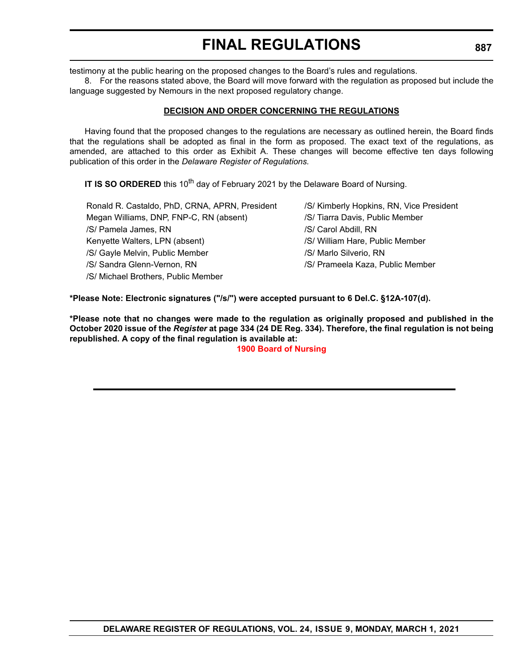testimony at the public hearing on the proposed changes to the Board's rules and regulations.

8. For the reasons stated above, the Board will move forward with the regulation as proposed but include the language suggested by Nemours in the next proposed regulatory change.

#### **DECISION AND ORDER CONCERNING THE REGULATIONS**

Having found that the proposed changes to the regulations are necessary as outlined herein, the Board finds that the regulations shall be adopted as final in the form as proposed. The exact text of the regulations, as amended, are attached to this order as Exhibit A. These changes will become effective ten days following publication of this order in the *Delaware Register of Regulations.*

**IT IS SO ORDERED** this 10<sup>th</sup> day of February 2021 by the Delaware Board of Nursing.

| Ronald R. Castaldo, PhD, CRNA, APRN, President | /S/ Kimberly Hopkins, RN, Vice President |
|------------------------------------------------|------------------------------------------|
| Megan Williams, DNP, FNP-C, RN (absent)        | /S/ Tiarra Davis, Public Member          |
| /S/ Pamela James, RN                           | /S/ Carol Abdill, RN                     |
| Kenyette Walters, LPN (absent)                 | /S/ William Hare, Public Member          |
| /S/ Gayle Melvin, Public Member                | /S/ Marlo Silverio, RN                   |
| /S/ Sandra Glenn-Vernon, RN                    | /S/ Prameela Kaza, Public Member         |
| /S/ Michael Brothers, Public Member            |                                          |

**\*Please Note: Electronic signatures ("/s/") were accepted pursuant to 6 Del.C. §12A-107(d).**

**\*Please note that no changes were made to the regulation as originally proposed and published in the October 2020 issue of the** *Register* **at page 334 (24 DE Reg. 334). Therefore, the final regulation is not being republished. A copy of the final regulation is available at:**

**[1900 Board of Nursing](http://regulations.delaware.gov/register/march2021/final/24 DE Reg 886 03-01-21.htm)**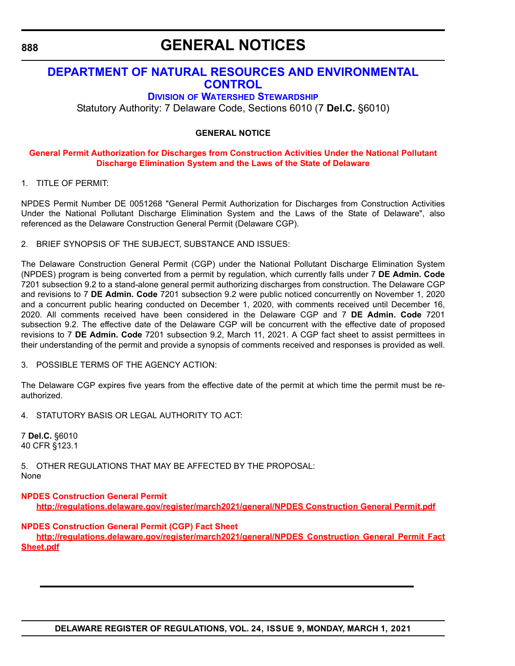# **GENERAL NOTICES**

## **[DEPARTMENT OF NATURAL RESOURCES AND ENVIRONMENTAL](https://dnrec.alpha.delaware.gov/)  CONTROL**

## **DIVISION [OF WATERSHED STEWARDSHIP](https://dnrec.alpha.delaware.gov/watershed-stewardship/)**

Statutory Authority: 7 Delaware Code, Sections 6010 (7 **Del.C.** §6010)

#### **GENERAL NOTICE**

#### **[General Permit Authorization for Discharges from Construction Activities Under the National Pollutant](#page-4-0)  Discharge Elimination System and the Laws of the State of Delaware**

1. TITLE OF PERMIT:

NPDES Permit Number DE 0051268 "General Permit Authorization for Discharges from Construction Activities Under the National Pollutant Discharge Elimination System and the Laws of the State of Delaware", also referenced as the Delaware Construction General Permit (Delaware CGP).

2. BRIEF SYNOPSIS OF THE SUBJECT, SUBSTANCE AND ISSUES:

The Delaware Construction General Permit (CGP) under the National Pollutant Discharge Elimination System (NPDES) program is being converted from a permit by regulation, which currently falls under 7 **DE Admin. Code** 7201 subsection 9.2 to a stand-alone general permit authorizing discharges from construction. The Delaware CGP and revisions to 7 **DE Admin. Code** 7201 subsection 9.2 were public noticed concurrently on November 1, 2020 and a concurrent public hearing conducted on December 1, 2020, with comments received until December 16, 2020. All comments received have been considered in the Delaware CGP and 7 **DE Admin. Code** 7201 subsection 9.2. The effective date of the Delaware CGP will be concurrent with the effective date of proposed revisions to 7 **DE Admin. Code** 7201 subsection 9.2, March 11, 2021. A CGP fact sheet to assist permittees in their understanding of the permit and provide a synopsis of comments received and responses is provided as well.

3. POSSIBLE TERMS OF THE AGENCY ACTION:

The Delaware CGP expires five years from the effective date of the permit at which time the permit must be reauthorized.

4. STATUTORY BASIS OR LEGAL AUTHORITY TO ACT:

7 **Del.C.** §6010 40 CFR §123.1

5. OTHER REGULATIONS THAT MAY BE AFFECTED BY THE PROPOSAL: None

**[NPDES Construction General Permit](http://regulations.delaware.gov/register/march2021/general/NPDES Construction General Permit.pdf) <http://regulations.delaware.gov/register/march2021/general/NPDES Construction General Permit.pdf>**

**[NPDES Construction General Permit \(CGP\) Fact Sheet](http://regulations.delaware.gov/register/march2021/general/NPDES Construction General Permit Fact Sheet.pdf)**

**[http://regulations.delaware.gov/register/march2021/general/NPDES Construction General Permit Fact](http://regulations.delaware.gov/register/march2021/general/NPDES Construction General Permit Fact Sheet.pdf) Sheet.pdf**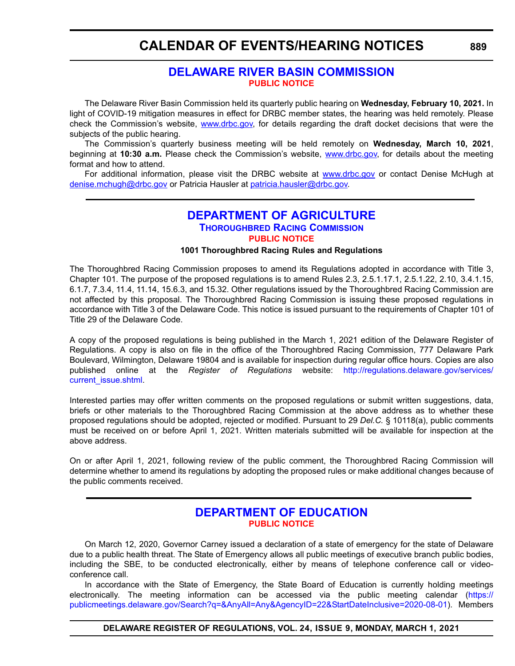## **CALENDAR OF EVENTS/HEARING NOTICES**

## **[DELAWARE RIVER BASIN COMMISSION](https://www.nj.us/drbc/ ) [PUBLIC NOTICE](#page-4-0)**

The Delaware River Basin Commission held its quarterly public hearing on **Wednesday, February 10, 2021.** In light of COVID-19 mitigation measures in effect for DRBC member states, the hearing was held remotely. Please check the Commission's website, [www.drbc.gov,](https://www.drbc.gov) for details regarding the draft docket decisions that were the subjects of the public hearing.

The Commission's quarterly business meeting will be held remotely on **Wednesday, March 10, 2021**, beginning at **10:30 a.m.** Please check the Commission's website, [www.drbc.gov,](https://www.drbc.gov) for details about the meeting format and how to attend.

For additional information, please visit the DRBC website at [www.drbc.gov](https://www.drbc.gov) or contact Denise McHugh at [denise.mchugh@drbc.gov](mailto:denise.mchugh@drbc.gov) or Patricia Hausler at [patricia.hausler@drbc.gov.](mailto:patricia.hausler@drbc.gov)

### **[DEPARTMENT OF AGRICULTURE](https://agriculture.delaware.gov/) [THOROUGHBRED RACING COMMISSION](https://agriculture.delaware.gov/thoroughbred-racing-commission/) [PUBLIC NOTICE](#page-4-0)**

#### **1001 Thoroughbred Racing Rules and Regulations**

The Thoroughbred Racing Commission proposes to amend its Regulations adopted in accordance with Title 3, Chapter 101. The purpose of the proposed regulations is to amend Rules 2.3, 2.5.1.17.1, 2.5.1.22, 2.10, 3.4.1.15, 6.1.7, 7.3.4, 11.4, 11.14, 15.6.3, and 15.32. Other regulations issued by the Thoroughbred Racing Commission are not affected by this proposal. The Thoroughbred Racing Commission is issuing these proposed regulations in accordance with Title 3 of the Delaware Code. This notice is issued pursuant to the requirements of Chapter 101 of Title 29 of the Delaware Code.

A copy of the proposed regulations is being published in the March 1, 2021 edition of the Delaware Register of Regulations. A copy is also on file in the office of the Thoroughbred Racing Commission, 777 Delaware Park Boulevard, Wilmington, Delaware 19804 and is available for inspection during regular office hours. Copies are also published online at the *Register of Regulations* website: [http://regulations.delaware.gov/services/](http://regulations.delaware.gov/services/current_issue.shtml) [current\\_issue.shtml](http://regulations.delaware.gov/services/current_issue.shtml).

Interested parties may offer written comments on the proposed regulations or submit written suggestions, data, briefs or other materials to the Thoroughbred Racing Commission at the above address as to whether these proposed regulations should be adopted, rejected or modified. Pursuant to 29 *Del.C.* § 10118(a), public comments must be received on or before April 1, 2021. Written materials submitted will be available for inspection at the above address.

On or after April 1, 2021, following review of the public comment, the Thoroughbred Racing Commission will determine whether to amend its regulations by adopting the proposed rules or make additional changes because of the public comments received.

## **[DEPARTMENT OF EDUCATION](https://www.doe.k12.de.us/) [PUBLIC NOTICE](#page-4-0)**

On March 12, 2020, Governor Carney issued a declaration of a state of emergency for the state of Delaware due to a public health threat. The State of Emergency allows all public meetings of executive branch public bodies, including the SBE, to be conducted electronically, either by means of telephone conference call or videoconference call.

In accordance with the State of Emergency, the State Board of Education is currently holding meetings electronically. The meeting information can be accessed via the public meeting calendar ([https://](https://publicmeetings.delaware.gov/Search?q=&AnyAll=Any&AgencyID=22&StartDateInclusive=2020-08-01) [publicmeetings.delaware.gov/Search?q=&AnyAll=Any&AgencyID=22&StartDateInclusive=2020-08-01](https://publicmeetings.delaware.gov/Search?q=&AnyAll=Any&AgencyID=22&StartDateInclusive=2020-08-01)). Members

**DELAWARE REGISTER OF REGULATIONS, VOL. 24, ISSUE 9, MONDAY, MARCH 1, 2021**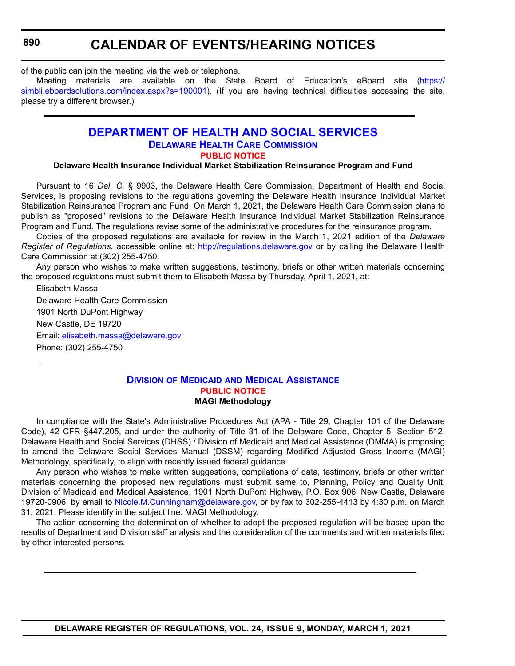**890**

## **CALENDAR OF EVENTS/HEARING NOTICES**

of the public can join the meeting via the web or telephone.

Meeting materials are available on the State Board of Education's eBoard site [\(https://](https://simbli.eboardsolutions.com/index.aspx?s=190001) [simbli.eboardsolutions.com/index.aspx?s=190001](https://simbli.eboardsolutions.com/index.aspx?s=190001)). (If you are having technical difficulties accessing the site, please try a different browser.)

## **[DEPARTMENT OF HEALTH AND SOCIAL SERVICES](https://www.dhss.delaware.gov/dhss/index.html) [DELAWARE HEALTH CARE COMMISSION](https://https://dhss.delaware.gov/dhcc/) [PUBLIC NOTICE](#page-4-0)**

#### **Delaware Health Insurance Individual Market Stabilization Reinsurance Program and Fund**

Pursuant to 16 *Del. C.* § 9903, the Delaware Health Care Commission, Department of Health and Social Services, is proposing revisions to the regulations governing the Delaware Health Insurance Individual Market Stabilization Reinsurance Program and Fund. On March 1, 2021, the Delaware Health Care Commission plans to publish as "proposed" revisions to the Delaware Health Insurance Individual Market Stabilization Reinsurance Program and Fund. The regulations revise some of the administrative procedures for the reinsurance program.

Copies of the proposed regulations are available for review in the March 1, 2021 edition of the *Delaware Register of Regulations*, accessible online at: <http://regulations.delaware.gov>or by calling the Delaware Health Care Commission at (302) 255-4750.

Any person who wishes to make written suggestions, testimony, briefs or other written materials concerning the proposed regulations must submit them to Elisabeth Massa by Thursday, April 1, 2021, at:

Elisabeth Massa

Delaware Health Care Commission 1901 North DuPont Highway New Castle, DE 19720 Email: [elisabeth.massa@delaware.gov](mailto:elisabeth.massa@delaware.gov) Phone: (302) 255-4750

#### **DIVISION OF MEDICAID [AND MEDICAL ASSISTANCE](https://www.dhss.delaware.gov/dhss/dmma/) [PUBLIC NOTICE](#page-4-0) MAGI Methodology**

In compliance with the State's Administrative Procedures Act (APA - Title 29, Chapter 101 of the Delaware Code), 42 CFR §447.205, and under the authority of Title 31 of the Delaware Code, Chapter 5, Section 512, Delaware Health and Social Services (DHSS) / Division of Medicaid and Medical Assistance (DMMA) is proposing to amend the Delaware Social Services Manual (DSSM) regarding Modified Adjusted Gross Income (MAGI) Methodology, specifically, to align with recently issued federal guidance.

Any person who wishes to make written suggestions, compilations of data, testimony, briefs or other written materials concerning the proposed new regulations must submit same to, Planning, Policy and Quality Unit, Division of Medicaid and Medical Assistance, 1901 North DuPont Highway, P.O. Box 906, New Castle, Delaware 19720-0906, by email to [Nicole.M.Cunningham@delaware.gov,](mailto:Nicole.M.Cunningham@delaware.gov) or by fax to 302-255-4413 by 4:30 p.m. on March 31, 2021. Please identify in the subject line: MAGI Methodology.

The action concerning the determination of whether to adopt the proposed regulation will be based upon the results of Department and Division staff analysis and the consideration of the comments and written materials filed by other interested persons.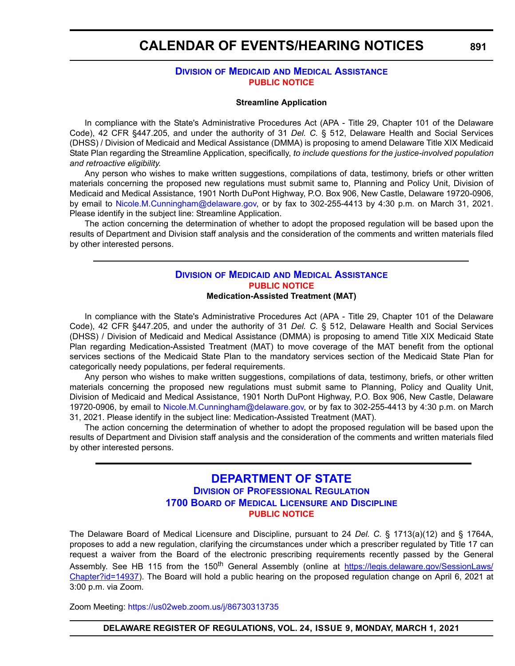## **CALENDAR OF EVENTS/HEARING NOTICES**

#### **DIVISION OF MEDICAID [AND MEDICAL ASSISTANCE](https://www.dhss.delaware.gov/dhss/dmma/) [PUBLIC NOTICE](#page-4-0)**

#### **Streamline Application**

In compliance with the State's Administrative Procedures Act (APA - Title 29, Chapter 101 of the Delaware Code), 42 CFR §447.205, and under the authority of 31 *Del. C.* § 512, Delaware Health and Social Services (DHSS) / Division of Medicaid and Medical Assistance (DMMA) is proposing to amend Delaware Title XIX Medicaid State Plan regarding the Streamline Application, specifically, *to include questions for the justice-involved population and retroactive eligibility.*

Any person who wishes to make written suggestions, compilations of data, testimony, briefs or other written materials concerning the proposed new regulations must submit same to, Planning and Policy Unit, Division of Medicaid and Medical Assistance, 1901 North DuPont Highway, P.O. Box 906, New Castle, Delaware 19720-0906, by email to [Nicole.M.Cunningham@delaware.gov,](mailto:Nicole.M.Cunningham@delaware.gov) or by fax to 302-255-4413 by 4:30 p.m. on March 31, 2021. Please identify in the subject line: Streamline Application.

The action concerning the determination of whether to adopt the proposed regulation will be based upon the results of Department and Division staff analysis and the consideration of the comments and written materials filed by other interested persons.

#### **DIVISION OF MEDICAID [AND MEDICAL ASSISTANCE](https://www.dhss.delaware.gov/dhss/dmma/) [PUBLIC NOTICE](#page-4-0) Medication-Assisted Treatment (MAT)**

In compliance with the State's Administrative Procedures Act (APA - Title 29, Chapter 101 of the Delaware Code), 42 CFR §447.205, and under the authority of 31 *Del. C.* § 512, Delaware Health and Social Services (DHSS) / Division of Medicaid and Medical Assistance (DMMA) is proposing to amend Title XIX Medicaid State Plan regarding Medication-Assisted Treatment (MAT) to move coverage of the MAT benefit from the optional services sections of the Medicaid State Plan to the mandatory services section of the Medicaid State Plan for categorically needy populations, per federal requirements.

Any person who wishes to make written suggestions, compilations of data, testimony, briefs, or other written materials concerning the proposed new regulations must submit same to Planning, Policy and Quality Unit, Division of Medicaid and Medical Assistance, 1901 North DuPont Highway, P.O. Box 906, New Castle, Delaware 19720-0906, by email to [Nicole.M.Cunningham@delaware.gov,](mailto:Nicole.M.Cunningham@delaware.gov) or by fax to 302-255-4413 by 4:30 p.m. on March 31, 2021. Please identify in the subject line: Medication-Assisted Treatment (MAT).

The action concerning the determination of whether to adopt the proposed regulation will be based upon the results of Department and Division staff analysis and the consideration of the comments and written materials filed by other interested persons.

## **[DEPARTMENT OF STATE](https://sos.delaware.gov/) DIVISION [OF PROFESSIONAL REGULATION](https://dpr.delaware.gov/) 1700 BOARD [OF MEDICAL LICENSURE](https://dpr.delaware.gov/boards/medicalpractice/) AND DISCIPLINE [PUBLIC NOTICE](#page-4-0)**

The Delaware Board of Medical Licensure and Discipline, pursuant to 24 *Del. C.* § 1713(a)(12) and § 1764A, proposes to add a new regulation, clarifying the circumstances under which a prescriber regulated by Title 17 can request a waiver from the Board of the electronic prescribing requirements recently passed by the General Assembly. See HB 115 from the 150<sup>th</sup> General Assembly (online at [https://legis.delaware.gov/SessionLaws/](https://legis.delaware.gov/SessionLaws/Chapter?id=14937) [Chapter?id=14937](https://legis.delaware.gov/SessionLaws/Chapter?id=14937)). The Board will hold a public hearing on the proposed regulation change on April 6, 2021 at 3:00 p.m. via Zoom.

Zoom Meeting:<https://us02web.zoom.us/j/86730313735>

**DELAWARE REGISTER OF REGULATIONS, VOL. 24, ISSUE 9, MONDAY, MARCH 1, 2021**